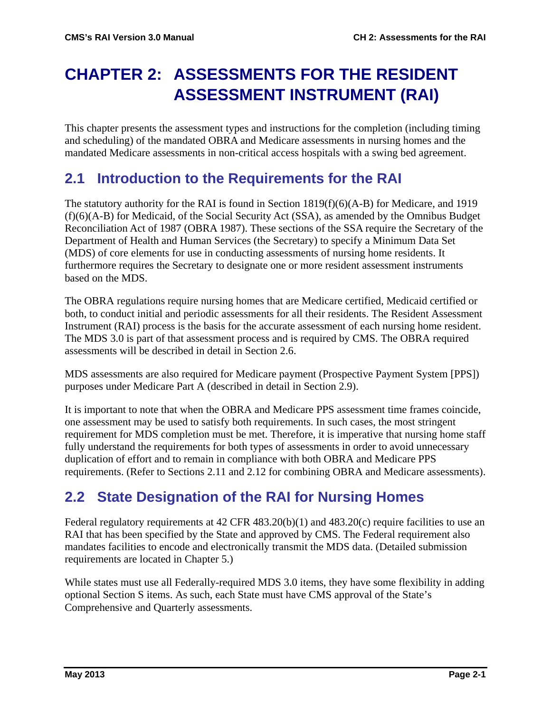# **CHAPTER 2: ASSESSMENTS FOR THE RESIDENT ASSESSMENT INSTRUMENT (RAI)**

This chapter presents the assessment types and instructions for the completion (including timing and scheduling) of the mandated OBRA and Medicare assessments in nursing homes and the mandated Medicare assessments in non-critical access hospitals with a swing bed agreement.

# **2.1 Introduction to the Requirements for the RAI**

The statutory authority for the RAI is found in Section 1819(f)(6)(A-B) for Medicare, and 1919 (f)(6)(A-B) for Medicaid, of the Social Security Act (SSA), as amended by the Omnibus Budget Reconciliation Act of 1987 (OBRA 1987). These sections of the SSA require the Secretary of the Department of Health and Human Services (the Secretary) to specify a Minimum Data Set (MDS) of core elements for use in conducting assessments of nursing home residents. It furthermore requires the Secretary to designate one or more resident assessment instruments based on the MDS.

The OBRA regulations require nursing homes that are Medicare certified, Medicaid certified or both, to conduct initial and periodic assessments for all their residents. The Resident Assessment Instrument (RAI) process is the basis for the accurate assessment of each nursing home resident. The MDS 3.0 is part of that assessment process and is required by CMS. The OBRA required assessments will be described in detail in Section 2.6.

MDS assessments are also required for Medicare payment (Prospective Payment System [PPS]) purposes under Medicare Part A (described in detail in Section 2.9).

It is important to note that when the OBRA and Medicare PPS assessment time frames coincide, one assessment may be used to satisfy both requirements. In such cases, the most stringent requirement for MDS completion must be met. Therefore, it is imperative that nursing home staff fully understand the requirements for both types of assessments in order to avoid unnecessary duplication of effort and to remain in compliance with both OBRA and Medicare PPS requirements. (Refer to Sections 2.11 and 2.12 for combining OBRA and Medicare assessments).

# **2.2 State Designation of the RAI for Nursing Homes**

Federal regulatory requirements at  $42$  CFR  $483.20(b)(1)$  and  $483.20(c)$  require facilities to use an RAI that has been specified by the State and approved by CMS. The Federal requirement also mandates facilities to encode and electronically transmit the MDS data. (Detailed submission requirements are located in Chapter 5.)

While states must use all Federally-required MDS 3.0 items, they have some flexibility in adding optional Section S items. As such, each State must have CMS approval of the State's Comprehensive and Quarterly assessments.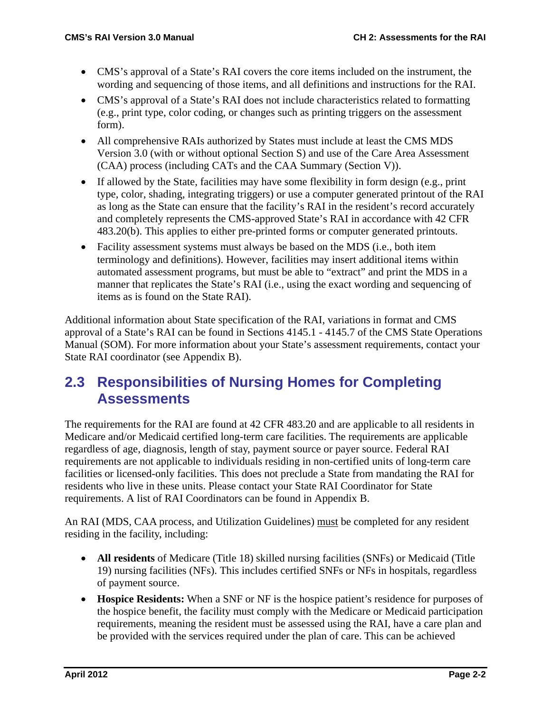- CMS's approval of a State's RAI covers the core items included on the instrument, the wording and sequencing of those items, and all definitions and instructions for the RAI.
- CMS's approval of a State's RAI does not include characteristics related to formatting (e.g., print type, color coding, or changes such as printing triggers on the assessment form).
- All comprehensive RAIs authorized by States must include at least the CMS MDS Version 3.0 (with or without optional Section S) and use of the Care Area Assessment (CAA) process (including CATs and the CAA Summary (Section V)).
- If allowed by the State, facilities may have some flexibility in form design (e.g., print type, color, shading, integrating triggers) or use a computer generated printout of the RAI as long as the State can ensure that the facility's RAI in the resident's record accurately and completely represents the CMS-approved State's RAI in accordance with 42 CFR 483.20(b). This applies to either pre-printed forms or computer generated printouts.
- Facility assessment systems must always be based on the MDS (i.e., both item terminology and definitions). However, facilities may insert additional items within automated assessment programs, but must be able to "extract" and print the MDS in a manner that replicates the State's RAI (i.e., using the exact wording and sequencing of items as is found on the State RAI).

Additional information about State specification of the RAI, variations in format and CMS approval of a State's RAI can be found in Sections 4145.1 - 4145.7 of the CMS State Operations Manual (SOM). For more information about your State's assessment requirements, contact your State RAI coordinator (see Appendix B).

# **2.3 Responsibilities of Nursing Homes for Completing Assessments**

The requirements for the RAI are found at 42 CFR 483.20 and are applicable to all residents in Medicare and/or Medicaid certified long-term care facilities. The requirements are applicable regardless of age, diagnosis, length of stay, payment source or payer source. Federal RAI requirements are not applicable to individuals residing in non-certified units of long-term care facilities or licensed-only facilities. This does not preclude a State from mandating the RAI for residents who live in these units. Please contact your State RAI Coordinator for State requirements. A list of RAI Coordinators can be found in Appendix B.

An RAI (MDS, CAA process, and Utilization Guidelines) must be completed for any resident residing in the facility, including:

- **All residents** of Medicare (Title 18) skilled nursing facilities (SNFs) or Medicaid (Title 19) nursing facilities (NFs). This includes certified SNFs or NFs in hospitals, regardless of payment source.
- **Hospice Residents:** When a SNF or NF is the hospice patient's residence for purposes of the hospice benefit, the facility must comply with the Medicare or Medicaid participation requirements, meaning the resident must be assessed using the RAI, have a care plan and be provided with the services required under the plan of care. This can be achieved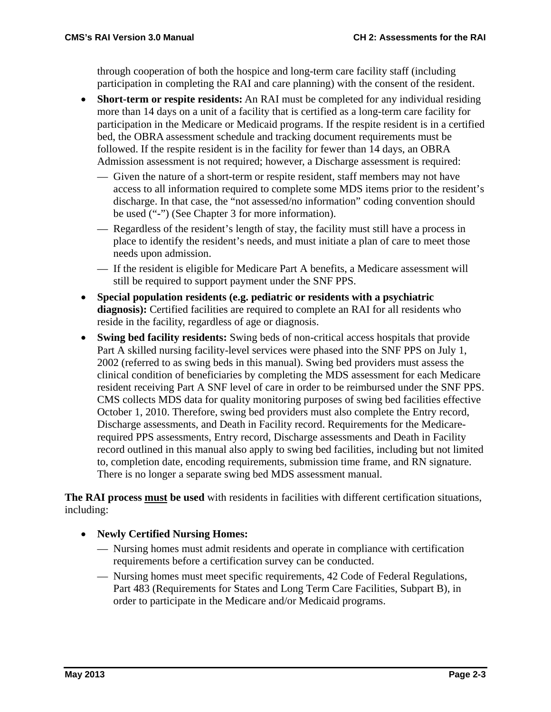through cooperation of both the hospice and long-term care facility staff (including participation in completing the RAI and care planning) with the consent of the resident.

- **Short-term or respite residents:** An RAI must be completed for any individual residing more than 14 days on a unit of a facility that is certified as a long-term care facility for participation in the Medicare or Medicaid programs. If the respite resident is in a certified bed, the OBRA assessment schedule and tracking document requirements must be followed. If the respite resident is in the facility for fewer than 14 days, an OBRA Admission assessment is not required; however, a Discharge assessment is required:
	- Given the nature of a short-term or respite resident, staff members may not have access to all information required to complete some MDS items prior to the resident's discharge. In that case, the "not assessed/no information" coding convention should be used ("**-**") (See Chapter 3 for more information).
	- Regardless of the resident's length of stay, the facility must still have a process in place to identify the resident's needs, and must initiate a plan of care to meet those needs upon admission.
	- If the resident is eligible for Medicare Part A benefits, a Medicare assessment will still be required to support payment under the SNF PPS.
- **Special population residents (e.g. pediatric or residents with a psychiatric diagnosis):** Certified facilities are required to complete an RAI for all residents who reside in the facility, regardless of age or diagnosis.
- **Swing bed facility residents:** Swing beds of non-critical access hospitals that provide Part A skilled nursing facility-level services were phased into the SNF PPS on July 1, 2002 (referred to as swing beds in this manual). Swing bed providers must assess the clinical condition of beneficiaries by completing the MDS assessment for each Medicare resident receiving Part A SNF level of care in order to be reimbursed under the SNF PPS. CMS collects MDS data for quality monitoring purposes of swing bed facilities effective October 1, 2010. Therefore, swing bed providers must also complete the Entry record, Discharge assessments, and Death in Facility record. Requirements for the Medicarerequired PPS assessments, Entry record, Discharge assessments and Death in Facility record outlined in this manual also apply to swing bed facilities, including but not limited to, completion date, encoding requirements, submission time frame, and RN signature. There is no longer a separate swing bed MDS assessment manual.

**The RAI process must be used** with residents in facilities with different certification situations, including:

- **Newly Certified Nursing Homes:** 
	- Nursing homes must admit residents and operate in compliance with certification requirements before a certification survey can be conducted.
	- Nursing homes must meet specific requirements, 42 Code of Federal Regulations, Part 483 (Requirements for States and Long Term Care Facilities, Subpart B), in order to participate in the Medicare and/or Medicaid programs.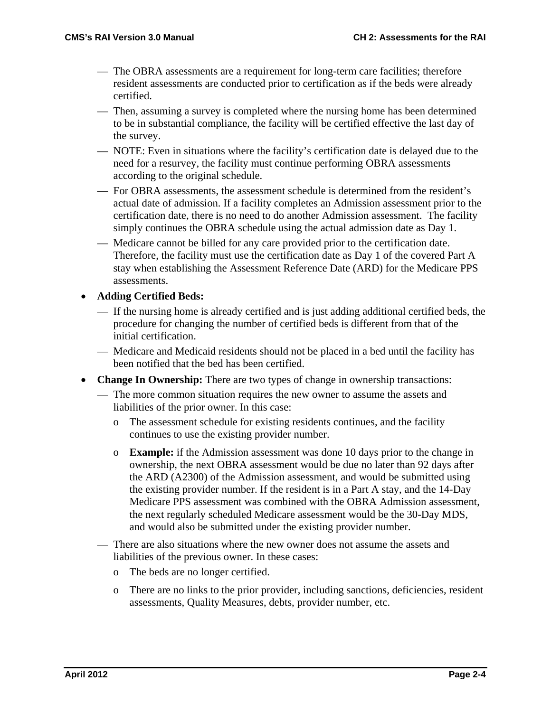- The OBRA assessments are a requirement for long-term care facilities; therefore resident assessments are conducted prior to certification as if the beds were already certified.
- Then, assuming a survey is completed where the nursing home has been determined to be in substantial compliance, the facility will be certified effective the last day of the survey.
- NOTE: Even in situations where the facility's certification date is delayed due to the need for a resurvey, the facility must continue performing OBRA assessments according to the original schedule.
- For OBRA assessments, the assessment schedule is determined from the resident's actual date of admission. If a facility completes an Admission assessment prior to the certification date, there is no need to do another Admission assessment. The facility simply continues the OBRA schedule using the actual admission date as Day 1.
- Medicare cannot be billed for any care provided prior to the certification date. Therefore, the facility must use the certification date as Day 1 of the covered Part A stay when establishing the Assessment Reference Date (ARD) for the Medicare PPS assessments.
- **Adding Certified Beds:**
	- If the nursing home is already certified and is just adding additional certified beds, the procedure for changing the number of certified beds is different from that of the initial certification.
	- Medicare and Medicaid residents should not be placed in a bed until the facility has been notified that the bed has been certified.
- **Change In Ownership:** There are two types of change in ownership transactions:
	- The more common situation requires the new owner to assume the assets and liabilities of the prior owner. In this case:
		- o The assessment schedule for existing residents continues, and the facility continues to use the existing provider number.
		- o **Example:** if the Admission assessment was done 10 days prior to the change in ownership, the next OBRA assessment would be due no later than 92 days after the ARD (A2300) of the Admission assessment, and would be submitted using the existing provider number. If the resident is in a Part A stay, and the 14-Day Medicare PPS assessment was combined with the OBRA Admission assessment, the next regularly scheduled Medicare assessment would be the 30-Day MDS, and would also be submitted under the existing provider number.
	- There are also situations where the new owner does not assume the assets and liabilities of the previous owner. In these cases:
		- o The beds are no longer certified.
		- o There are no links to the prior provider, including sanctions, deficiencies, resident assessments, Quality Measures, debts, provider number, etc.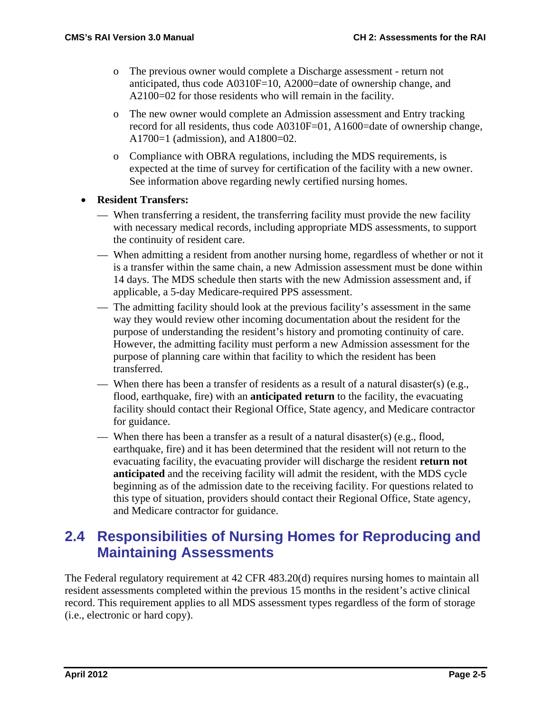- o The previous owner would complete a Discharge assessment return not anticipated, thus code A0310F=10, A2000=date of ownership change, and A2100=02 for those residents who will remain in the facility.
- o The new owner would complete an Admission assessment and Entry tracking record for all residents, thus code A0310F=01, A1600=date of ownership change, A1700=1 (admission), and A1800=02.
- o Compliance with OBRA regulations, including the MDS requirements, is expected at the time of survey for certification of the facility with a new owner. See information above regarding newly certified nursing homes.
- **Resident Transfers:**
	- When transferring a resident, the transferring facility must provide the new facility with necessary medical records, including appropriate MDS assessments, to support the continuity of resident care.
	- When admitting a resident from another nursing home, regardless of whether or not it is a transfer within the same chain, a new Admission assessment must be done within 14 days. The MDS schedule then starts with the new Admission assessment and, if applicable, a 5-day Medicare-required PPS assessment.
	- The admitting facility should look at the previous facility's assessment in the same way they would review other incoming documentation about the resident for the purpose of understanding the resident's history and promoting continuity of care. However, the admitting facility must perform a new Admission assessment for the purpose of planning care within that facility to which the resident has been transferred.
	- When there has been a transfer of residents as a result of a natural disaster(s) (e.g., flood, earthquake, fire) with an **anticipated return** to the facility, the evacuating facility should contact their Regional Office, State agency, and Medicare contractor for guidance.
	- When there has been a transfer as a result of a natural disaster(s) (e.g., flood, earthquake, fire) and it has been determined that the resident will not return to the evacuating facility, the evacuating provider will discharge the resident **return not anticipated** and the receiving facility will admit the resident, with the MDS cycle beginning as of the admission date to the receiving facility. For questions related to this type of situation, providers should contact their Regional Office, State agency, and Medicare contractor for guidance.

# **2.4 Responsibilities of Nursing Homes for Reproducing and Maintaining Assessments**

The Federal regulatory requirement at 42 CFR 483.20(d) requires nursing homes to maintain all resident assessments completed within the previous 15 months in the resident's active clinical record. This requirement applies to all MDS assessment types regardless of the form of storage (i.e., electronic or hard copy).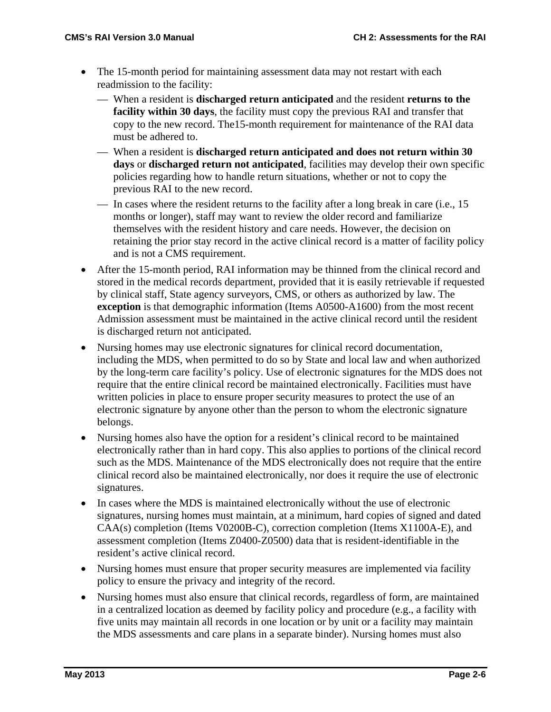- The 15-month period for maintaining assessment data may not restart with each readmission to the facility:
	- When a resident is **discharged return anticipated** and the resident **returns to the facility within 30 days**, the facility must copy the previous RAI and transfer that copy to the new record. The15-month requirement for maintenance of the RAI data must be adhered to.
	- When a resident is **discharged return anticipated and does not return within 30 days** or **discharged return not anticipated**, facilities may develop their own specific policies regarding how to handle return situations, whether or not to copy the previous RAI to the new record.
	- In cases where the resident returns to the facility after a long break in care (i.e., 15 months or longer), staff may want to review the older record and familiarize themselves with the resident history and care needs. However, the decision on retaining the prior stay record in the active clinical record is a matter of facility policy and is not a CMS requirement.
- After the 15-month period, RAI information may be thinned from the clinical record and stored in the medical records department, provided that it is easily retrievable if requested by clinical staff, State agency surveyors, CMS, or others as authorized by law. The **exception** is that demographic information (Items A0500-A1600) from the most recent Admission assessment must be maintained in the active clinical record until the resident is discharged return not anticipated.
- Nursing homes may use electronic signatures for clinical record documentation, including the MDS, when permitted to do so by State and local law and when authorized by the long-term care facility's policy. Use of electronic signatures for the MDS does not require that the entire clinical record be maintained electronically. Facilities must have written policies in place to ensure proper security measures to protect the use of an electronic signature by anyone other than the person to whom the electronic signature belongs.
- Nursing homes also have the option for a resident's clinical record to be maintained electronically rather than in hard copy. This also applies to portions of the clinical record such as the MDS. Maintenance of the MDS electronically does not require that the entire clinical record also be maintained electronically, nor does it require the use of electronic signatures.
- In cases where the MDS is maintained electronically without the use of electronic signatures, nursing homes must maintain, at a minimum, hard copies of signed and dated CAA(s) completion (Items V0200B-C), correction completion (Items X1100A-E), and assessment completion (Items Z0400-Z0500) data that is resident-identifiable in the resident's active clinical record.
- Nursing homes must ensure that proper security measures are implemented via facility policy to ensure the privacy and integrity of the record.
- Nursing homes must also ensure that clinical records, regardless of form, are maintained in a centralized location as deemed by facility policy and procedure (e.g., a facility with five units may maintain all records in one location or by unit or a facility may maintain the MDS assessments and care plans in a separate binder). Nursing homes must also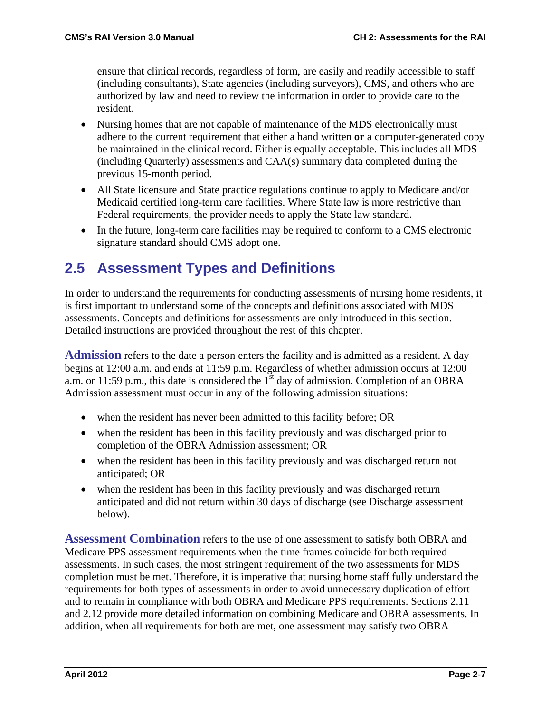ensure that clinical records, regardless of form, are easily and readily accessible to staff (including consultants), State agencies (including surveyors), CMS, and others who are authorized by law and need to review the information in order to provide care to the resident.

- Nursing homes that are not capable of maintenance of the MDS electronically must adhere to the current requirement that either a hand written **or** a computer-generated copy be maintained in the clinical record. Either is equally acceptable. This includes all MDS (including Quarterly) assessments and CAA(s) summary data completed during the previous 15-month period.
- All State licensure and State practice regulations continue to apply to Medicare and/or Medicaid certified long-term care facilities. Where State law is more restrictive than Federal requirements, the provider needs to apply the State law standard.
- In the future, long-term care facilities may be required to conform to a CMS electronic signature standard should CMS adopt one.

# **2.5 Assessment Types and Definitions**

In order to understand the requirements for conducting assessments of nursing home residents, it is first important to understand some of the concepts and definitions associated with MDS assessments. Concepts and definitions for assessments are only introduced in this section. Detailed instructions are provided throughout the rest of this chapter.

**Admission** refers to the date a person enters the facility and is admitted as a resident. A day begins at 12:00 a.m. and ends at 11:59 p.m. Regardless of whether admission occurs at 12:00 a.m. or 11:59 p.m., this date is considered the  $1<sup>st</sup>$  day of admission. Completion of an OBRA Admission assessment must occur in any of the following admission situations:

- when the resident has never been admitted to this facility before; OR
- when the resident has been in this facility previously and was discharged prior to completion of the OBRA Admission assessment; OR
- when the resident has been in this facility previously and was discharged return not anticipated; OR
- when the resident has been in this facility previously and was discharged return anticipated and did not return within 30 days of discharge (see Discharge assessment below).

**Assessment Combination** refers to the use of one assessment to satisfy both OBRA and Medicare PPS assessment requirements when the time frames coincide for both required assessments. In such cases, the most stringent requirement of the two assessments for MDS completion must be met. Therefore, it is imperative that nursing home staff fully understand the requirements for both types of assessments in order to avoid unnecessary duplication of effort and to remain in compliance with both OBRA and Medicare PPS requirements. Sections 2.11 and 2.12 provide more detailed information on combining Medicare and OBRA assessments. In addition, when all requirements for both are met, one assessment may satisfy two OBRA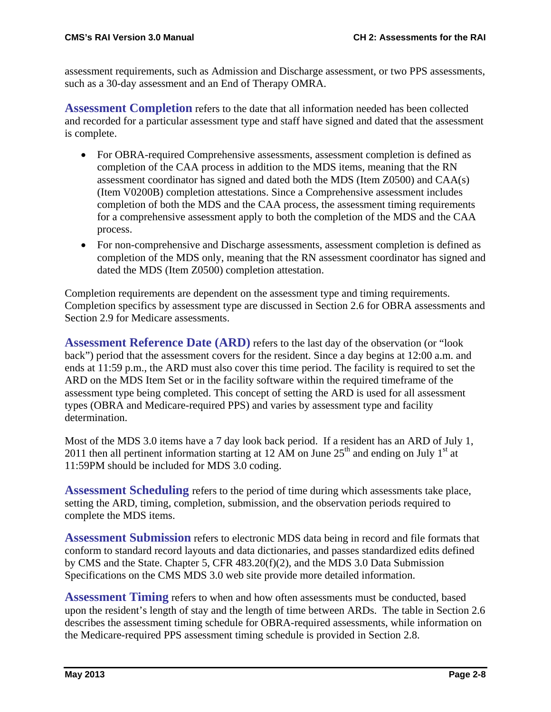assessment requirements, such as Admission and Discharge assessment, or two PPS assessments, such as a 30-day assessment and an End of Therapy OMRA.

**Assessment Completion** refers to the date that all information needed has been collected and recorded for a particular assessment type and staff have signed and dated that the assessment is complete.

- For OBRA-required Comprehensive assessments, assessment completion is defined as completion of the CAA process in addition to the MDS items, meaning that the RN assessment coordinator has signed and dated both the MDS (Item Z0500) and CAA(s) (Item V0200B) completion attestations. Since a Comprehensive assessment includes completion of both the MDS and the CAA process, the assessment timing requirements for a comprehensive assessment apply to both the completion of the MDS and the CAA process.
- For non-comprehensive and Discharge assessments, assessment completion is defined as completion of the MDS only, meaning that the RN assessment coordinator has signed and dated the MDS (Item Z0500) completion attestation.

Completion requirements are dependent on the assessment type and timing requirements. Completion specifics by assessment type are discussed in Section 2.6 for OBRA assessments and Section 2.9 for Medicare assessments.

**Assessment Reference Date (ARD)** refers to the last day of the observation (or "look back") period that the assessment covers for the resident. Since a day begins at 12:00 a.m. and ends at 11:59 p.m., the ARD must also cover this time period. The facility is required to set the ARD on the MDS Item Set or in the facility software within the required timeframe of the assessment type being completed. This concept of setting the ARD is used for all assessment types (OBRA and Medicare-required PPS) and varies by assessment type and facility determination.

Most of the MDS 3.0 items have a 7 day look back period. If a resident has an ARD of July 1, 2011 then all pertinent information starting at 12 AM on June  $25<sup>th</sup>$  and ending on July 1<sup>st</sup> at 11:59PM should be included for MDS 3.0 coding.

**Assessment Scheduling** refers to the period of time during which assessments take place, setting the ARD, timing, completion, submission, and the observation periods required to complete the MDS items.

**Assessment Submission** refers to electronic MDS data being in record and file formats that conform to standard record layouts and data dictionaries, and passes standardized edits defined by CMS and the State. Chapter 5, CFR 483.20(f)(2), and the MDS 3.0 Data Submission Specifications on the CMS MDS 3.0 web site provide more detailed information.

**Assessment Timing** refers to when and how often assessments must be conducted, based upon the resident's length of stay and the length of time between ARDs. The table in Section 2.6 describes the assessment timing schedule for OBRA-required assessments, while information on the Medicare-required PPS assessment timing schedule is provided in Section 2.8.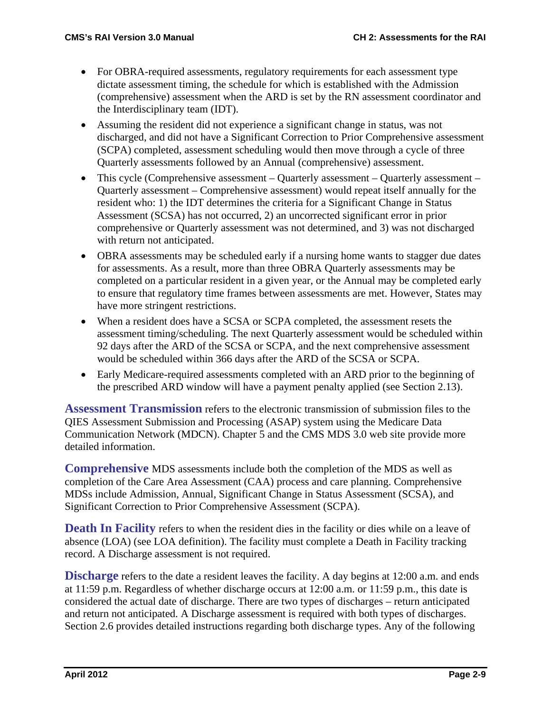- For OBRA-required assessments, regulatory requirements for each assessment type dictate assessment timing, the schedule for which is established with the Admission (comprehensive) assessment when the ARD is set by the RN assessment coordinator and the Interdisciplinary team (IDT).
- Assuming the resident did not experience a significant change in status, was not discharged, and did not have a Significant Correction to Prior Comprehensive assessment (SCPA) completed, assessment scheduling would then move through a cycle of three Quarterly assessments followed by an Annual (comprehensive) assessment.
- This cycle (Comprehensive assessment Quarterly assessment Quarterly assessment Quarterly assessment – Comprehensive assessment) would repeat itself annually for the resident who: 1) the IDT determines the criteria for a Significant Change in Status Assessment (SCSA) has not occurred, 2) an uncorrected significant error in prior comprehensive or Quarterly assessment was not determined, and 3) was not discharged with return not anticipated.
- OBRA assessments may be scheduled early if a nursing home wants to stagger due dates for assessments. As a result, more than three OBRA Quarterly assessments may be completed on a particular resident in a given year, or the Annual may be completed early to ensure that regulatory time frames between assessments are met. However, States may have more stringent restrictions.
- When a resident does have a SCSA or SCPA completed, the assessment resets the assessment timing/scheduling. The next Quarterly assessment would be scheduled within 92 days after the ARD of the SCSA or SCPA, and the next comprehensive assessment would be scheduled within 366 days after the ARD of the SCSA or SCPA.
- Early Medicare-required assessments completed with an ARD prior to the beginning of the prescribed ARD window will have a payment penalty applied (see Section 2.13).

**Assessment Transmission** refers to the electronic transmission of submission files to the QIES Assessment Submission and Processing (ASAP) system using the Medicare Data Communication Network (MDCN). Chapter 5 and the CMS MDS 3.0 web site provide more detailed information.

**Comprehensive** MDS assessments include both the completion of the MDS as well as completion of the Care Area Assessment (CAA) process and care planning. Comprehensive MDSs include Admission, Annual, Significant Change in Status Assessment (SCSA), and Significant Correction to Prior Comprehensive Assessment (SCPA).

**Death In Facility** refers to when the resident dies in the facility or dies while on a leave of absence (LOA) (see LOA definition). The facility must complete a Death in Facility tracking record. A Discharge assessment is not required.

**Discharge** refers to the date a resident leaves the facility. A day begins at 12:00 a.m. and ends at 11:59 p.m. Regardless of whether discharge occurs at 12:00 a.m. or 11:59 p.m., this date is considered the actual date of discharge. There are two types of discharges – return anticipated and return not anticipated. A Discharge assessment is required with both types of discharges. Section 2.6 provides detailed instructions regarding both discharge types. Any of the following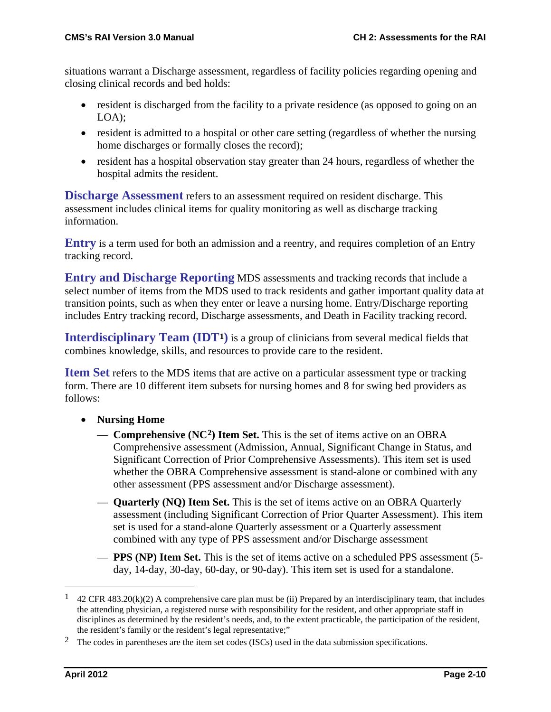situations warrant a Discharge assessment, regardless of facility policies regarding opening and closing clinical records and bed holds:

- resident is discharged from the facility to a private residence (as opposed to going on an LOA);
- resident is admitted to a hospital or other care setting (regardless of whether the nursing home discharges or formally closes the record);
- resident has a hospital observation stay greater than 24 hours, regardless of whether the hospital admits the resident.

**Discharge Assessment** refers to an assessment required on resident discharge. This assessment includes clinical items for quality monitoring as well as discharge tracking information.

**Entry** is a term used for both an admission and a reentry, and requires completion of an Entry tracking record.

**Entry and Discharge Reporting** MDS assessments and tracking records that include a select number of items from the MDS used to track residents and gather important quality data at transition points, such as when they enter or leave a nursing home. Entry/Discharge reporting includes Entry tracking record, Discharge assessments, and Death in Facility tracking record.

**Interdisciplinary Team (IDT[1\)](#page-9-0)** is a group of clinicians from several medical fields that combines knowledge, skills, and resources to provide care to the resident.

**Item Set** refers to the MDS items that are active on a particular assessment type or tracking form. There are 10 different item subsets for nursing homes and 8 for swing bed providers as follows:

- **Nursing Home**
	- **Comprehensive (NC[2](#page-9-1)) Item Set.** This is the set of items active on an OBRA Comprehensive assessment (Admission, Annual, Significant Change in Status, and Significant Correction of Prior Comprehensive Assessments). This item set is used whether the OBRA Comprehensive assessment is stand-alone or combined with any other assessment (PPS assessment and/or Discharge assessment).
	- **Quarterly (NQ) Item Set.** This is the set of items active on an OBRA Quarterly assessment (including Significant Correction of Prior Quarter Assessment). This item set is used for a stand-alone Quarterly assessment or a Quarterly assessment combined with any type of PPS assessment and/or Discharge assessment
	- **PPS (NP) Item Set.** This is the set of items active on a scheduled PPS assessment (5 day, 14-day, 30-day, 60-day, or 90-day). This item set is used for a standalone.

<span id="page-9-0"></span><sup>&</sup>lt;sup>1</sup> 42 CFR 483.20(k)(2) A comprehensive care plan must be (ii) Prepared by an interdisciplinary team, that includes the attending physician, a registered nurse with responsibility for the resident, and other appropriate staff in disciplines as determined by the resident's needs, and, to the extent practicable, the participation of the resident, the resident's family or the resident's legal representative;"

<span id="page-9-1"></span><sup>&</sup>lt;sup>2</sup> The codes in parentheses are the item set codes (ISCs) used in the data submission specifications.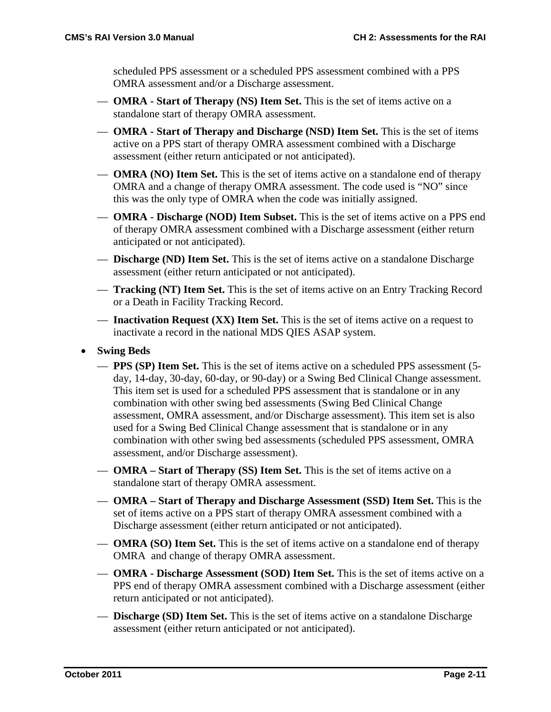scheduled PPS assessment or a scheduled PPS assessment combined with a PPS OMRA assessment and/or a Discharge assessment.

- **OMRA - Start of Therapy (NS) Item Set.** This is the set of items active on a standalone start of therapy OMRA assessment.
- **OMRA - Start of Therapy and Discharge (NSD) Item Set.** This is the set of items active on a PPS start of therapy OMRA assessment combined with a Discharge assessment (either return anticipated or not anticipated).
- **OMRA (NO) Item Set.** This is the set of items active on a standalone end of therapy OMRA and a change of therapy OMRA assessment. The code used is "NO" since this was the only type of OMRA when the code was initially assigned.
- **OMRA - Discharge (NOD) Item Subset.** This is the set of items active on a PPS end of therapy OMRA assessment combined with a Discharge assessment (either return anticipated or not anticipated).
- **Discharge (ND) Item Set.** This is the set of items active on a standalone Discharge assessment (either return anticipated or not anticipated).
- **Tracking (NT) Item Set.** This is the set of items active on an Entry Tracking Record or a Death in Facility Tracking Record.
- **Inactivation Request (XX) Item Set.** This is the set of items active on a request to inactivate a record in the national MDS QIES ASAP system.
- **Swing Beds**
	- **PPS (SP) Item Set.** This is the set of items active on a scheduled PPS assessment (5 day, 14-day, 30-day, 60-day, or 90-day) or a Swing Bed Clinical Change assessment. This item set is used for a scheduled PPS assessment that is standalone or in any combination with other swing bed assessments (Swing Bed Clinical Change assessment, OMRA assessment, and/or Discharge assessment). This item set is also used for a Swing Bed Clinical Change assessment that is standalone or in any combination with other swing bed assessments (scheduled PPS assessment, OMRA assessment, and/or Discharge assessment).
	- **OMRA – Start of Therapy (SS) Item Set.** This is the set of items active on a standalone start of therapy OMRA assessment.
	- **OMRA – Start of Therapy and Discharge Assessment (SSD) Item Set.** This is the set of items active on a PPS start of therapy OMRA assessment combined with a Discharge assessment (either return anticipated or not anticipated).
	- **OMRA (SO) Item Set.** This is the set of items active on a standalone end of therapy OMRA and change of therapy OMRA assessment.
	- **OMRA - Discharge Assessment (SOD) Item Set.** This is the set of items active on a PPS end of therapy OMRA assessment combined with a Discharge assessment (either return anticipated or not anticipated).
	- **Discharge (SD) Item Set.** This is the set of items active on a standalone Discharge assessment (either return anticipated or not anticipated).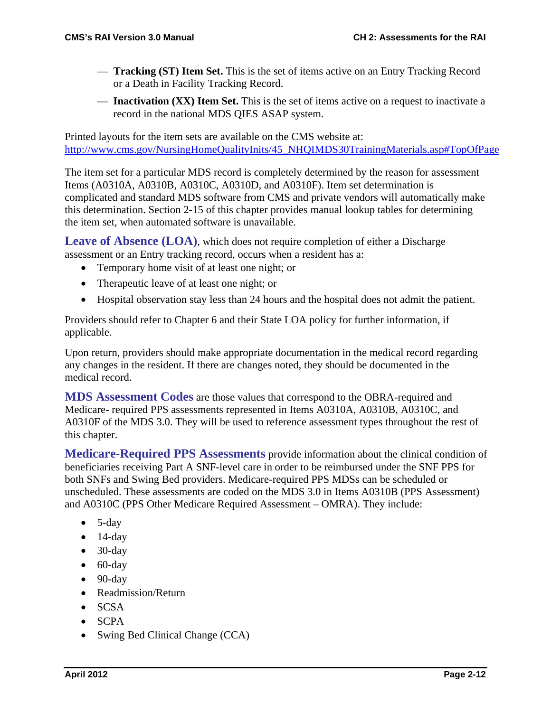- **Tracking (ST) Item Set.** This is the set of items active on an Entry Tracking Record or a Death in Facility Tracking Record.
- **Inactivation (XX) Item Set.** This is the set of items active on a request to inactivate a record in the national MDS QIES ASAP system.

Printed layouts for the item sets are available on the CMS website at: [http://www.cms.gov/NursingHomeQualityInits/45\\_NHQIMDS30TrainingMaterials.asp#TopOfPage](http://www.cms.gov/NursingHomeQualityInits/45_NHQIMDS30TrainingMaterials.asp#TopOfPage)

The item set for a particular MDS record is completely determined by the reason for assessment Items (A0310A, A0310B, A0310C, A0310D, and A0310F). Item set determination is complicated and standard MDS software from CMS and private vendors will automatically make this determination. Section 2-15 of this chapter provides manual lookup tables for determining the item set, when automated software is unavailable.

Leave of Absence (LOA), which does not require completion of either a Discharge assessment or an Entry tracking record, occurs when a resident has a:

- Temporary home visit of at least one night; or
- Therapeutic leave of at least one night; or
- Hospital observation stay less than 24 hours and the hospital does not admit the patient.

Providers should refer to Chapter 6 and their State LOA policy for further information, if applicable.

Upon return, providers should make appropriate documentation in the medical record regarding any changes in the resident. If there are changes noted, they should be documented in the medical record.

**MDS Assessment Codes** are those values that correspond to the OBRA-required and Medicare- required PPS assessments represented in Items A0310A, A0310B, A0310C, and A0310F of the MDS 3.0. They will be used to reference assessment types throughout the rest of this chapter.

**Medicare-Required PPS Assessments** provide information about the clinical condition of beneficiaries receiving Part A SNF-level care in order to be reimbursed under the SNF PPS for both SNFs and Swing Bed providers. Medicare-required PPS MDSs can be scheduled or unscheduled. These assessments are coded on the MDS 3.0 in Items A0310B (PPS Assessment) and A0310C (PPS Other Medicare Required Assessment – OMRA). They include:

- $\bullet$  5-day
- $\bullet$  14-day
- $\bullet$  30-day
- $\bullet$  60-day
- $\bullet$  90-day
- Readmission/Return
- SCSA
- SCPA
- Swing Bed Clinical Change (CCA)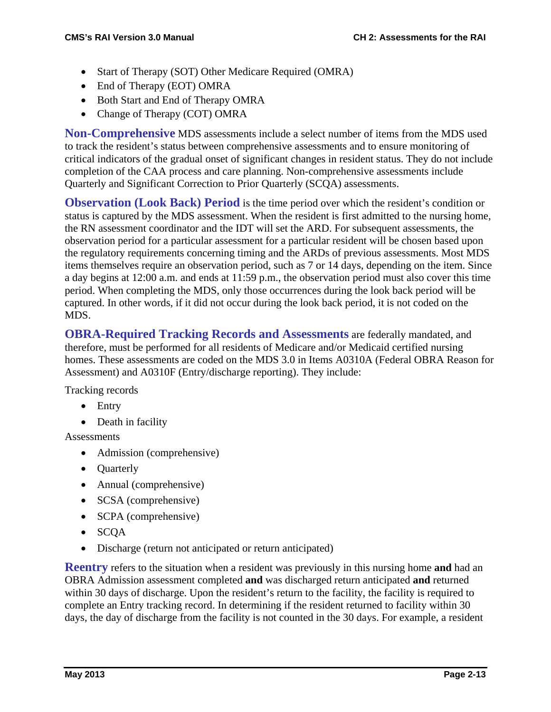- Start of Therapy (SOT) Other Medicare Required (OMRA)
- End of Therapy (EOT) OMRA
- Both Start and End of Therapy OMRA
- Change of Therapy (COT) OMRA

**Non-Comprehensive** MDS assessments include a select number of items from the MDS used to track the resident's status between comprehensive assessments and to ensure monitoring of critical indicators of the gradual onset of significant changes in resident status. They do not include completion of the CAA process and care planning. Non-comprehensive assessments include Quarterly and Significant Correction to Prior Quarterly (SCQA) assessments.

**Observation (Look Back) Period** is the time period over which the resident's condition or status is captured by the MDS assessment. When the resident is first admitted to the nursing home, the RN assessment coordinator and the IDT will set the ARD. For subsequent assessments, the observation period for a particular assessment for a particular resident will be chosen based upon the regulatory requirements concerning timing and the ARDs of previous assessments. Most MDS items themselves require an observation period, such as 7 or 14 days, depending on the item. Since a day begins at 12:00 a.m. and ends at 11:59 p.m., the observation period must also cover this time period. When completing the MDS, only those occurrences during the look back period will be captured. In other words, if it did not occur during the look back period, it is not coded on the MDS.

**OBRA-Required Tracking Records and Assessments** are federally mandated, and therefore, must be performed for all residents of Medicare and/or Medicaid certified nursing homes. These assessments are coded on the MDS 3.0 in Items A0310A (Federal OBRA Reason for Assessment) and A0310F (Entry/discharge reporting). They include:

Tracking records

- Entry
- Death in facility

**Assessments** 

- Admission (comprehensive)
- Ouarterly
- Annual (comprehensive)
- SCSA (comprehensive)
- **SCPA** (comprehensive)
- SCQA
- Discharge (return not anticipated or return anticipated)

**Reentry** refers to the situation when a resident was previously in this nursing home **and** had an OBRA Admission assessment completed **and** was discharged return anticipated **and** returned within 30 days of discharge. Upon the resident's return to the facility, the facility is required to complete an Entry tracking record. In determining if the resident returned to facility within 30 days, the day of discharge from the facility is not counted in the 30 days. For example, a resident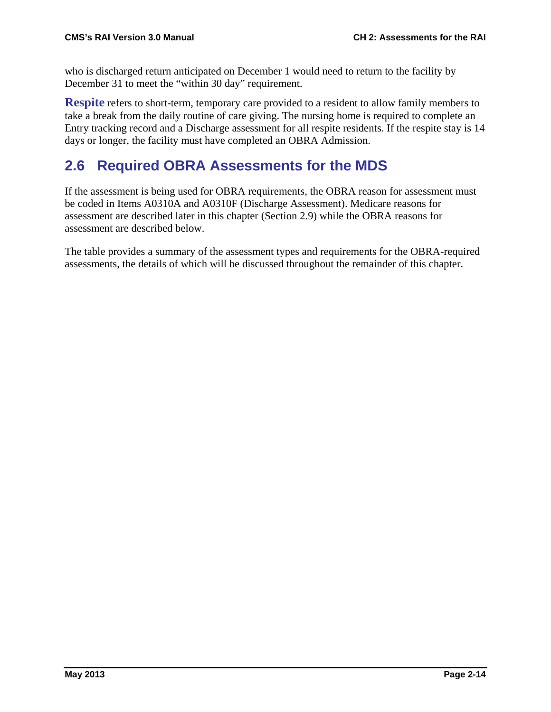who is discharged return anticipated on December 1 would need to return to the facility by December 31 to meet the "within 30 day" requirement.

**Respite** refers to short-term, temporary care provided to a resident to allow family members to take a break from the daily routine of care giving. The nursing home is required to complete an Entry tracking record and a Discharge assessment for all respite residents. If the respite stay is 14 days or longer, the facility must have completed an OBRA Admission.

# **2.6 Required OBRA Assessments for the MDS**

If the assessment is being used for OBRA requirements, the OBRA reason for assessment must be coded in Items A0310A and A0310F (Discharge Assessment). Medicare reasons for assessment are described later in this chapter (Section 2.9) while the OBRA reasons for assessment are described below.

The table provides a summary of the assessment types and requirements for the OBRA-required assessments, the details of which will be discussed throughout the remainder of this chapter.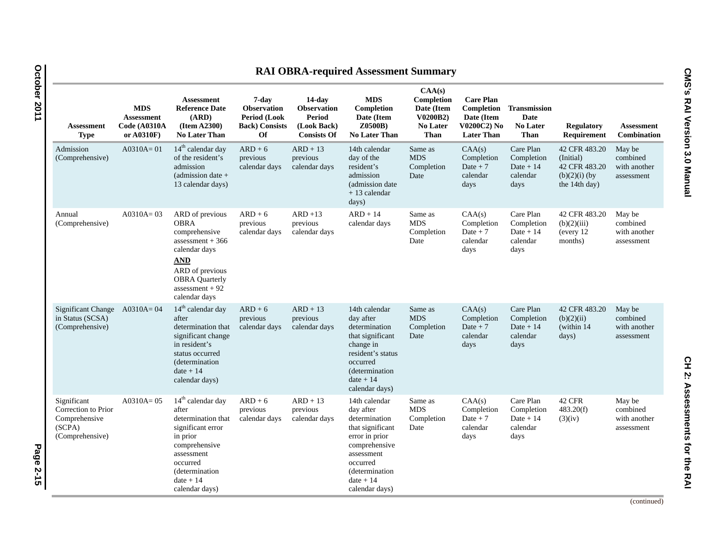| <b>RAI OBRA-required Assessment Summary</b>                                      |                                                        |                                                                                                                                                                                              |                                                                                   |                                                                                       |                                                                                                                                                                                 |                                                                                         |                                                                                         |                                                           |                                                                                 |                                                  |
|----------------------------------------------------------------------------------|--------------------------------------------------------|----------------------------------------------------------------------------------------------------------------------------------------------------------------------------------------------|-----------------------------------------------------------------------------------|---------------------------------------------------------------------------------------|---------------------------------------------------------------------------------------------------------------------------------------------------------------------------------|-----------------------------------------------------------------------------------------|-----------------------------------------------------------------------------------------|-----------------------------------------------------------|---------------------------------------------------------------------------------|--------------------------------------------------|
| <b>Assessment</b><br><b>Type</b>                                                 | <b>MDS</b><br>Assessment<br>Code (A0310A<br>or A0310F) | <b>Assessment</b><br><b>Reference Date</b><br>(ARD)<br>(Item A2300)<br><b>No Later Than</b>                                                                                                  | 7-day<br><b>Observation</b><br>Period (Look<br><b>Back)</b> Consists<br><b>Of</b> | $14$ -day<br><b>Observation</b><br><b>Period</b><br>(Look Back)<br><b>Consists Of</b> | <b>MDS</b><br>Completion<br>Date (Item<br>Z0500B)<br><b>No Later Than</b>                                                                                                       | CAA(s)<br>Completion<br>Date (Item<br><b>V0200B2)</b><br><b>No Later</b><br><b>Than</b> | <b>Care Plan</b><br><b>Completion</b><br>Date (Item<br>V0200C2) No<br><b>Later Than</b> | Transmission<br>Date<br><b>No Later</b><br>Than           | <b>Regulatory</b><br>Requirement                                                | <b>Assessment</b><br><b>Combination</b>          |
| Admission<br>(Comprehensive)                                                     | $A0310A = 01$                                          | $14th$ calendar day<br>of the resident's<br>admission<br>(admission date $+$<br>13 calendar days)                                                                                            | $ARD + 6$<br>previous<br>calendar days                                            | $ARD + 13$<br>previous<br>calendar days                                               | 14th calendar<br>day of the<br>resident's<br>admission<br>(admission date)<br>$+13$ calendar<br>days)                                                                           | Same as<br><b>MDS</b><br>Completion<br>Date                                             | CAA(s)<br>Completion<br>Date $+7$<br>calendar<br>days                                   | Care Plan<br>Completion<br>Date $+14$<br>calendar<br>days | 42 CFR 483.20<br>(Initial)<br>42 CFR 483.20<br>$(b)(2)(i)$ (by<br>the 14th day) | May be<br>combined<br>with another<br>assessment |
| Annual<br>(Comprehensive)                                                        | $A0310A = 03$                                          | ARD of previous<br><b>OBRA</b><br>comprehensive<br>assessment $+366$<br>calendar days<br><b>AND</b><br>ARD of previous<br><b>OBRA</b> Quarterly<br>assessment $+92$<br>calendar days         | $ARD + 6$<br>previous<br>calendar days                                            | $ARD + 13$<br>previous<br>calendar days                                               | $ARD + 14$<br>calendar days                                                                                                                                                     | Same as<br><b>MDS</b><br>Completion<br>Date                                             | CAA(s)<br>Completion<br>Date $+7$<br>calendar<br>days                                   | Care Plan<br>Completion<br>Date $+14$<br>calendar<br>days | 42 CFR 483.20<br>(b)(2)(iii)<br>(every 12)<br>months)                           | May be<br>combined<br>with another<br>assessment |
| Significant Change<br>in Status (SCSA)<br>(Comprehensive)                        | $A0310A = 04$                                          | 14 <sup>th</sup> calendar day<br>after<br>determination that<br>significant change<br>in resident's<br>status occurred<br>(determination)<br>$date + 14$<br>calendar days)                   | $ARD + 6$<br>previous<br>calendar days                                            | $ARD + 13$<br>previous<br>calendar days                                               | 14th calendar<br>day after<br>determination<br>that significant<br>change in<br>resident's status<br>occurred<br><i>(determination)</i><br>$date + 14$<br>calendar days)        | Same as<br><b>MDS</b><br>Completion<br>Date                                             | CAA(s)<br>Completion<br>Date $+7$<br>calendar<br>days                                   | Care Plan<br>Completion<br>Date $+14$<br>calendar<br>days | 42 CFR 483.20<br>(b)(2)(ii)<br>(within 14)<br>days)                             | May be<br>combined<br>with another<br>assessment |
| Significant<br>Correction to Prior<br>Comprehensive<br>(SCPA)<br>(Comprehensive) | $A0310A = 05$                                          | 14 <sup>th</sup> calendar day<br>after<br>determination that<br>significant error<br>in prior<br>comprehensive<br>assessment<br>occurred<br>(determination)<br>$date + 14$<br>calendar days) | $ARD + 6$<br>previous<br>calendar days                                            | $ARD + 13$<br>previous<br>calendar days                                               | 14th calendar<br>day after<br>determination<br>that significant<br>error in prior<br>comprehensive<br>assessment<br>occurred<br>(determination<br>$date + 14$<br>calendar days) | Same as<br><b>MDS</b><br>Completion<br>Date                                             | CAA(s)<br>Completion<br>Date $+7$<br>calendar<br>days                                   | Care Plan<br>Completion<br>Date $+14$<br>calendar<br>days | 42 CFR<br>483.20(f)<br>(3)(iv)                                                  | May be<br>combined<br>with another<br>assessment |

CMS's RAI Version 3.0 Manual

**Assessments for the RAI**

(continued)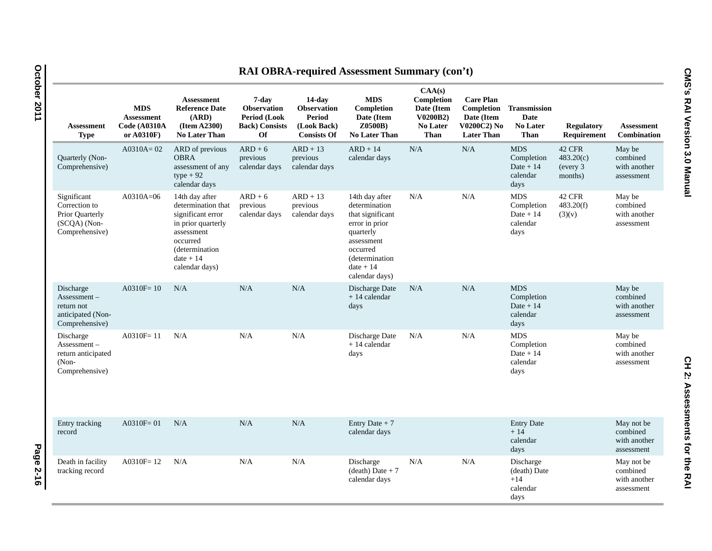| <b>RAI OBRA-required Assessment Summary (con't)</b>                               |                                                               |                                                                                                                                                               |                                                                                          |                                                                                       |                                                                                                                                                                 |                                                                           |                                                                                  |                                                               |                                             |                                                      |  |
|-----------------------------------------------------------------------------------|---------------------------------------------------------------|---------------------------------------------------------------------------------------------------------------------------------------------------------------|------------------------------------------------------------------------------------------|---------------------------------------------------------------------------------------|-----------------------------------------------------------------------------------------------------------------------------------------------------------------|---------------------------------------------------------------------------|----------------------------------------------------------------------------------|---------------------------------------------------------------|---------------------------------------------|------------------------------------------------------|--|
| <b>Assessment</b><br><b>Type</b>                                                  | <b>MDS</b><br><b>Assessment</b><br>Code (A0310A<br>or A0310F) | <b>Assessment</b><br><b>Reference Date</b><br>(ARD)<br>(Item A2300)<br><b>No Later Than</b>                                                                   | 7-day<br><b>Observation</b><br><b>Period (Look</b><br><b>Back)</b> Consists<br><b>Of</b> | $14$ -day<br><b>Observation</b><br><b>Period</b><br>(Look Back)<br><b>Consists Of</b> | <b>MDS</b><br>Completion<br>Date (Item<br>Z0500B)<br><b>No Later Than</b>                                                                                       | CAA(s)<br>Completion<br>Date (Item<br>V0200B2)<br>No Later<br><b>Than</b> | <b>Care Plan</b><br>Completion<br>Date (Item<br>V0200C2) No<br><b>Later Than</b> | <b>Transmission</b><br>Date<br><b>No Later</b><br><b>Than</b> | <b>Regulatory</b><br>Requirement            | <b>Assessment</b><br>Combination                     |  |
| Quarterly (Non-<br>Comprehensive)                                                 | $A0310A = 02$                                                 | ARD of previous<br><b>OBRA</b><br>assessment of any<br>$type + 92$<br>calendar days                                                                           | $ARD + 6$<br>previous<br>calendar days                                                   | $ARD + 13$<br>previous<br>calendar days                                               | $ARD + 14$<br>calendar days                                                                                                                                     | N/A                                                                       | N/A                                                                              | <b>MDS</b><br>Completion<br>Date $+14$<br>calendar<br>days    | 42 CFR<br>483.20(c)<br>(every 3)<br>months) | May be<br>combined<br>with another<br>assessment     |  |
| Significant<br>Correction to<br>Prior Quarterly<br>(SCQA) (Non-<br>Comprehensive) | $A0310A=06$                                                   | 14th day after<br>determination that<br>significant error<br>in prior quarterly<br>assessment<br>occurred<br>(determination)<br>$date + 14$<br>calendar days) | $ARD + 6$<br>previous<br>calendar days                                                   | $ARD + 13$<br>previous<br>calendar days                                               | 14th day after<br>determination<br>that significant<br>error in prior<br>quarterly<br>assessment<br>occurred<br>(determination<br>$date + 14$<br>calendar days) | N/A                                                                       | N/A                                                                              | <b>MDS</b><br>Completion<br>Date $+14$<br>calendar<br>days    | 42 CFR<br>483.20(f)<br>(3)(v)               | May be<br>combined<br>with another<br>assessment     |  |
| Discharge<br>$Assessment -$<br>return not<br>anticipated (Non-<br>Comprehensive)  | A0310F=10                                                     | N/A                                                                                                                                                           | N/A                                                                                      | N/A                                                                                   | Discharge Date<br>$+14$ calendar<br>days                                                                                                                        | N/A                                                                       | N/A                                                                              | <b>MDS</b><br>Completion<br>Date $+14$<br>calendar<br>days    |                                             | May be<br>combined<br>with another<br>assessment     |  |
| Discharge<br>$Assessment -$<br>return anticipated<br>$(Non-$<br>Comprehensive)    | $A0310F = 11$                                                 | N/A                                                                                                                                                           | N/A                                                                                      | N/A                                                                                   | Discharge Date<br>$+14$ calendar<br>days                                                                                                                        | N/A                                                                       | N/A                                                                              | <b>MDS</b><br>Completion<br>Date $+14$<br>calendar<br>days    |                                             | May be<br>combined<br>with another<br>assessment     |  |
| Entry tracking<br>record                                                          | $A0310F = 01$                                                 | N/A                                                                                                                                                           | N/A                                                                                      | N/A                                                                                   | Entry Date $+7$<br>calendar days                                                                                                                                |                                                                           |                                                                                  | <b>Entry Date</b><br>$+14$<br>calendar<br>days                |                                             | May not be<br>combined<br>with another<br>assessment |  |
| Death in facility<br>tracking record                                              | $A0310F = 12$                                                 | N/A                                                                                                                                                           | N/A                                                                                      | N/A                                                                                   | Discharge<br>$(d$ eath) Date + 7<br>calendar days                                                                                                               | N/A                                                                       | N/A                                                                              | Discharge<br>(death) Date<br>$+14$<br>calendar<br>days        |                                             | May not be<br>combined<br>with another<br>assessment |  |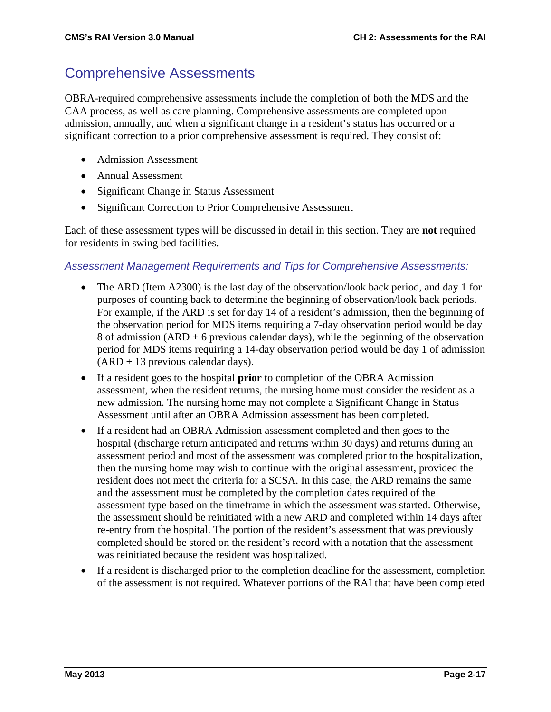# Comprehensive Assessments

OBRA-required comprehensive assessments include the completion of both the MDS and the CAA process, as well as care planning. Comprehensive assessments are completed upon admission, annually, and when a significant change in a resident's status has occurred or a significant correction to a prior comprehensive assessment is required. They consist of:

- Admission Assessment
- Annual Assessment
- Significant Change in Status Assessment
- Significant Correction to Prior Comprehensive Assessment

Each of these assessment types will be discussed in detail in this section. They are **not** required for residents in swing bed facilities.

#### *Assessment Management Requirements and Tips for Comprehensive Assessments:*

- The ARD (Item A2300) is the last day of the observation/look back period, and day 1 for purposes of counting back to determine the beginning of observation/look back periods. For example, if the ARD is set for day 14 of a resident's admission, then the beginning of the observation period for MDS items requiring a 7-day observation period would be day 8 of admission  $(ARD + 6$  previous calendar days), while the beginning of the observation period for MDS items requiring a 14-day observation period would be day 1 of admission  $(ARD + 13$  previous calendar days).
- If a resident goes to the hospital **prior** to completion of the OBRA Admission assessment, when the resident returns, the nursing home must consider the resident as a new admission. The nursing home may not complete a Significant Change in Status Assessment until after an OBRA Admission assessment has been completed.
- If a resident had an OBRA Admission assessment completed and then goes to the hospital (discharge return anticipated and returns within 30 days) and returns during an assessment period and most of the assessment was completed prior to the hospitalization, then the nursing home may wish to continue with the original assessment, provided the resident does not meet the criteria for a SCSA. In this case, the ARD remains the same and the assessment must be completed by the completion dates required of the assessment type based on the timeframe in which the assessment was started. Otherwise, the assessment should be reinitiated with a new ARD and completed within 14 days after re-entry from the hospital. The portion of the resident's assessment that was previously completed should be stored on the resident's record with a notation that the assessment was reinitiated because the resident was hospitalized.
- If a resident is discharged prior to the completion deadline for the assessment, completion of the assessment is not required. Whatever portions of the RAI that have been completed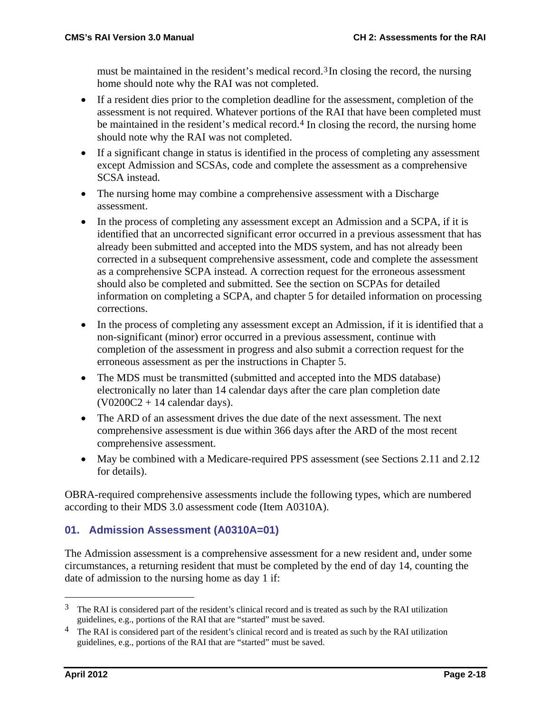must be maintained in the resident's medical record.<sup>[3](#page-17-0)</sup>In closing the record, the nursing home should note why the RAI was not completed.

- If a resident dies prior to the completion deadline for the assessment, completion of the assessment is not required. Whatever portions of the RAI that have been completed must be maintained in the resident's medical record.<sup>[4](#page-17-1)</sup> In closing the record, the nursing home should note why the RAI was not completed.
- If a significant change in status is identified in the process of completing any assessment except Admission and SCSAs, code and complete the assessment as a comprehensive SCSA instead.
- The nursing home may combine a comprehensive assessment with a Discharge assessment.
- In the process of completing any assessment except an Admission and a SCPA, if it is identified that an uncorrected significant error occurred in a previous assessment that has already been submitted and accepted into the MDS system, and has not already been corrected in a subsequent comprehensive assessment, code and complete the assessment as a comprehensive SCPA instead. A correction request for the erroneous assessment should also be completed and submitted. See the section on SCPAs for detailed information on completing a SCPA, and chapter 5 for detailed information on processing corrections.
- In the process of completing any assessment except an Admission, if it is identified that a non-significant (minor) error occurred in a previous assessment, continue with completion of the assessment in progress and also submit a correction request for the erroneous assessment as per the instructions in Chapter 5.
- The MDS must be transmitted (submitted and accepted into the MDS database) electronically no later than 14 calendar days after the care plan completion date  $(V0200C2 + 14$  calendar days).
- The ARD of an assessment drives the due date of the next assessment. The next comprehensive assessment is due within 366 days after the ARD of the most recent comprehensive assessment.
- May be combined with a Medicare-required PPS assessment (see Sections 2.11 and 2.12 for details).

OBRA-required comprehensive assessments include the following types, which are numbered according to their MDS 3.0 assessment code (Item A0310A).

# **01. Admission Assessment (A0310A=01)**

The Admission assessment is a comprehensive assessment for a new resident and, under some circumstances, a returning resident that must be completed by the end of day 14, counting the date of admission to the nursing home as day 1 if:

<span id="page-17-0"></span><sup>&</sup>lt;sup>3</sup> The RAI is considered part of the resident's clinical record and is treated as such by the RAI utilization guidelines, e.g., portions of the RAI that are "started" must be saved.

<span id="page-17-1"></span><sup>&</sup>lt;sup>4</sup> The RAI is considered part of the resident's clinical record and is treated as such by the RAI utilization guidelines, e.g., portions of the RAI that are "started" must be saved.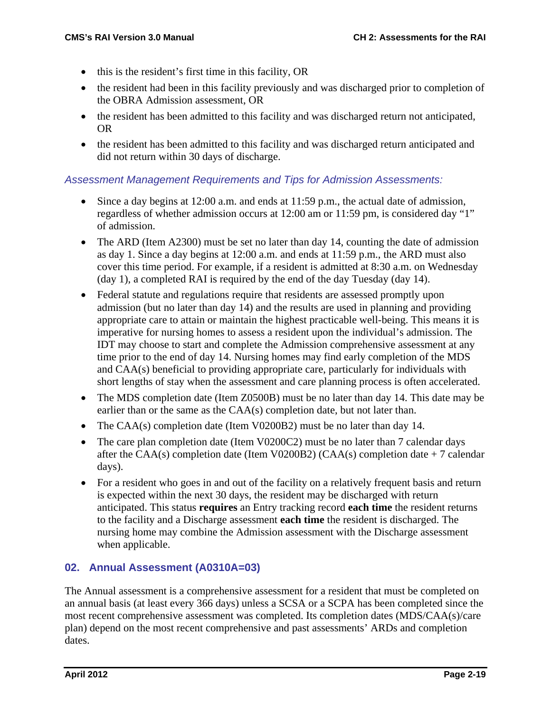- this is the resident's first time in this facility, OR
- the resident had been in this facility previously and was discharged prior to completion of the OBRA Admission assessment, OR
- the resident has been admitted to this facility and was discharged return not anticipated, OR
- the resident has been admitted to this facility and was discharged return anticipated and did not return within 30 days of discharge.

### *Assessment Management Requirements and Tips for Admission Assessments:*

- Since a day begins at 12:00 a.m. and ends at 11:59 p.m., the actual date of admission, regardless of whether admission occurs at 12:00 am or 11:59 pm, is considered day "1" of admission.
- The ARD (Item A2300) must be set no later than day 14, counting the date of admission as day 1. Since a day begins at 12:00 a.m. and ends at 11:59 p.m., the ARD must also cover this time period. For example, if a resident is admitted at 8:30 a.m. on Wednesday (day 1), a completed RAI is required by the end of the day Tuesday (day 14).
- Federal statute and regulations require that residents are assessed promptly upon admission (but no later than day 14) and the results are used in planning and providing appropriate care to attain or maintain the highest practicable well-being. This means it is imperative for nursing homes to assess a resident upon the individual's admission. The IDT may choose to start and complete the Admission comprehensive assessment at any time prior to the end of day 14. Nursing homes may find early completion of the MDS and CAA(s) beneficial to providing appropriate care, particularly for individuals with short lengths of stay when the assessment and care planning process is often accelerated.
- The MDS completion date (Item Z0500B) must be no later than day 14. This date may be earlier than or the same as the CAA(s) completion date, but not later than.
- The CAA(s) completion date (Item V0200B2) must be no later than day 14.
- The care plan completion date (Item V0200C2) must be no later than 7 calendar days after the CAA(s) completion date (Item V0200B2) (CAA(s) completion date  $+7$  calendar days).
- For a resident who goes in and out of the facility on a relatively frequent basis and return is expected within the next 30 days, the resident may be discharged with return anticipated. This status **requires** an Entry tracking record **each time** the resident returns to the facility and a Discharge assessment **each time** the resident is discharged. The nursing home may combine the Admission assessment with the Discharge assessment when applicable.

# **02. Annual Assessment (A0310A=03)**

The Annual assessment is a comprehensive assessment for a resident that must be completed on an annual basis (at least every 366 days) unless a SCSA or a SCPA has been completed since the most recent comprehensive assessment was completed. Its completion dates (MDS/CAA(s)/care plan) depend on the most recent comprehensive and past assessments' ARDs and completion dates.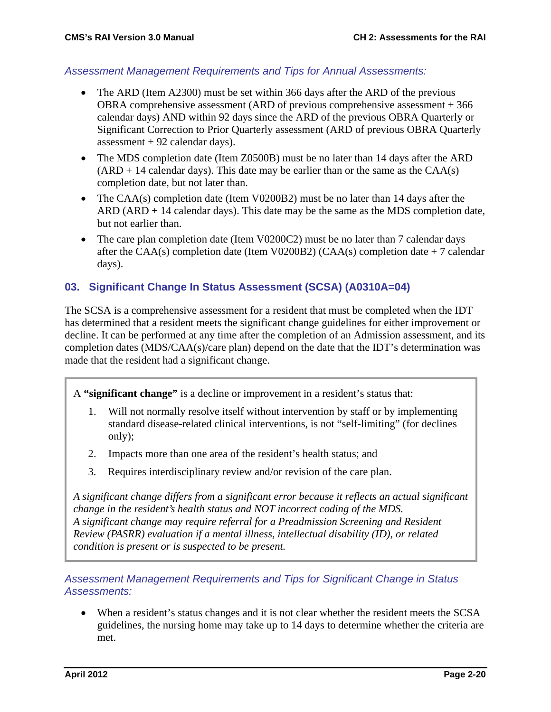#### *Assessment Management Requirements and Tips for Annual Assessments:*

- The ARD (Item A2300) must be set within 366 days after the ARD of the previous OBRA comprehensive assessment (ARD of previous comprehensive assessment + 366 calendar days) AND within 92 days since the ARD of the previous OBRA Quarterly or Significant Correction to Prior Quarterly assessment (ARD of previous OBRA Quarterly assessment  $+92$  calendar days).
- The MDS completion date (Item Z0500B) must be no later than 14 days after the ARD  $(ARD + 14$  calendar days). This date may be earlier than or the same as the  $CAA(s)$ completion date, but not later than.
- The CAA(s) completion date (Item V0200B2) must be no later than 14 days after the  $ARD (ARD + 14$  calendar days). This date may be the same as the MDS completion date, but not earlier than.
- The care plan completion date (Item V0200C2) must be no later than 7 calendar days after the CAA(s) completion date (Item V0200B2) (CAA(s) completion date  $+7$  calendar days).

#### **03. Significant Change In Status Assessment (SCSA) (A0310A=04)**

The SCSA is a comprehensive assessment for a resident that must be completed when the IDT has determined that a resident meets the significant change guidelines for either improvement or decline. It can be performed at any time after the completion of an Admission assessment, and its completion dates (MDS/CAA(s)/care plan) depend on the date that the IDT's determination was made that the resident had a significant change.

A **"significant change"** is a decline or improvement in a resident's status that:

- 1. Will not normally resolve itself without intervention by staff or by implementing standard disease-related clinical interventions, is not "self-limiting" (for declines only);
- 2. Impacts more than one area of the resident's health status; and
- 3. Requires interdisciplinary review and/or revision of the care plan.

*A significant change differs from a significant error because it reflects an actual significant change in the resident's health status and NOT incorrect coding of the MDS. A significant change may require referral for a Preadmission Screening and Resident Review (PASRR) evaluation if a mental illness, intellectual disability (ID), or related condition is present or is suspected to be present.*

*Assessment Management Requirements and Tips for Significant Change in Status Assessments:*

• When a resident's status changes and it is not clear whether the resident meets the SCSA guidelines, the nursing home may take up to 14 days to determine whether the criteria are met.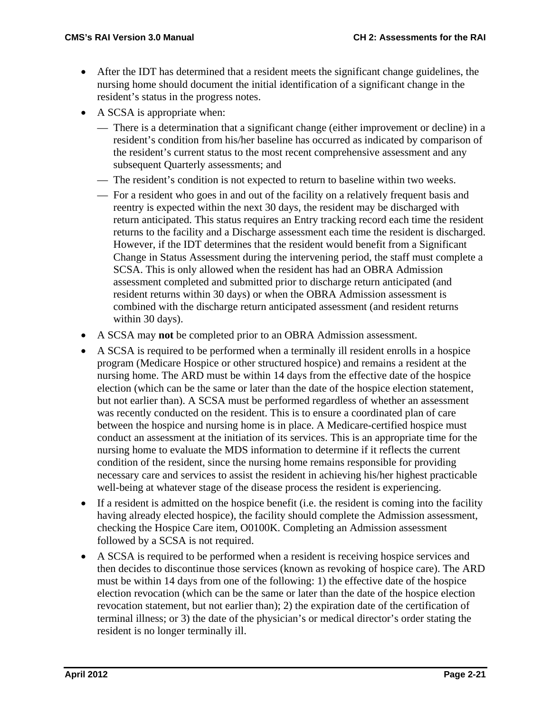- After the IDT has determined that a resident meets the significant change guidelines, the nursing home should document the initial identification of a significant change in the resident's status in the progress notes.
- A SCSA is appropriate when:
	- There is a determination that a significant change (either improvement or decline) in a resident's condition from his/her baseline has occurred as indicated by comparison of the resident's current status to the most recent comprehensive assessment and any subsequent Quarterly assessments; and
	- The resident's condition is not expected to return to baseline within two weeks.
	- For a resident who goes in and out of the facility on a relatively frequent basis and reentry is expected within the next 30 days, the resident may be discharged with return anticipated. This status requires an Entry tracking record each time the resident returns to the facility and a Discharge assessment each time the resident is discharged. However, if the IDT determines that the resident would benefit from a Significant Change in Status Assessment during the intervening period, the staff must complete a SCSA. This is only allowed when the resident has had an OBRA Admission assessment completed and submitted prior to discharge return anticipated (and resident returns within 30 days) or when the OBRA Admission assessment is combined with the discharge return anticipated assessment (and resident returns within 30 days).
- A SCSA may **not** be completed prior to an OBRA Admission assessment.
- A SCSA is required to be performed when a terminally ill resident enrolls in a hospice program (Medicare Hospice or other structured hospice) and remains a resident at the nursing home. The ARD must be within 14 days from the effective date of the hospice election (which can be the same or later than the date of the hospice election statement, but not earlier than). A SCSA must be performed regardless of whether an assessment was recently conducted on the resident. This is to ensure a coordinated plan of care between the hospice and nursing home is in place. A Medicare-certified hospice must conduct an assessment at the initiation of its services. This is an appropriate time for the nursing home to evaluate the MDS information to determine if it reflects the current condition of the resident, since the nursing home remains responsible for providing necessary care and services to assist the resident in achieving his/her highest practicable well-being at whatever stage of the disease process the resident is experiencing.
- If a resident is admitted on the hospice benefit (i.e. the resident is coming into the facility having already elected hospice), the facility should complete the Admission assessment, checking the Hospice Care item, O0100K. Completing an Admission assessment followed by a SCSA is not required.
- A SCSA is required to be performed when a resident is receiving hospice services and then decides to discontinue those services (known as revoking of hospice care). The ARD must be within 14 days from one of the following: 1) the effective date of the hospice election revocation (which can be the same or later than the date of the hospice election revocation statement, but not earlier than); 2) the expiration date of the certification of terminal illness; or 3) the date of the physician's or medical director's order stating the resident is no longer terminally ill.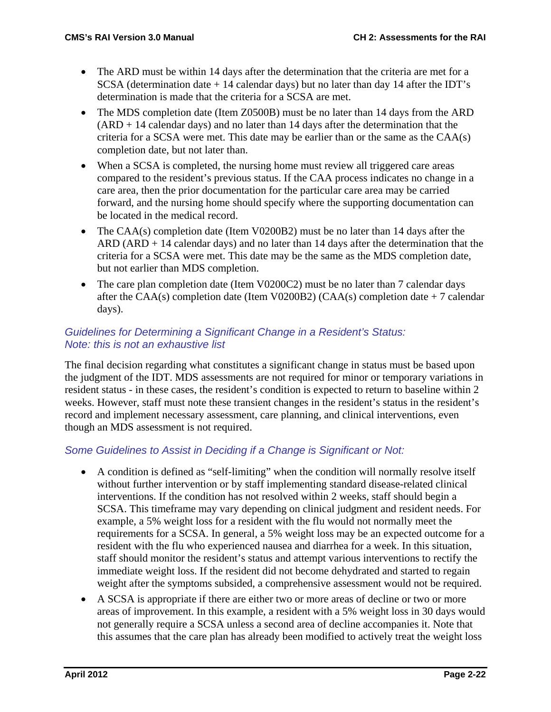- The ARD must be within 14 days after the determination that the criteria are met for a SCSA (determination date + 14 calendar days) but no later than day 14 after the IDT's determination is made that the criteria for a SCSA are met.
- The MDS completion date (Item Z0500B) must be no later than 14 days from the ARD  $(ARD + 14$  calendar days) and no later than 14 days after the determination that the criteria for a SCSA were met. This date may be earlier than or the same as the CAA(s) completion date, but not later than.
- When a SCSA is completed, the nursing home must review all triggered care areas compared to the resident's previous status. If the CAA process indicates no change in a care area, then the prior documentation for the particular care area may be carried forward, and the nursing home should specify where the supporting documentation can be located in the medical record.
- The CAA(s) completion date (Item V0200B2) must be no later than 14 days after the  $ARD$  (ARD + 14 calendar days) and no later than 14 days after the determination that the criteria for a SCSA were met. This date may be the same as the MDS completion date, but not earlier than MDS completion.
- The care plan completion date (Item V0200C2) must be no later than 7 calendar days after the CAA(s) completion date (Item V0200B2) (CAA(s) completion date  $+7$  calendar days).

# *Guidelines for Determining a Significant Change in a Resident's Status: Note: this is not an exhaustive list*

The final decision regarding what constitutes a significant change in status must be based upon the judgment of the IDT. MDS assessments are not required for minor or temporary variations in resident status - in these cases, the resident's condition is expected to return to baseline within 2 weeks. However, staff must note these transient changes in the resident's status in the resident's record and implement necessary assessment, care planning, and clinical interventions, even though an MDS assessment is not required.

# *Some Guidelines to Assist in Deciding if a Change is Significant or Not:*

- A condition is defined as "self-limiting" when the condition will normally resolve itself without further intervention or by staff implementing standard disease-related clinical interventions. If the condition has not resolved within 2 weeks, staff should begin a SCSA. This timeframe may vary depending on clinical judgment and resident needs. For example, a 5% weight loss for a resident with the flu would not normally meet the requirements for a SCSA. In general, a 5% weight loss may be an expected outcome for a resident with the flu who experienced nausea and diarrhea for a week. In this situation, staff should monitor the resident's status and attempt various interventions to rectify the immediate weight loss. If the resident did not become dehydrated and started to regain weight after the symptoms subsided, a comprehensive assessment would not be required.
- A SCSA is appropriate if there are either two or more areas of decline or two or more areas of improvement. In this example, a resident with a 5% weight loss in 30 days would not generally require a SCSA unless a second area of decline accompanies it. Note that this assumes that the care plan has already been modified to actively treat the weight loss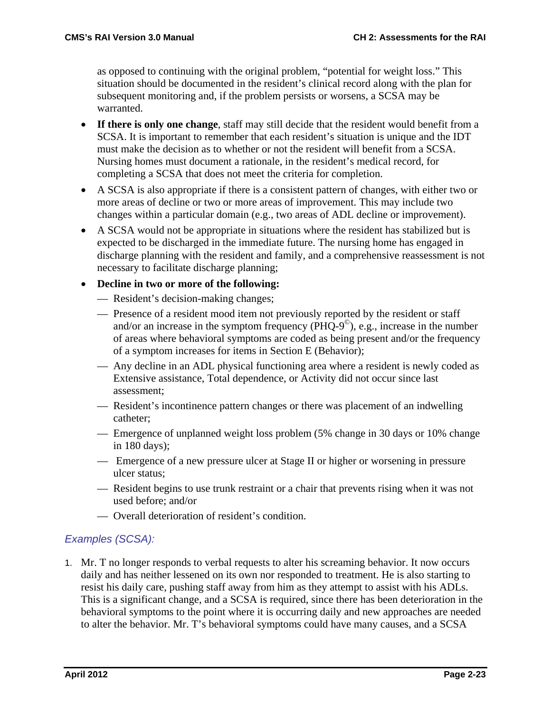as opposed to continuing with the original problem, "potential for weight loss." This situation should be documented in the resident's clinical record along with the plan for subsequent monitoring and, if the problem persists or worsens, a SCSA may be warranted.

- **If there is only one change**, staff may still decide that the resident would benefit from a SCSA. It is important to remember that each resident's situation is unique and the IDT must make the decision as to whether or not the resident will benefit from a SCSA. Nursing homes must document a rationale, in the resident's medical record, for completing a SCSA that does not meet the criteria for completion.
- A SCSA is also appropriate if there is a consistent pattern of changes, with either two or more areas of decline or two or more areas of improvement. This may include two changes within a particular domain (e.g., two areas of ADL decline or improvement).
- A SCSA would not be appropriate in situations where the resident has stabilized but is expected to be discharged in the immediate future. The nursing home has engaged in discharge planning with the resident and family, and a comprehensive reassessment is not necessary to facilitate discharge planning;

### • **Decline in two or more of the following:**

- Resident's decision-making changes;
- Presence of a resident mood item not previously reported by the resident or staff and/or an increase in the symptom frequency  $(PHQ-9^{\circ})$ , e.g., increase in the number of areas where behavioral symptoms are coded as being present and/or the frequency of a symptom increases for items in Section E (Behavior);
- Any decline in an ADL physical functioning area where a resident is newly coded as Extensive assistance, Total dependence, or Activity did not occur since last assessment;
- Resident's incontinence pattern changes or there was placement of an indwelling catheter;
- Emergence of unplanned weight loss problem (5% change in 30 days or 10% change in 180 days);
- Emergence of a new pressure ulcer at Stage II or higher or worsening in pressure ulcer status;
- Resident begins to use trunk restraint or a chair that prevents rising when it was not used before; and/or
- Overall deterioration of resident's condition.

# *Examples (SCSA):*

1. Mr. T no longer responds to verbal requests to alter his screaming behavior. It now occurs daily and has neither lessened on its own nor responded to treatment. He is also starting to resist his daily care, pushing staff away from him as they attempt to assist with his ADLs. This is a significant change, and a SCSA is required, since there has been deterioration in the behavioral symptoms to the point where it is occurring daily and new approaches are needed to alter the behavior. Mr. T's behavioral symptoms could have many causes, and a SCSA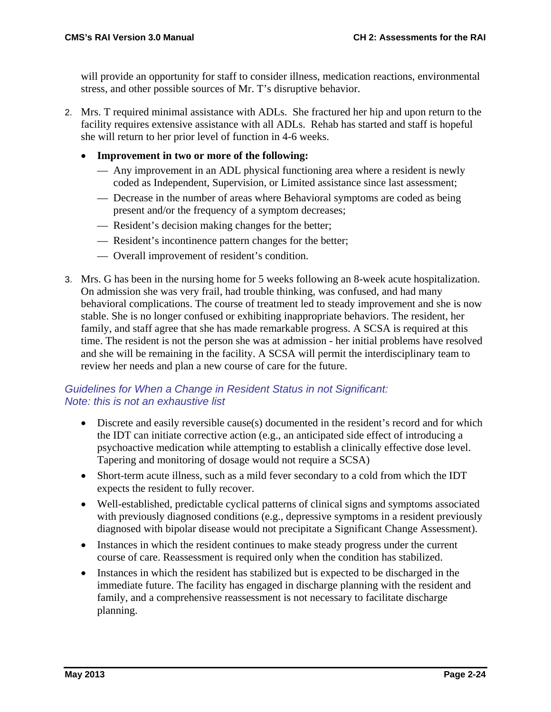will provide an opportunity for staff to consider illness, medication reactions, environmental stress, and other possible sources of Mr. T's disruptive behavior.

- 2. Mrs. T required minimal assistance with ADLs. She fractured her hip and upon return to the facility requires extensive assistance with all ADLs. Rehab has started and staff is hopeful she will return to her prior level of function in 4-6 weeks.
	- **Improvement in two or more of the following:**
		- Any improvement in an ADL physical functioning area where a resident is newly coded as Independent, Supervision, or Limited assistance since last assessment;
		- Decrease in the number of areas where Behavioral symptoms are coded as being present and/or the frequency of a symptom decreases;
		- Resident's decision making changes for the better;
		- Resident's incontinence pattern changes for the better;
		- Overall improvement of resident's condition.
- 3. Mrs. G has been in the nursing home for 5 weeks following an 8-week acute hospitalization. On admission she was very frail, had trouble thinking, was confused, and had many behavioral complications. The course of treatment led to steady improvement and she is now stable. She is no longer confused or exhibiting inappropriate behaviors. The resident, her family, and staff agree that she has made remarkable progress. A SCSA is required at this time. The resident is not the person she was at admission - her initial problems have resolved and she will be remaining in the facility. A SCSA will permit the interdisciplinary team to review her needs and plan a new course of care for the future.

### *Guidelines for When a Change in Resident Status in not Significant: Note: this is not an exhaustive list*

- Discrete and easily reversible cause(s) documented in the resident's record and for which the IDT can initiate corrective action (e.g., an anticipated side effect of introducing a psychoactive medication while attempting to establish a clinically effective dose level. Tapering and monitoring of dosage would not require a SCSA)
- Short-term acute illness, such as a mild fever secondary to a cold from which the IDT expects the resident to fully recover.
- Well-established, predictable cyclical patterns of clinical signs and symptoms associated with previously diagnosed conditions (e.g., depressive symptoms in a resident previously diagnosed with bipolar disease would not precipitate a Significant Change Assessment).
- Instances in which the resident continues to make steady progress under the current course of care. Reassessment is required only when the condition has stabilized.
- Instances in which the resident has stabilized but is expected to be discharged in the immediate future. The facility has engaged in discharge planning with the resident and family, and a comprehensive reassessment is not necessary to facilitate discharge planning.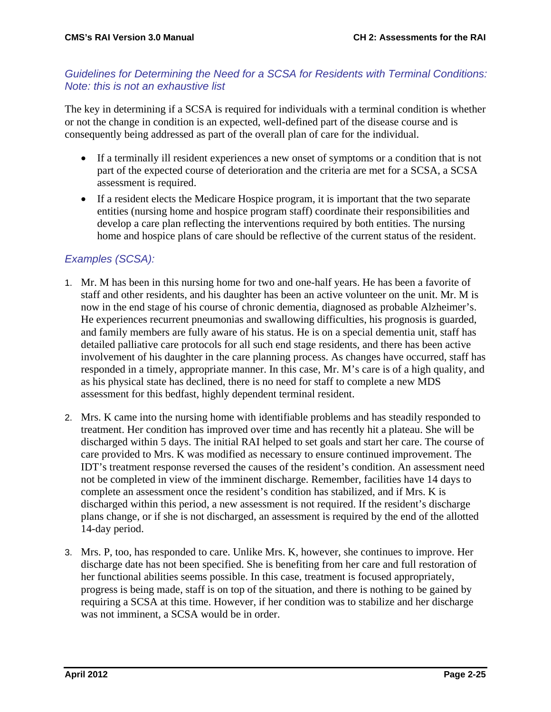### *Guidelines for Determining the Need for a SCSA for Residents with Terminal Conditions: Note: this is not an exhaustive list*

The key in determining if a SCSA is required for individuals with a terminal condition is whether or not the change in condition is an expected, well-defined part of the disease course and is consequently being addressed as part of the overall plan of care for the individual.

- If a terminally ill resident experiences a new onset of symptoms or a condition that is not part of the expected course of deterioration and the criteria are met for a SCSA, a SCSA assessment is required.
- If a resident elects the Medicare Hospice program, it is important that the two separate entities (nursing home and hospice program staff) coordinate their responsibilities and develop a care plan reflecting the interventions required by both entities. The nursing home and hospice plans of care should be reflective of the current status of the resident.

# *Examples (SCSA):*

- 1. Mr. M has been in this nursing home for two and one-half years. He has been a favorite of staff and other residents, and his daughter has been an active volunteer on the unit. Mr. M is now in the end stage of his course of chronic dementia, diagnosed as probable Alzheimer's. He experiences recurrent pneumonias and swallowing difficulties, his prognosis is guarded, and family members are fully aware of his status. He is on a special dementia unit, staff has detailed palliative care protocols for all such end stage residents, and there has been active involvement of his daughter in the care planning process. As changes have occurred, staff has responded in a timely, appropriate manner. In this case, Mr. M's care is of a high quality, and as his physical state has declined, there is no need for staff to complete a new MDS assessment for this bedfast, highly dependent terminal resident.
- 2. Mrs. K came into the nursing home with identifiable problems and has steadily responded to treatment. Her condition has improved over time and has recently hit a plateau. She will be discharged within 5 days. The initial RAI helped to set goals and start her care. The course of care provided to Mrs. K was modified as necessary to ensure continued improvement. The IDT's treatment response reversed the causes of the resident's condition. An assessment need not be completed in view of the imminent discharge. Remember, facilities have 14 days to complete an assessment once the resident's condition has stabilized, and if Mrs. K is discharged within this period, a new assessment is not required. If the resident's discharge plans change, or if she is not discharged, an assessment is required by the end of the allotted 14-day period.
- 3. Mrs. P, too, has responded to care. Unlike Mrs. K, however, she continues to improve. Her discharge date has not been specified. She is benefiting from her care and full restoration of her functional abilities seems possible. In this case, treatment is focused appropriately, progress is being made, staff is on top of the situation, and there is nothing to be gained by requiring a SCSA at this time. However, if her condition was to stabilize and her discharge was not imminent, a SCSA would be in order.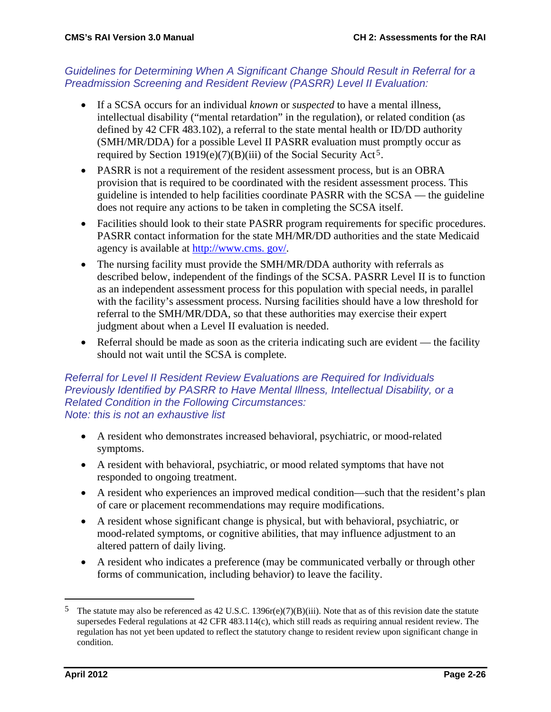### *Guidelines for Determining When A Significant Change Should Result in Referral for a Preadmission Screening and Resident Review (PASRR) Level II Evaluation:*

- If a SCSA occurs for an individual *known* or *suspected* to have a mental illness, intellectual disability ("mental retardation" in the regulation), or related condition (as defined by 42 CFR 483.102), a referral to the state mental health or ID/DD authority (SMH/MR/DDA) for a possible Level II PASRR evaluation must promptly occur as required by Section 1919(e)(7)(B)(iii) of the Social Security Act[5](#page-25-0).
- PASRR is not a requirement of the resident assessment process, but is an OBRA provision that is required to be coordinated with the resident assessment process. This guideline is intended to help facilities coordinate PASRR with the SCSA — the guideline does not require any actions to be taken in completing the SCSA itself.
- Facilities should look to their state PASRR program requirements for specific procedures. PASRR contact information for the state MH/MR/DD authorities and the state Medicaid agency is available at http://www.cms. gov/.
- The nursing facility must provide the SMH/MR/DDA authority with referrals as described below, independent of the findings of the SCSA. PASRR Level II is to function as an independent assessment process for this population with special needs, in parallel with the facility's assessment process. Nursing facilities should have a low threshold for referral to the SMH/MR/DDA, so that these authorities may exercise their expert judgment about when a Level II evaluation is needed.
- Referral should be made as soon as the criteria indicating such are evident the facility should not wait until the SCSA is complete.

#### *Referral for Level II Resident Review Evaluations are Required for Individuals Previously Identified by PASRR to Have Mental Illness, Intellectual Disability, or a Related Condition in the Following Circumstances: Note: this is not an exhaustive list*

- A resident who demonstrates increased behavioral, psychiatric, or mood-related symptoms.
- A resident with behavioral, psychiatric, or mood related symptoms that have not responded to ongoing treatment.
- A resident who experiences an improved medical condition—such that the resident's plan of care or placement recommendations may require modifications.
- A resident whose significant change is physical, but with behavioral, psychiatric, or mood-related symptoms, or cognitive abilities, that may influence adjustment to an altered pattern of daily living.
- A resident who indicates a preference (may be communicated verbally or through other forms of communication, including behavior) to leave the facility.

<span id="page-25-0"></span><sup>&</sup>lt;sup>5</sup> The statute may also be referenced as 42 U.S.C. 1396 $r(e)(7)(B)(iii)$ . Note that as of this revision date the statute supersedes Federal regulations at 42 CFR 483.114(c), which still reads as requiring annual resident review. The regulation has not yet been updated to reflect the statutory change to resident review upon significant change in condition.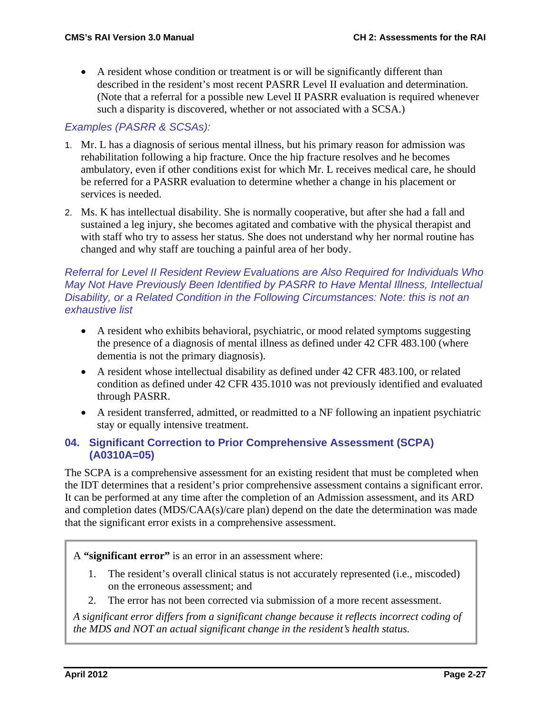• A resident whose condition or treatment is or will be significantly different than described in the resident's most recent PASRR Level II evaluation and determination. (Note that a referral for a possible new Level II PASRR evaluation is required whenever such a disparity is discovered, whether or not associated with a SCSA.)

# *Examples (PASRR & SCSAs):*

- 1. Mr. L has a diagnosis of serious mental illness, but his primary reason for admission was rehabilitation following a hip fracture. Once the hip fracture resolves and he becomes ambulatory, even if other conditions exist for which Mr. L receives medical care, he should be referred for a PASRR evaluation to determine whether a change in his placement or services is needed.
- 2. Ms. K has intellectual disability. She is normally cooperative, but after she had a fall and sustained a leg injury, she becomes agitated and combative with the physical therapist and with staff who try to assess her status. She does not understand why her normal routine has changed and why staff are touching a painful area of her body.

#### *Referral for Level II Resident Review Evaluations are Also Required for Individuals Who May Not Have Previously Been Identified by PASRR to Have Mental Illness, Intellectual Disability, or a Related Condition in the Following Circumstances: Note: this is not an exhaustive list*

- A resident who exhibits behavioral, psychiatric, or mood related symptoms suggesting the presence of a diagnosis of mental illness as defined under 42 CFR 483.100 (where dementia is not the primary diagnosis).
- A resident whose intellectual disability as defined under 42 CFR 483.100, or related condition as defined under 42 CFR 435.1010 was not previously identified and evaluated through PASRR.
- A resident transferred, admitted, or readmitted to a NF following an inpatient psychiatric stay or equally intensive treatment.

### **04. Significant Correction to Prior Comprehensive Assessment (SCPA) (A0310A=05)**

The SCPA is a comprehensive assessment for an existing resident that must be completed when the IDT determines that a resident's prior comprehensive assessment contains a significant error. It can be performed at any time after the completion of an Admission assessment, and its ARD and completion dates (MDS/CAA(s)/care plan) depend on the date the determination was made that the significant error exists in a comprehensive assessment.

A **"significant error"** is an error in an assessment where:

- 1. The resident's overall clinical status is not accurately represented (i.e., miscoded) on the erroneous assessment; and
- 2. The error has not been corrected via submission of a more recent assessment.

*A significant error differs from a significant change because it reflects incorrect coding of the MDS and NOT an actual significant change in the resident's health status.*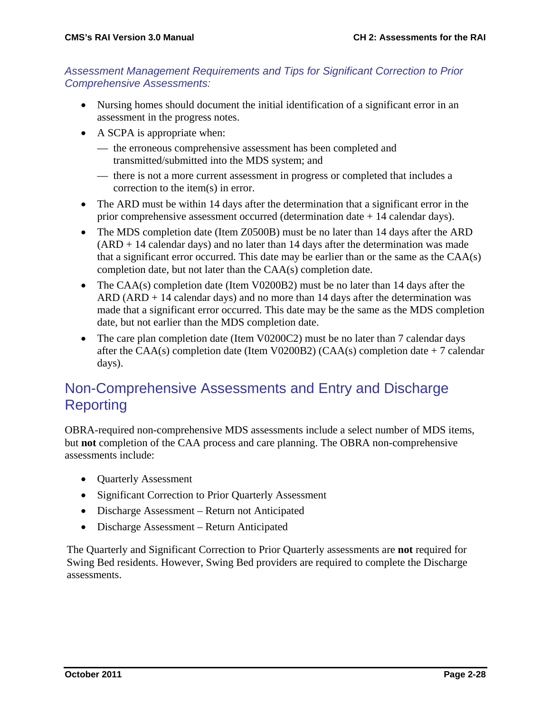### *Assessment Management Requirements and Tips for Significant Correction to Prior Comprehensive Assessments:*

- Nursing homes should document the initial identification of a significant error in an assessment in the progress notes.
- A SCPA is appropriate when:
	- the erroneous comprehensive assessment has been completed and transmitted/submitted into the MDS system; and
	- there is not a more current assessment in progress or completed that includes a correction to the item(s) in error.
- The ARD must be within 14 days after the determination that a significant error in the prior comprehensive assessment occurred (determination date + 14 calendar days).
- The MDS completion date (Item Z0500B) must be no later than 14 days after the ARD (ARD + 14 calendar days) and no later than 14 days after the determination was made that a significant error occurred. This date may be earlier than or the same as the CAA(s) completion date, but not later than the CAA(s) completion date.
- The CAA(s) completion date (Item V0200B2) must be no later than 14 days after the  $ARD$  ( $ARD + 14$  calendar days) and no more than 14 days after the determination was made that a significant error occurred. This date may be the same as the MDS completion date, but not earlier than the MDS completion date.
- The care plan completion date (Item V0200C2) must be no later than 7 calendar days after the CAA(s) completion date (Item V0200B2) (CAA(s) completion date  $+7$  calendar days).

# Non-Comprehensive Assessments and Entry and Discharge **Reporting**

OBRA-required non-comprehensive MDS assessments include a select number of MDS items, but **not** completion of the CAA process and care planning. The OBRA non-comprehensive assessments include:

- Quarterly Assessment
- Significant Correction to Prior Quarterly Assessment
- Discharge Assessment Return not Anticipated
- Discharge Assessment Return Anticipated

The Quarterly and Significant Correction to Prior Quarterly assessments are **not** required for Swing Bed residents. However, Swing Bed providers are required to complete the Discharge assessments.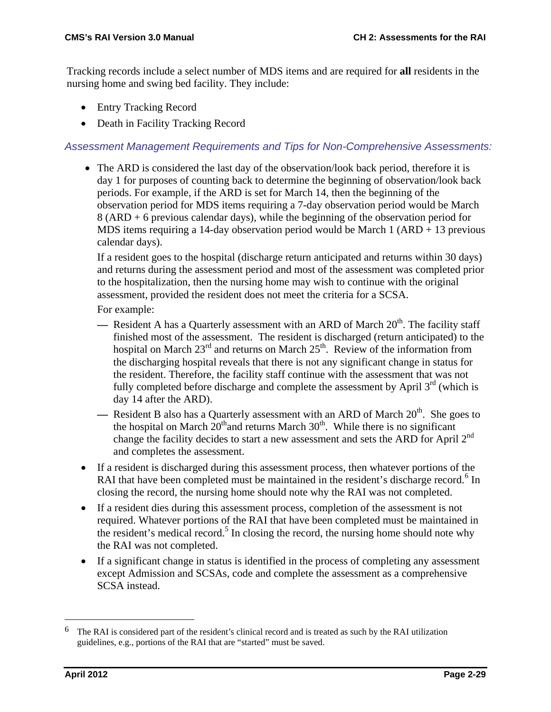Tracking records include a select number of MDS items and are required for **all** residents in the nursing home and swing bed facility. They include:

- Entry Tracking Record
- Death in Facility Tracking Record

#### *Assessment Management Requirements and Tips for Non-Comprehensive Assessments:*

• The ARD is considered the last day of the observation/look back period, therefore it is day 1 for purposes of counting back to determine the beginning of observation/look back periods. For example, if the ARD is set for March 14, then the beginning of the observation period for MDS items requiring a 7-day observation period would be March 8 (ARD + 6 previous calendar days), while the beginning of the observation period for MDS items requiring a 14-day observation period would be March 1 (ARD + 13 previous calendar days).

If a resident goes to the hospital (discharge return anticipated and returns within 30 days) and returns during the assessment period and most of the assessment was completed prior to the hospitalization, then the nursing home may wish to continue with the original assessment, provided the resident does not meet the criteria for a SCSA.

For example:

- Resident A has a Quarterly assessment with an ARD of March 20<sup>th</sup>. The facility staff finished most of the assessment. The resident is discharged (return anticipated) to the hospital on March  $23<sup>rd</sup>$  and returns on March  $25<sup>th</sup>$ . Review of the information from the discharging hospital reveals that there is not any significant change in status for the resident. Therefore, the facility staff continue with the assessment that was not fully completed before discharge and complete the assessment by April  $3<sup>rd</sup>$  (which is day 14 after the ARD).
- Resident B also has a Quarterly assessment with an ARD of March 20<sup>th</sup>. She goes to the hospital on March  $20<sup>th</sup>$  and returns March  $30<sup>th</sup>$ . While there is no significant change the facility decides to start a new assessment and sets the ARD for April 2<sup>nd</sup> and completes the assessment.
- If a resident is discharged during this assessment process, then whatever portions of the RAI that have been completed must be maintained in the resident's discharge record.<sup>[6](#page-28-0)</sup> In closing the record, the nursing home should note why the RAI was not completed.
- If a resident dies during this assessment process, completion of the assessment is not required. Whatever portions of the RAI that have been completed must be maintained in the resident's medical record.<sup>5</sup> In closing the record, the nursing home should note why the RAI was not completed.
- If a significant change in status is identified in the process of completing any assessment except Admission and SCSAs, code and complete the assessment as a comprehensive SCSA instead.

<span id="page-28-0"></span> <sup>6</sup> The RAI is considered part of the resident's clinical record and is treated as such by the RAI utilization guidelines, e.g., portions of the RAI that are "started" must be saved.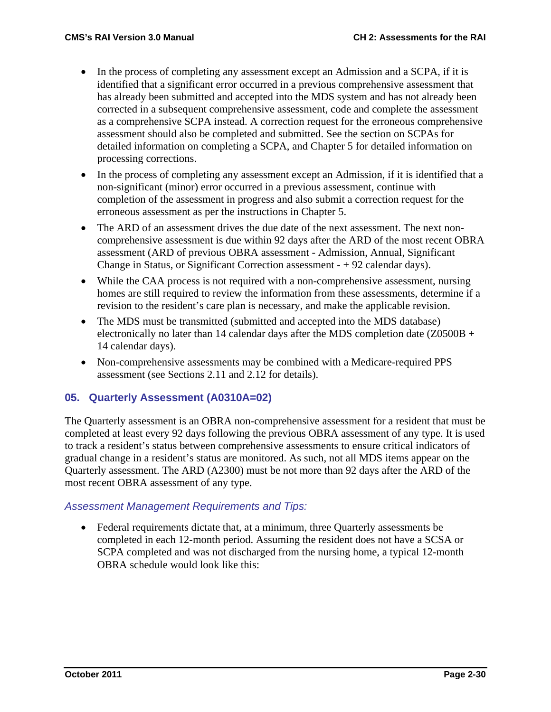- In the process of completing any assessment except an Admission and a SCPA, if it is identified that a significant error occurred in a previous comprehensive assessment that has already been submitted and accepted into the MDS system and has not already been corrected in a subsequent comprehensive assessment, code and complete the assessment as a comprehensive SCPA instead. A correction request for the erroneous comprehensive assessment should also be completed and submitted. See the section on SCPAs for detailed information on completing a SCPA, and Chapter 5 for detailed information on processing corrections.
- In the process of completing any assessment except an Admission, if it is identified that a non-significant (minor) error occurred in a previous assessment, continue with completion of the assessment in progress and also submit a correction request for the erroneous assessment as per the instructions in Chapter 5.
- The ARD of an assessment drives the due date of the next assessment. The next noncomprehensive assessment is due within 92 days after the ARD of the most recent OBRA assessment (ARD of previous OBRA assessment - Admission, Annual, Significant Change in Status, or Significant Correction assessment - + 92 calendar days).
- While the CAA process is not required with a non-comprehensive assessment, nursing homes are still required to review the information from these assessments, determine if a revision to the resident's care plan is necessary, and make the applicable revision.
- The MDS must be transmitted (submitted and accepted into the MDS database) electronically no later than 14 calendar days after the MDS completion date  $(Z0500B +$ 14 calendar days).
- Non-comprehensive assessments may be combined with a Medicare-required PPS assessment (see Sections 2.11 and 2.12 for details).

# **05. Quarterly Assessment (A0310A=02)**

The Quarterly assessment is an OBRA non-comprehensive assessment for a resident that must be completed at least every 92 days following the previous OBRA assessment of any type. It is used to track a resident's status between comprehensive assessments to ensure critical indicators of gradual change in a resident's status are monitored. As such, not all MDS items appear on the Quarterly assessment. The ARD (A2300) must be not more than 92 days after the ARD of the most recent OBRA assessment of any type.

### *Assessment Management Requirements and Tips:*

• Federal requirements dictate that, at a minimum, three Quarterly assessments be completed in each 12-month period. Assuming the resident does not have a SCSA or SCPA completed and was not discharged from the nursing home, a typical 12-month OBRA schedule would look like this: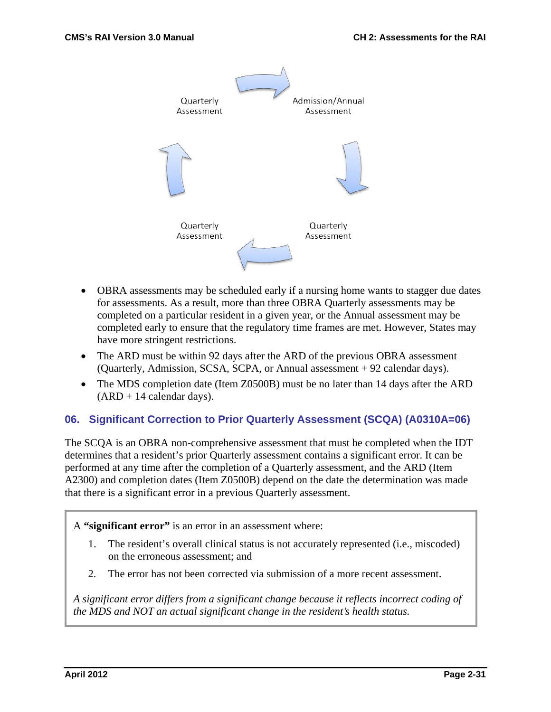

- OBRA assessments may be scheduled early if a nursing home wants to stagger due dates for assessments. As a result, more than three OBRA Quarterly assessments may be completed on a particular resident in a given year, or the Annual assessment may be completed early to ensure that the regulatory time frames are met. However, States may have more stringent restrictions.
- The ARD must be within 92 days after the ARD of the previous OBRA assessment (Quarterly, Admission, SCSA, SCPA, or Annual assessment + 92 calendar days).
- The MDS completion date (Item Z0500B) must be no later than 14 days after the ARD  $(ARD + 14$  calendar days).

### **06. Significant Correction to Prior Quarterly Assessment (SCQA) (A0310A=06)**

The SCQA is an OBRA non-comprehensive assessment that must be completed when the IDT determines that a resident's prior Quarterly assessment contains a significant error. It can be performed at any time after the completion of a Quarterly assessment, and the ARD (Item A2300) and completion dates (Item Z0500B) depend on the date the determination was made that there is a significant error in a previous Quarterly assessment.

A **"significant error"** is an error in an assessment where:

- 1. The resident's overall clinical status is not accurately represented (i.e., miscoded) on the erroneous assessment; and
- 2. The error has not been corrected via submission of a more recent assessment.

*A significant error differs from a significant change because it reflects incorrect coding of the MDS and NOT an actual significant change in the resident's health status.*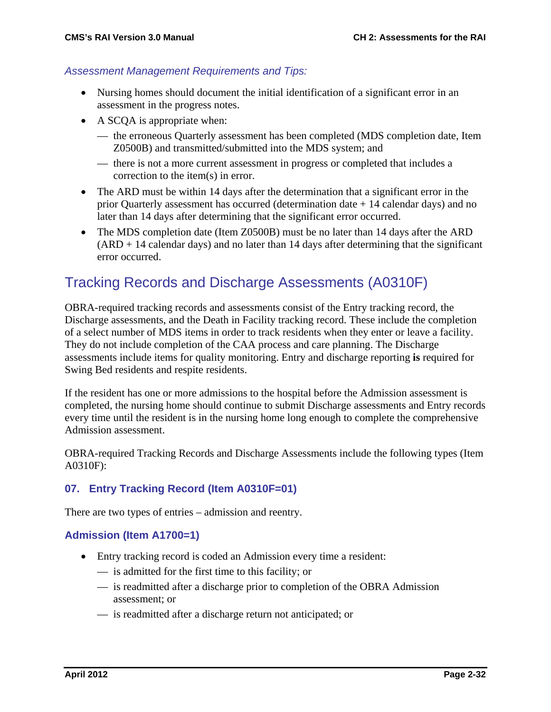#### *Assessment Management Requirements and Tips:*

- Nursing homes should document the initial identification of a significant error in an assessment in the progress notes.
- A SCQA is appropriate when:
	- the erroneous Quarterly assessment has been completed (MDS completion date, Item Z0500B) and transmitted/submitted into the MDS system; and
	- there is not a more current assessment in progress or completed that includes a correction to the item(s) in error.
- The ARD must be within 14 days after the determination that a significant error in the prior Quarterly assessment has occurred (determination date + 14 calendar days) and no later than 14 days after determining that the significant error occurred.
- The MDS completion date (Item Z0500B) must be no later than 14 days after the ARD  $(ARD + 14$  calendar days) and no later than 14 days after determining that the significant error occurred.

# Tracking Records and Discharge Assessments (A0310F)

OBRA-required tracking records and assessments consist of the Entry tracking record, the Discharge assessments, and the Death in Facility tracking record. These include the completion of a select number of MDS items in order to track residents when they enter or leave a facility. They do not include completion of the CAA process and care planning. The Discharge assessments include items for quality monitoring. Entry and discharge reporting **is** required for Swing Bed residents and respite residents.

If the resident has one or more admissions to the hospital before the Admission assessment is completed, the nursing home should continue to submit Discharge assessments and Entry records every time until the resident is in the nursing home long enough to complete the comprehensive Admission assessment.

OBRA-required Tracking Records and Discharge Assessments include the following types (Item A0310F):

### **07. Entry Tracking Record (Item A0310F=01)**

There are two types of entries – admission and reentry.

### **Admission (Item A1700=1)**

- Entry tracking record is coded an Admission every time a resident:
	- is admitted for the first time to this facility; or
	- is readmitted after a discharge prior to completion of the OBRA Admission assessment; or
	- is readmitted after a discharge return not anticipated; or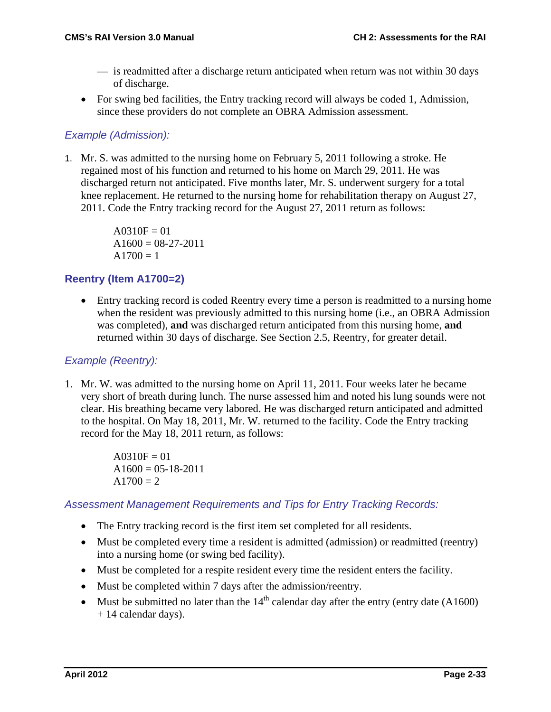- is readmitted after a discharge return anticipated when return was not within 30 days of discharge.
- For swing bed facilities, the Entry tracking record will always be coded 1, Admission, since these providers do not complete an OBRA Admission assessment.

# *Example (Admission):*

1. Mr. S. was admitted to the nursing home on February 5, 2011 following a stroke. He regained most of his function and returned to his home on March 29, 2011. He was discharged return not anticipated. Five months later, Mr. S. underwent surgery for a total knee replacement. He returned to the nursing home for rehabilitation therapy on August 27, 2011. Code the Entry tracking record for the August 27, 2011 return as follows:

```
A0310F = 01A1600 = 08-27-2011A1700 = 1
```
# **Reentry (Item A1700=2)**

• Entry tracking record is coded Reentry every time a person is readmitted to a nursing home when the resident was previously admitted to this nursing home (i.e., an OBRA Admission was completed), **and** was discharged return anticipated from this nursing home, **and** returned within 30 days of discharge. See Section 2.5, Reentry, for greater detail.

### *Example (Reentry):*

1. Mr. W. was admitted to the nursing home on April 11, 2011. Four weeks later he became very short of breath during lunch. The nurse assessed him and noted his lung sounds were not clear. His breathing became very labored. He was discharged return anticipated and admitted to the hospital. On May 18, 2011, Mr. W. returned to the facility. Code the Entry tracking record for the May 18, 2011 return, as follows:

> $A0310F = 01$  $A1600 = 05 - 18 - 2011$  $A1700 = 2$

*Assessment Management Requirements and Tips for Entry Tracking Records:*

- The Entry tracking record is the first item set completed for all residents.
- Must be completed every time a resident is admitted (admission) or readmitted (reentry) into a nursing home (or swing bed facility).
- Must be completed for a respite resident every time the resident enters the facility.
- Must be completed within 7 days after the admission/reentry.
- Must be submitted no later than the  $14<sup>th</sup>$  calendar day after the entry (entry date (A1600) + 14 calendar days).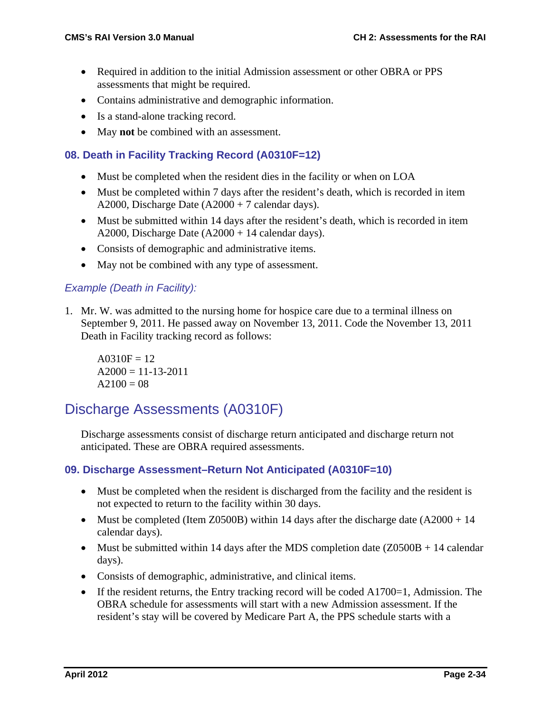- Required in addition to the initial Admission assessment or other OBRA or PPS assessments that might be required.
- Contains administrative and demographic information.
- Is a stand-alone tracking record.
- May **not** be combined with an assessment.

### **08. Death in Facility Tracking Record (A0310F=12)**

- Must be completed when the resident dies in the facility or when on LOA
- Must be completed within 7 days after the resident's death, which is recorded in item A2000, Discharge Date (A2000 + 7 calendar days).
- Must be submitted within 14 days after the resident's death, which is recorded in item A2000, Discharge Date (A2000 + 14 calendar days).
- Consists of demographic and administrative items.
- May not be combined with any type of assessment.

### *Example (Death in Facility):*

1. Mr. W. was admitted to the nursing home for hospice care due to a terminal illness on September 9, 2011. He passed away on November 13, 2011. Code the November 13, 2011 Death in Facility tracking record as follows:

 $A0310F = 12$  $A2000 = 11 - 13 - 2011$  $A2100 = 08$ 

# Discharge Assessments (A0310F)

Discharge assessments consist of discharge return anticipated and discharge return not anticipated. These are OBRA required assessments.

### **09. Discharge Assessment–Return Not Anticipated (A0310F=10)**

- Must be completed when the resident is discharged from the facility and the resident is not expected to return to the facility within 30 days.
- Must be completed (Item Z0500B) within 14 days after the discharge date  $(A2000 + 14)$ calendar days).
- Must be submitted within 14 days after the MDS completion date  $(Z0500B + 14$  calendar days).
- Consists of demographic, administrative, and clinical items.
- If the resident returns, the Entry tracking record will be coded  $A1700=1$ , Admission. The OBRA schedule for assessments will start with a new Admission assessment. If the resident's stay will be covered by Medicare Part A, the PPS schedule starts with a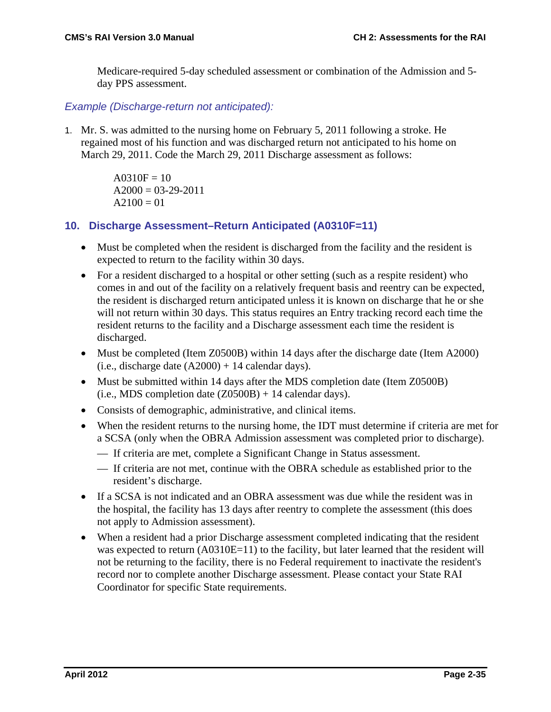Medicare-required 5-day scheduled assessment or combination of the Admission and 5 day PPS assessment.

*Example (Discharge-return not anticipated):*

1. Mr. S. was admitted to the nursing home on February 5, 2011 following a stroke. He regained most of his function and was discharged return not anticipated to his home on March 29, 2011. Code the March 29, 2011 Discharge assessment as follows:

> $A0310F = 10$  $A2000 = 03 - 29 - 2011$  $A2100 = 01$

# **10. Discharge Assessment–Return Anticipated (A0310F=11)**

- Must be completed when the resident is discharged from the facility and the resident is expected to return to the facility within 30 days.
- For a resident discharged to a hospital or other setting (such as a respite resident) who comes in and out of the facility on a relatively frequent basis and reentry can be expected, the resident is discharged return anticipated unless it is known on discharge that he or she will not return within 30 days. This status requires an Entry tracking record each time the resident returns to the facility and a Discharge assessment each time the resident is discharged.
- Must be completed (Item Z0500B) within 14 days after the discharge date (Item A2000) (i.e., discharge date  $(A2000) + 14$  calendar days).
- Must be submitted within 14 days after the MDS completion date (Item Z0500B)  $(i.e., MDS completion date (Z0500B) + 14 calendar days).$
- Consists of demographic, administrative, and clinical items.
- When the resident returns to the nursing home, the IDT must determine if criteria are met for a SCSA (only when the OBRA Admission assessment was completed prior to discharge).
	- If criteria are met, complete a Significant Change in Status assessment.
	- If criteria are not met, continue with the OBRA schedule as established prior to the resident's discharge.
- If a SCSA is not indicated and an OBRA assessment was due while the resident was in the hospital, the facility has 13 days after reentry to complete the assessment (this does not apply to Admission assessment).
- When a resident had a prior Discharge assessment completed indicating that the resident was expected to return (A0310E=11) to the facility, but later learned that the resident will not be returning to the facility, there is no Federal requirement to inactivate the resident's record nor to complete another Discharge assessment. Please contact your State RAI Coordinator for specific State requirements.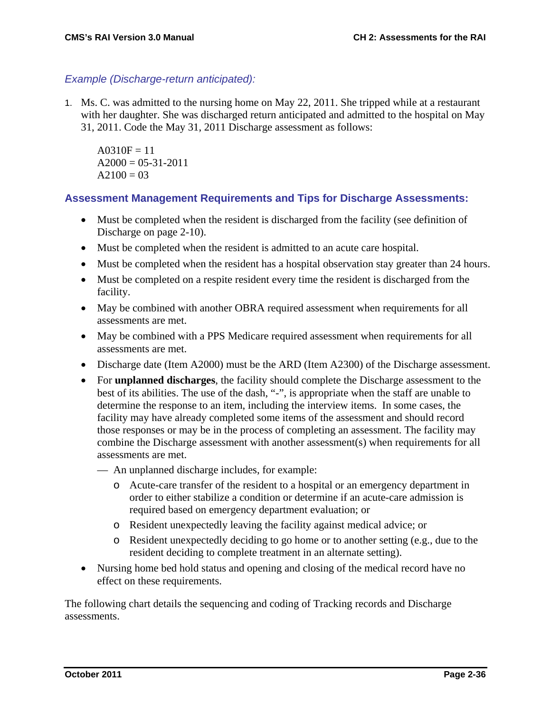#### *Example (Discharge-return anticipated):*

1. Ms. C. was admitted to the nursing home on May 22, 2011. She tripped while at a restaurant with her daughter. She was discharged return anticipated and admitted to the hospital on May 31, 2011. Code the May 31, 2011 Discharge assessment as follows:

 $A0310F = 11$  $A2000 = 05 - 31 - 2011$  $A2100 = 03$ 

#### **Assessment Management Requirements and Tips for Discharge Assessments:**

- Must be completed when the resident is discharged from the facility (see definition of Discharge on page 2-10).
- Must be completed when the resident is admitted to an acute care hospital.
- Must be completed when the resident has a hospital observation stay greater than 24 hours.
- Must be completed on a respite resident every time the resident is discharged from the facility.
- May be combined with another OBRA required assessment when requirements for all assessments are met.
- May be combined with a PPS Medicare required assessment when requirements for all assessments are met.
- Discharge date (Item A2000) must be the ARD (Item A2300) of the Discharge assessment.
- For **unplanned discharges**, the facility should complete the Discharge assessment to the best of its abilities. The use of the dash, "-", is appropriate when the staff are unable to determine the response to an item, including the interview items. In some cases, the facility may have already completed some items of the assessment and should record those responses or may be in the process of completing an assessment. The facility may combine the Discharge assessment with another assessment(s) when requirements for all assessments are met.
	- An unplanned discharge includes, for example:
		- o Acute-care transfer of the resident to a hospital or an emergency department in order to either stabilize a condition or determine if an acute-care admission is required based on emergency department evaluation; or
		- o Resident unexpectedly leaving the facility against medical advice; or
		- o Resident unexpectedly deciding to go home or to another setting (e.g., due to the resident deciding to complete treatment in an alternate setting).
- Nursing home bed hold status and opening and closing of the medical record have no effect on these requirements.

The following chart details the sequencing and coding of Tracking records and Discharge assessments.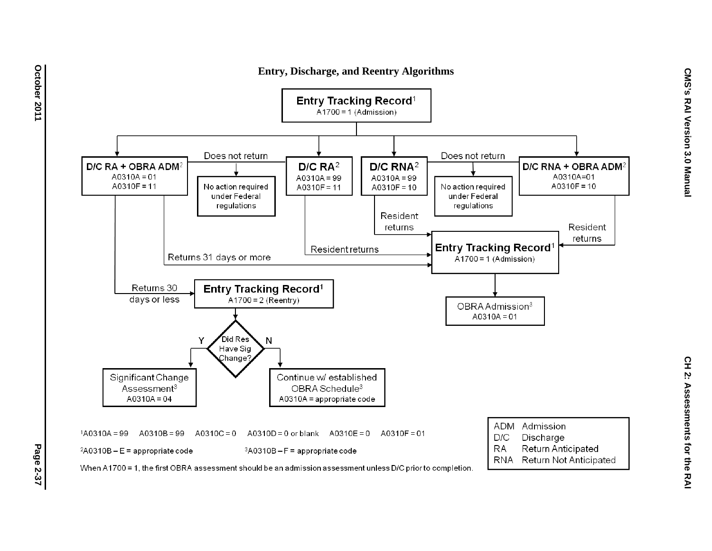

**Entry, Discharge, and Reentry Algorithms**

When  $A1700 = 1$ , the first OBRA assessment should be an admission assessment unless D/C prior to completion.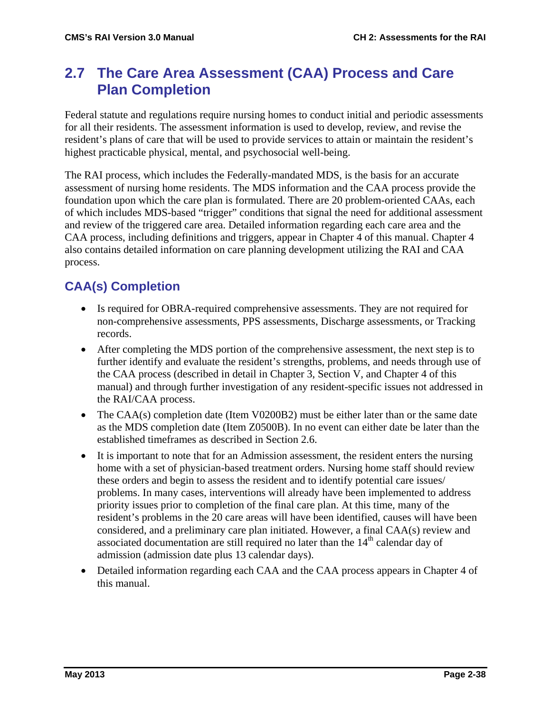## **2.7 The Care Area Assessment (CAA) Process and Care Plan Completion**

Federal statute and regulations require nursing homes to conduct initial and periodic assessments for all their residents. The assessment information is used to develop, review, and revise the resident's plans of care that will be used to provide services to attain or maintain the resident's highest practicable physical, mental, and psychosocial well-being.

The RAI process, which includes the Federally-mandated MDS, is the basis for an accurate assessment of nursing home residents. The MDS information and the CAA process provide the foundation upon which the care plan is formulated. There are 20 problem-oriented CAAs, each of which includes MDS-based "trigger" conditions that signal the need for additional assessment and review of the triggered care area. Detailed information regarding each care area and the CAA process, including definitions and triggers, appear in Chapter 4 of this manual. Chapter 4 also contains detailed information on care planning development utilizing the RAI and CAA process.

## **CAA(s) Completion**

- Is required for OBRA-required comprehensive assessments. They are not required for non-comprehensive assessments, PPS assessments, Discharge assessments, or Tracking records.
- After completing the MDS portion of the comprehensive assessment, the next step is to further identify and evaluate the resident's strengths, problems, and needs through use of the CAA process (described in detail in Chapter 3, Section V, and Chapter 4 of this manual) and through further investigation of any resident-specific issues not addressed in the RAI/CAA process.
- The CAA(s) completion date (Item V0200B2) must be either later than or the same date as the MDS completion date (Item Z0500B). In no event can either date be later than the established timeframes as described in Section 2.6.
- It is important to note that for an Admission assessment, the resident enters the nursing home with a set of physician-based treatment orders. Nursing home staff should review these orders and begin to assess the resident and to identify potential care issues/ problems. In many cases, interventions will already have been implemented to address priority issues prior to completion of the final care plan. At this time, many of the resident's problems in the 20 care areas will have been identified, causes will have been considered, and a preliminary care plan initiated. However, a final CAA(s) review and associated documentation are still required no later than the  $14<sup>th</sup>$  calendar day of admission (admission date plus 13 calendar days).
- Detailed information regarding each CAA and the CAA process appears in Chapter 4 of this manual.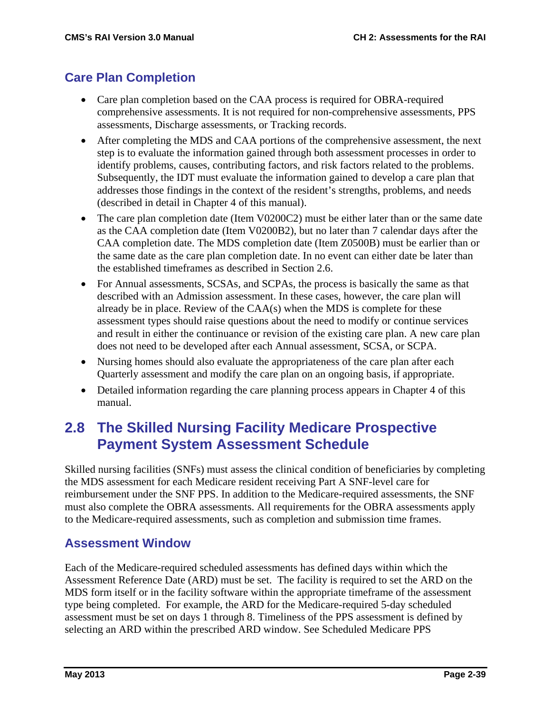## **Care Plan Completion**

- Care plan completion based on the CAA process is required for OBRA-required comprehensive assessments. It is not required for non-comprehensive assessments, PPS assessments, Discharge assessments, or Tracking records.
- After completing the MDS and CAA portions of the comprehensive assessment, the next step is to evaluate the information gained through both assessment processes in order to identify problems, causes, contributing factors, and risk factors related to the problems. Subsequently, the IDT must evaluate the information gained to develop a care plan that addresses those findings in the context of the resident's strengths, problems, and needs (described in detail in Chapter 4 of this manual).
- The care plan completion date (Item V0200C2) must be either later than or the same date as the CAA completion date (Item V0200B2), but no later than 7 calendar days after the CAA completion date. The MDS completion date (Item Z0500B) must be earlier than or the same date as the care plan completion date. In no event can either date be later than the established timeframes as described in Section 2.6.
- For Annual assessments, SCSAs, and SCPAs, the process is basically the same as that described with an Admission assessment. In these cases, however, the care plan will already be in place. Review of the CAA(s) when the MDS is complete for these assessment types should raise questions about the need to modify or continue services and result in either the continuance or revision of the existing care plan. A new care plan does not need to be developed after each Annual assessment, SCSA, or SCPA.
- Nursing homes should also evaluate the appropriateness of the care plan after each Quarterly assessment and modify the care plan on an ongoing basis, if appropriate.
- Detailed information regarding the care planning process appears in Chapter 4 of this manual.

## **2.8 The Skilled Nursing Facility Medicare Prospective Payment System Assessment Schedule**

Skilled nursing facilities (SNFs) must assess the clinical condition of beneficiaries by completing the MDS assessment for each Medicare resident receiving Part A SNF-level care for reimbursement under the SNF PPS. In addition to the Medicare-required assessments, the SNF must also complete the OBRA assessments. All requirements for the OBRA assessments apply to the Medicare-required assessments, such as completion and submission time frames.

### **Assessment Window**

Each of the Medicare-required scheduled assessments has defined days within which the Assessment Reference Date (ARD) must be set. The facility is required to set the ARD on the MDS form itself or in the facility software within the appropriate timeframe of the assessment type being completed. For example, the ARD for the Medicare-required 5-day scheduled assessment must be set on days 1 through 8. Timeliness of the PPS assessment is defined by selecting an ARD within the prescribed ARD window. See Scheduled Medicare PPS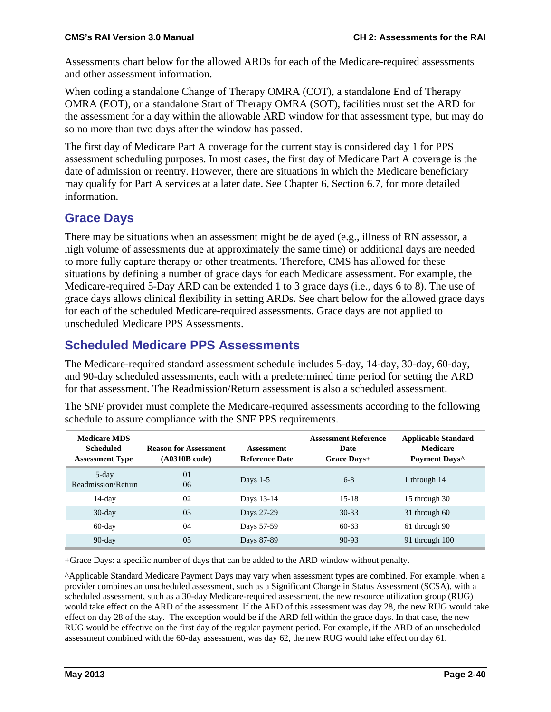Assessments chart below for the allowed ARDs for each of the Medicare-required assessments and other assessment information.

When coding a standalone Change of Therapy OMRA (COT), a standalone End of Therapy OMRA (EOT), or a standalone Start of Therapy OMRA (SOT), facilities must set the ARD for the assessment for a day within the allowable ARD window for that assessment type, but may do so no more than two days after the window has passed.

The first day of Medicare Part A coverage for the current stay is considered day 1 for PPS assessment scheduling purposes. In most cases, the first day of Medicare Part A coverage is the date of admission or reentry. However, there are situations in which the Medicare beneficiary may qualify for Part A services at a later date. See Chapter 6, Section 6.7, for more detailed information.

## **Grace Days**

There may be situations when an assessment might be delayed (e.g., illness of RN assessor, a high volume of assessments due at approximately the same time) or additional days are needed to more fully capture therapy or other treatments. Therefore, CMS has allowed for these situations by defining a number of grace days for each Medicare assessment. For example, the Medicare-required 5-Day ARD can be extended 1 to 3 grace days (i.e., days 6 to 8). The use of grace days allows clinical flexibility in setting ARDs. See chart below for the allowed grace days for each of the scheduled Medicare-required assessments. Grace days are not applied to unscheduled Medicare PPS Assessments.

## **Scheduled Medicare PPS Assessments**

The Medicare-required standard assessment schedule includes 5-day, 14-day, 30-day, 60-day, and 90-day scheduled assessments, each with a predetermined time period for setting the ARD for that assessment. The Readmission/Return assessment is also a scheduled assessment.

| <b>Medicare MDS</b><br><b>Scheduled</b><br><b>Assessment Type</b> | <b>Reason for Assessment</b><br>(A0310B code) | <b>Assessment</b><br><b>Reference Date</b> | <b>Assessment Reference</b><br>Date<br>Grace Days+ | <b>Applicable Standard</b><br><b>Medicare</b><br>Payment Days <sup>^</sup> |
|-------------------------------------------------------------------|-----------------------------------------------|--------------------------------------------|----------------------------------------------------|----------------------------------------------------------------------------|
| $5$ -day<br>Readmission/Return                                    | 01<br>06                                      | Days $1-5$                                 | $6 - 8$                                            | 1 through 14                                                               |
| $14$ -day                                                         | 02                                            | Days 13-14                                 | $15 - 18$                                          | 15 through 30                                                              |
| $30$ -day                                                         | 0 <sub>3</sub>                                | Days 27-29                                 | $30 - 33$                                          | 31 through 60                                                              |
| $60$ -day                                                         | 04                                            | Days 57-59                                 | $60-63$                                            | 61 through 90                                                              |
| $90$ -day                                                         | 0 <sub>5</sub>                                | Days 87-89                                 | $90 - 93$                                          | 91 through 100                                                             |

The SNF provider must complete the Medicare-required assessments according to the following schedule to assure compliance with the SNF PPS requirements.

+Grace Days: a specific number of days that can be added to the ARD window without penalty.

^Applicable Standard Medicare Payment Days may vary when assessment types are combined. For example, when a provider combines an unscheduled assessment, such as a Significant Change in Status Assessment (SCSA), with a scheduled assessment, such as a 30-day Medicare-required assessment, the new resource utilization group (RUG) would take effect on the ARD of the assessment. If the ARD of this assessment was day 28, the new RUG would take effect on day 28 of the stay. The exception would be if the ARD fell within the grace days. In that case, the new RUG would be effective on the first day of the regular payment period. For example, if the ARD of an unscheduled assessment combined with the 60-day assessment, was day 62, the new RUG would take effect on day 61.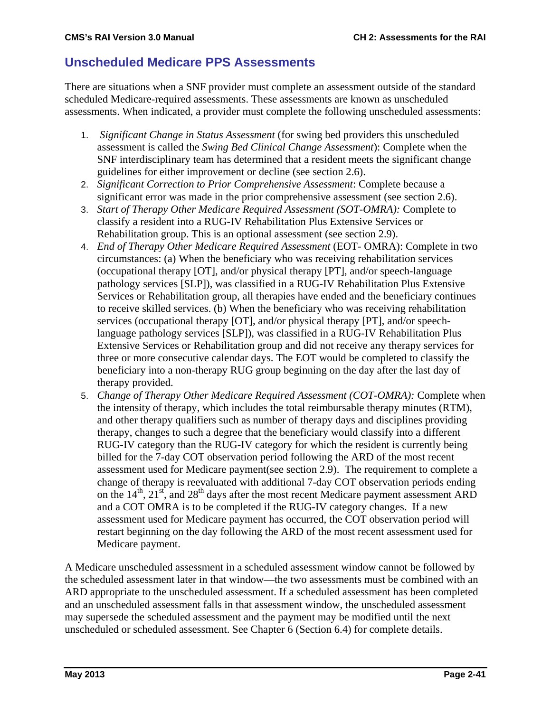## **Unscheduled Medicare PPS Assessments**

There are situations when a SNF provider must complete an assessment outside of the standard scheduled Medicare-required assessments. These assessments are known as unscheduled assessments. When indicated, a provider must complete the following unscheduled assessments:

- 1. *Significant Change in Status Assessment* (for swing bed providers this unscheduled assessment is called the *Swing Bed Clinical Change Assessment*): Complete when the SNF interdisciplinary team has determined that a resident meets the significant change guidelines for either improvement or decline (see section 2.6).
- 2. *Significant Correction to Prior Comprehensive Assessment*: Complete because a significant error was made in the prior comprehensive assessment (see section 2.6).
- 3. *Start of Therapy Other Medicare Required Assessment (SOT-OMRA):* Complete to classify a resident into a RUG-IV Rehabilitation Plus Extensive Services or Rehabilitation group. This is an optional assessment (see section 2.9).
- 4. *End of Therapy Other Medicare Required Assessment* (EOT- OMRA): Complete in two circumstances: (a) When the beneficiary who was receiving rehabilitation services (occupational therapy [OT], and/or physical therapy [PT], and/or speech-language pathology services [SLP]), was classified in a RUG-IV Rehabilitation Plus Extensive Services or Rehabilitation group, all therapies have ended and the beneficiary continues to receive skilled services. (b) When the beneficiary who was receiving rehabilitation services (occupational therapy [OT], and/or physical therapy [PT], and/or speechlanguage pathology services [SLP]), was classified in a RUG-IV Rehabilitation Plus Extensive Services or Rehabilitation group and did not receive any therapy services for three or more consecutive calendar days. The EOT would be completed to classify the beneficiary into a non-therapy RUG group beginning on the day after the last day of therapy provided.
- 5. *Change of Therapy Other Medicare Required Assessment (COT-OMRA):* Complete when the intensity of therapy, which includes the total reimbursable therapy minutes (RTM), and other therapy qualifiers such as number of therapy days and disciplines providing therapy, changes to such a degree that the beneficiary would classify into a different RUG-IV category than the RUG-IV category for which the resident is currently being billed for the 7-day COT observation period following the ARD of the most recent assessment used for Medicare payment(see section 2.9). The requirement to complete a change of therapy is reevaluated with additional 7-day COT observation periods ending on the  $14<sup>th</sup>$ ,  $21<sup>st</sup>$ , and  $28<sup>th</sup>$  days after the most recent Medicare payment assessment ARD and a COT OMRA is to be completed if the RUG-IV category changes. If a new assessment used for Medicare payment has occurred, the COT observation period will restart beginning on the day following the ARD of the most recent assessment used for Medicare payment.

A Medicare unscheduled assessment in a scheduled assessment window cannot be followed by the scheduled assessment later in that window—the two assessments must be combined with an ARD appropriate to the unscheduled assessment. If a scheduled assessment has been completed and an unscheduled assessment falls in that assessment window, the unscheduled assessment may supersede the scheduled assessment and the payment may be modified until the next unscheduled or scheduled assessment. See Chapter 6 (Section 6.4) for complete details.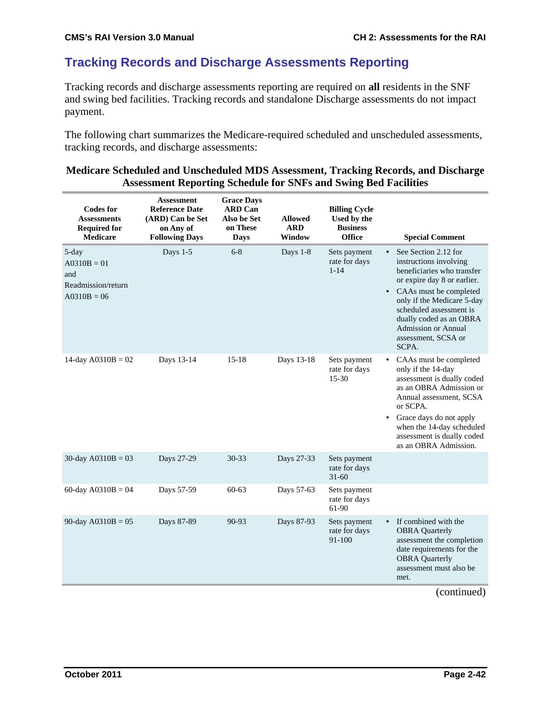## **Tracking Records and Discharge Assessments Reporting**

Tracking records and discharge assessments reporting are required on **all** residents in the SNF and swing bed facilities. Tracking records and standalone Discharge assessments do not impact payment.

The following chart summarizes the Medicare-required scheduled and unscheduled assessments, tracking records, and discharge assessments:

#### **Medicare Scheduled and Unscheduled MDS Assessment, Tracking Records, and Discharge Assessment Reporting Schedule for SNFs and Swing Bed Facilities**

| <b>Codes for</b><br><b>Assessments</b><br><b>Required for</b><br><b>Medicare</b> | <b>Assessment</b><br><b>Reference Date</b><br>(ARD) Can be Set<br>on Any of<br><b>Following Days</b> | <b>Grace Days</b><br><b>ARD Can</b><br>Also be Set<br>on These<br><b>Days</b> | <b>Allowed</b><br><b>ARD</b><br>Window | <b>Billing Cycle</b><br>Used by the<br><b>Business</b><br><b>Office</b> | <b>Special Comment</b>                                                                                                                                                                                                                                                                  |
|----------------------------------------------------------------------------------|------------------------------------------------------------------------------------------------------|-------------------------------------------------------------------------------|----------------------------------------|-------------------------------------------------------------------------|-----------------------------------------------------------------------------------------------------------------------------------------------------------------------------------------------------------------------------------------------------------------------------------------|
| 5-day<br>$A0310B = 01$<br>and<br>Readmission/return<br>$A0310B = 06$             | Days 1-5                                                                                             | $6 - 8$                                                                       | Days 1-8                               | Sets payment<br>rate for days<br>$1 - 14$                               | See Section 2.12 for<br>instructions involving<br>beneficiaries who transfer<br>or expire day 8 or earlier.<br>CAAs must be completed<br>only if the Medicare 5-day<br>scheduled assessment is<br>dually coded as an OBRA<br><b>Admission or Annual</b><br>assessment, SCSA or<br>SCPA. |
| 14-day $A0310B = 02$                                                             | Days 13-14                                                                                           | $15 - 18$                                                                     | Days 13-18                             | Sets payment<br>rate for days<br>15-30                                  | CAAs must be completed<br>only if the 14-day<br>assessment is dually coded<br>as an OBRA Admission or<br>Annual assessment, SCSA<br>or SCPA.<br>Grace days do not apply<br>$\bullet$<br>when the 14-day scheduled<br>assessment is dually coded<br>as an OBRA Admission.                |
| 30-day $A0310B = 03$                                                             | Days 27-29                                                                                           | 30-33                                                                         | Days 27-33                             | Sets payment<br>rate for days<br>$31 - 60$                              |                                                                                                                                                                                                                                                                                         |
| 60-day $A0310B = 04$                                                             | Days 57-59                                                                                           | $60 - 63$                                                                     | Days 57-63                             | Sets payment<br>rate for days<br>61-90                                  |                                                                                                                                                                                                                                                                                         |
| 90-day $A0310B = 05$                                                             | Days 87-89                                                                                           | 90-93                                                                         | Days 87-93                             | Sets payment<br>rate for days<br>91-100                                 | If combined with the<br>$\bullet$<br><b>OBRA</b> Quarterly<br>assessment the completion<br>date requirements for the<br><b>OBRA</b> Quarterly<br>assessment must also be<br>met.                                                                                                        |
|                                                                                  |                                                                                                      |                                                                               |                                        |                                                                         | (continued)                                                                                                                                                                                                                                                                             |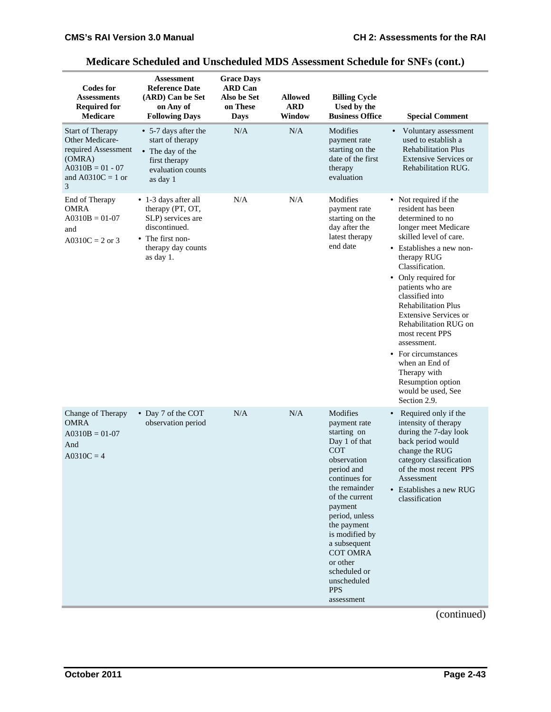| <b>Codes for</b><br><b>Assessments</b><br><b>Required for</b><br><b>Medicare</b>                                            | <b>Assessment</b><br><b>Reference Date</b><br>(ARD) Can be Set<br>on Any of<br><b>Following Days</b>                                     | <b>Grace Days</b><br><b>ARD Can</b><br>Also be Set<br>on These<br><b>Days</b> | <b>Allowed</b><br><b>ARD</b><br>Window | <b>Billing Cycle</b><br>Used by the<br><b>Business Office</b>                                                                                                                                                                                                                                                                   | <b>Special Comment</b>                                                                                                                                                                                                                                                                                                                                                                                                                                                                    |
|-----------------------------------------------------------------------------------------------------------------------------|------------------------------------------------------------------------------------------------------------------------------------------|-------------------------------------------------------------------------------|----------------------------------------|---------------------------------------------------------------------------------------------------------------------------------------------------------------------------------------------------------------------------------------------------------------------------------------------------------------------------------|-------------------------------------------------------------------------------------------------------------------------------------------------------------------------------------------------------------------------------------------------------------------------------------------------------------------------------------------------------------------------------------------------------------------------------------------------------------------------------------------|
| <b>Start of Therapy</b><br>Other Medicare-<br>required Assessment<br>(OMRA)<br>$A0310B = 01 - 07$<br>and A0310C = 1 or<br>3 | • 5-7 days after the<br>start of therapy<br>• The day of the<br>first therapy<br>evaluation counts<br>as day 1                           | N/A                                                                           | N/A                                    | Modifies<br>payment rate<br>starting on the<br>date of the first<br>therapy<br>evaluation                                                                                                                                                                                                                                       | Voluntary assessment<br>$\bullet$<br>used to establish a<br><b>Rehabilitation Plus</b><br><b>Extensive Services or</b><br>Rehabilitation RUG.                                                                                                                                                                                                                                                                                                                                             |
| End of Therapy<br><b>OMRA</b><br>$A0310B = 01-07$<br>and<br>A0310C = $2$ or 3                                               | • 1-3 days after all<br>therapy (PT, OT,<br>SLP) services are<br>discontinued.<br>The first non-<br>٠<br>therapy day counts<br>as day 1. | N/A                                                                           | N/A                                    | Modifies<br>payment rate<br>starting on the<br>day after the<br>latest therapy<br>end date                                                                                                                                                                                                                                      | • Not required if the<br>resident has been<br>determined to no<br>longer meet Medicare<br>skilled level of care.<br>• Establishes a new non-<br>therapy RUG<br>Classification.<br>• Only required for<br>patients who are<br>classified into<br><b>Rehabilitation Plus</b><br><b>Extensive Services or</b><br>Rehabilitation RUG on<br>most recent PPS<br>assessment.<br>• For circumstances<br>when an End of<br>Therapy with<br>Resumption option<br>would be used, See<br>Section 2.9. |
| Change of Therapy<br><b>OMRA</b><br>$A0310B = 01-07$<br>And<br>$A0310C = 4$                                                 | • Day 7 of the COT<br>observation period                                                                                                 | N/A                                                                           | N/A                                    | Modifies<br>payment rate<br>starting on<br>Day 1 of that<br><b>COT</b><br>observation<br>period and<br>continues for<br>the remainder<br>of the current<br>payment<br>period, unless<br>the payment<br>is modified by<br>a subsequent<br><b>COT OMRA</b><br>or other<br>scheduled or<br>unscheduled<br><b>PPS</b><br>assessment | Required only if the<br>$\bullet$<br>intensity of therapy<br>during the 7-day look<br>back period would<br>change the RUG<br>category classification<br>of the most recent PPS<br>Assessment<br>• Establishes a new RUG<br>classification                                                                                                                                                                                                                                                 |

## **Medicare Scheduled and Unscheduled MDS Assessment Schedule for SNFs (cont.)**

(continued)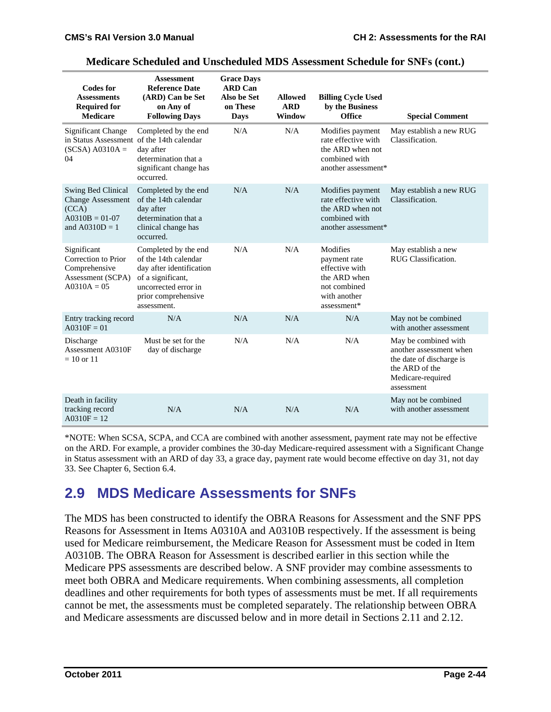| <b>Codes for</b><br><b>Assessments</b><br><b>Required for</b><br><b>Medicare</b>                  | <b>Assessment</b><br><b>Reference Date</b><br>(ARD) Can be Set<br>on Any of<br><b>Following Days</b>                                                        | <b>Grace Days</b><br><b>ARD</b> Can<br>Also be Set<br>on These<br>Days | <b>Allowed</b><br><b>ARD</b><br>Window | <b>Billing Cycle Used</b><br>by the Business<br>Office                                                    | <b>Special Comment</b>                                                                                                           |
|---------------------------------------------------------------------------------------------------|-------------------------------------------------------------------------------------------------------------------------------------------------------------|------------------------------------------------------------------------|----------------------------------------|-----------------------------------------------------------------------------------------------------------|----------------------------------------------------------------------------------------------------------------------------------|
| <b>Significant Change</b><br>in Status Assessment of the 14th calendar<br>$(SCSA)$ A0310A =<br>04 | Completed by the end<br>day after<br>determination that a<br>significant change has<br>occurred.                                                            | N/A                                                                    | N/A                                    | Modifies payment<br>rate effective with<br>the ARD when not<br>combined with<br>another assessment*       | May establish a new RUG<br>Classification.                                                                                       |
| Swing Bed Clinical<br><b>Change Assessment</b><br>(CCA)<br>$A0310B = 01-07$<br>and $A0310D = 1$   | Completed by the end<br>of the 14th calendar<br>day after<br>determination that a<br>clinical change has<br>occurred.                                       | N/A                                                                    | N/A                                    | Modifies payment<br>rate effective with<br>the ARD when not<br>combined with<br>another assessment*       | May establish a new RUG<br>Classification.                                                                                       |
| Significant<br>Correction to Prior<br>Comprehensive<br>Assessment (SCPA)<br>$A0310A = 05$         | Completed by the end<br>of the 14th calendar<br>day after identification<br>of a significant,<br>uncorrected error in<br>prior comprehensive<br>assessment. | N/A                                                                    | N/A                                    | Modifies<br>payment rate<br>effective with<br>the ARD when<br>not combined<br>with another<br>assessment* | May establish a new<br>RUG Classification.                                                                                       |
| Entry tracking record<br>$A0310F = 01$                                                            | N/A                                                                                                                                                         | N/A                                                                    | N/A                                    | N/A                                                                                                       | May not be combined<br>with another assessment                                                                                   |
| Discharge<br>Assessment A0310F<br>$= 10$ or 11                                                    | Must be set for the<br>day of discharge                                                                                                                     | N/A                                                                    | N/A                                    | N/A                                                                                                       | May be combined with<br>another assessment when<br>the date of discharge is<br>the ARD of the<br>Medicare-required<br>assessment |
| Death in facility<br>tracking record<br>$A0310F = 12$                                             | N/A                                                                                                                                                         | N/A                                                                    | N/A                                    | N/A                                                                                                       | May not be combined<br>with another assessment                                                                                   |

#### **Medicare Scheduled and Unscheduled MDS Assessment Schedule for SNFs (cont.)**

\*NOTE: When SCSA, SCPA, and CCA are combined with another assessment, payment rate may not be effective on the ARD. For example, a provider combines the 30-day Medicare-required assessment with a Significant Change in Status assessment with an ARD of day 33, a grace day, payment rate would become effective on day 31, not day 33. See Chapter 6, Section 6.4.

## **2.9 MDS Medicare Assessments for SNFs**

The MDS has been constructed to identify the OBRA Reasons for Assessment and the SNF PPS Reasons for Assessment in Items A0310A and A0310B respectively. If the assessment is being used for Medicare reimbursement, the Medicare Reason for Assessment must be coded in Item A0310B. The OBRA Reason for Assessment is described earlier in this section while the Medicare PPS assessments are described below. A SNF provider may combine assessments to meet both OBRA and Medicare requirements. When combining assessments, all completion deadlines and other requirements for both types of assessments must be met. If all requirements cannot be met, the assessments must be completed separately. The relationship between OBRA and Medicare assessments are discussed below and in more detail in Sections 2.11 and 2.12.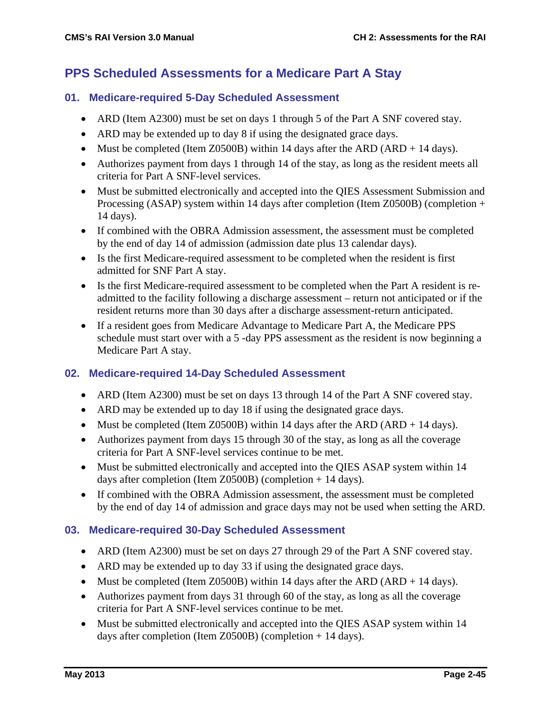## **PPS Scheduled Assessments for a Medicare Part A Stay**

#### **01. Medicare-required 5-Day Scheduled Assessment**

- ARD (Item A2300) must be set on days 1 through 5 of the Part A SNF covered stay.
- ARD may be extended up to day 8 if using the designated grace days.
- Must be completed (Item Z0500B) within 14 days after the ARD (ARD + 14 days).
- Authorizes payment from days 1 through 14 of the stay, as long as the resident meets all criteria for Part A SNF-level services.
- Must be submitted electronically and accepted into the QIES Assessment Submission and Processing (ASAP) system within 14 days after completion (Item Z0500B) (completion + 14 days).
- If combined with the OBRA Admission assessment, the assessment must be completed by the end of day 14 of admission (admission date plus 13 calendar days).
- Is the first Medicare-required assessment to be completed when the resident is first admitted for SNF Part A stay.
- Is the first Medicare-required assessment to be completed when the Part A resident is readmitted to the facility following a discharge assessment – return not anticipated or if the resident returns more than 30 days after a discharge assessment-return anticipated.
- If a resident goes from Medicare Advantage to Medicare Part A, the Medicare PPS schedule must start over with a 5 -day PPS assessment as the resident is now beginning a Medicare Part A stay.

#### **02. Medicare-required 14-Day Scheduled Assessment**

- ARD (Item A2300) must be set on days 13 through 14 of the Part A SNF covered stay.
- ARD may be extended up to day 18 if using the designated grace days.
- Must be completed (Item Z0500B) within 14 days after the ARD (ARD  $+$  14 days).
- Authorizes payment from days 15 through 30 of the stay, as long as all the coverage criteria for Part A SNF-level services continue to be met.
- Must be submitted electronically and accepted into the QIES ASAP system within 14 days after completion (Item Z0500B) (completion + 14 days).
- If combined with the OBRA Admission assessment, the assessment must be completed by the end of day 14 of admission and grace days may not be used when setting the ARD.

#### **03. Medicare-required 30-Day Scheduled Assessment**

- ARD (Item A2300) must be set on days 27 through 29 of the Part A SNF covered stay.
- ARD may be extended up to day 33 if using the designated grace days.
- Must be completed (Item Z0500B) within 14 days after the ARD (ARD + 14 days).
- Authorizes payment from days 31 through 60 of the stay, as long as all the coverage criteria for Part A SNF-level services continue to be met.
- Must be submitted electronically and accepted into the QIES ASAP system within 14 days after completion (Item Z0500B) (completion + 14 days).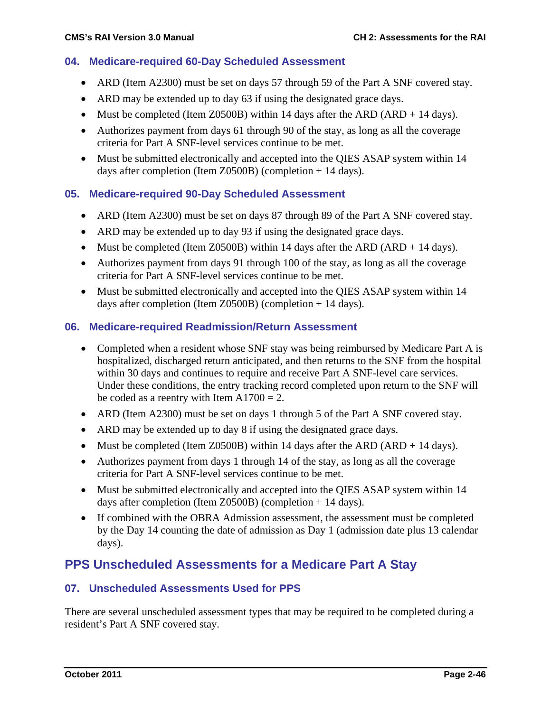#### **04. Medicare-required 60-Day Scheduled Assessment**

- ARD (Item A2300) must be set on days 57 through 59 of the Part A SNF covered stay.
- ARD may be extended up to day 63 if using the designated grace days.
- Must be completed (Item Z0500B) within 14 days after the ARD (ARD + 14 days).
- Authorizes payment from days 61 through 90 of the stay, as long as all the coverage criteria for Part A SNF-level services continue to be met.
- Must be submitted electronically and accepted into the QIES ASAP system within 14 days after completion (Item Z0500B) (completion + 14 days).

#### **05. Medicare-required 90-Day Scheduled Assessment**

- ARD (Item A2300) must be set on days 87 through 89 of the Part A SNF covered stay.
- ARD may be extended up to day 93 if using the designated grace days.
- Must be completed (Item Z0500B) within 14 days after the ARD (ARD + 14 days).
- Authorizes payment from days 91 through 100 of the stay, as long as all the coverage criteria for Part A SNF-level services continue to be met.
- Must be submitted electronically and accepted into the QIES ASAP system within 14 days after completion (Item Z0500B) (completion + 14 days).

#### **06. Medicare-required Readmission/Return Assessment**

- Completed when a resident whose SNF stay was being reimbursed by Medicare Part A is hospitalized, discharged return anticipated, and then returns to the SNF from the hospital within 30 days and continues to require and receive Part A SNF-level care services. Under these conditions, the entry tracking record completed upon return to the SNF will be coded as a reentry with Item  $A1700 = 2$ .
- ARD (Item A2300) must be set on days 1 through 5 of the Part A SNF covered stay.
- ARD may be extended up to day 8 if using the designated grace days.
- Must be completed (Item Z0500B) within 14 days after the ARD (ARD + 14 days).
- Authorizes payment from days 1 through 14 of the stay, as long as all the coverage criteria for Part A SNF-level services continue to be met.
- Must be submitted electronically and accepted into the QIES ASAP system within 14 days after completion (Item Z0500B) (completion + 14 days).
- If combined with the OBRA Admission assessment, the assessment must be completed by the Day 14 counting the date of admission as Day 1 (admission date plus 13 calendar days).

### **PPS Unscheduled Assessments for a Medicare Part A Stay**

#### **07. Unscheduled Assessments Used for PPS**

There are several unscheduled assessment types that may be required to be completed during a resident's Part A SNF covered stay.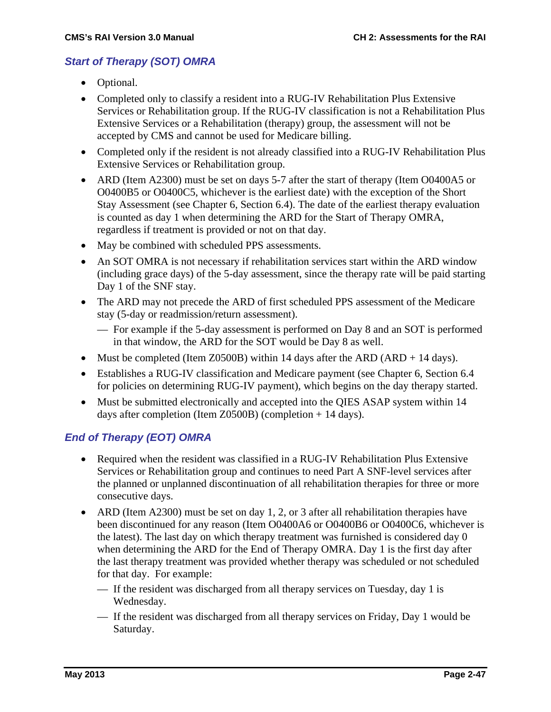### *Start of Therapy (SOT) OMRA*

- Optional.
- Completed only to classify a resident into a RUG-IV Rehabilitation Plus Extensive Services or Rehabilitation group. If the RUG-IV classification is not a Rehabilitation Plus Extensive Services or a Rehabilitation (therapy) group, the assessment will not be accepted by CMS and cannot be used for Medicare billing.
- Completed only if the resident is not already classified into a RUG-IV Rehabilitation Plus Extensive Services or Rehabilitation group.
- ARD (Item A2300) must be set on days 5-7 after the start of therapy (Item O0400A5 or O0400B5 or O0400C5, whichever is the earliest date) with the exception of the Short Stay Assessment (see Chapter 6, Section 6.4). The date of the earliest therapy evaluation is counted as day 1 when determining the ARD for the Start of Therapy OMRA, regardless if treatment is provided or not on that day.
- May be combined with scheduled PPS assessments.
- An SOT OMRA is not necessary if rehabilitation services start within the ARD window (including grace days) of the 5-day assessment, since the therapy rate will be paid starting Day 1 of the SNF stay.
- The ARD may not precede the ARD of first scheduled PPS assessment of the Medicare stay (5-day or readmission/return assessment).
	- For example if the 5-day assessment is performed on Day 8 and an SOT is performed in that window, the ARD for the SOT would be Day 8 as well.
- Must be completed (Item Z0500B) within 14 days after the ARD (ARD + 14 days).
- Establishes a RUG-IV classification and Medicare payment (see Chapter 6, Section 6.4) for policies on determining RUG-IV payment), which begins on the day therapy started.
- Must be submitted electronically and accepted into the QIES ASAP system within 14 days after completion (Item Z0500B) (completion + 14 days).

### *End of Therapy (EOT) OMRA*

- Required when the resident was classified in a RUG-IV Rehabilitation Plus Extensive Services or Rehabilitation group and continues to need Part A SNF-level services after the planned or unplanned discontinuation of all rehabilitation therapies for three or more consecutive days.
- ARD (Item A2300) must be set on day 1, 2, or 3 after all rehabilitation therapies have been discontinued for any reason (Item O0400A6 or O0400B6 or O0400C6, whichever is the latest). The last day on which therapy treatment was furnished is considered day 0 when determining the ARD for the End of Therapy OMRA. Day 1 is the first day after the last therapy treatment was provided whether therapy was scheduled or not scheduled for that day. For example:
	- If the resident was discharged from all therapy services on Tuesday, day 1 is Wednesday.
	- If the resident was discharged from all therapy services on Friday, Day 1 would be Saturday.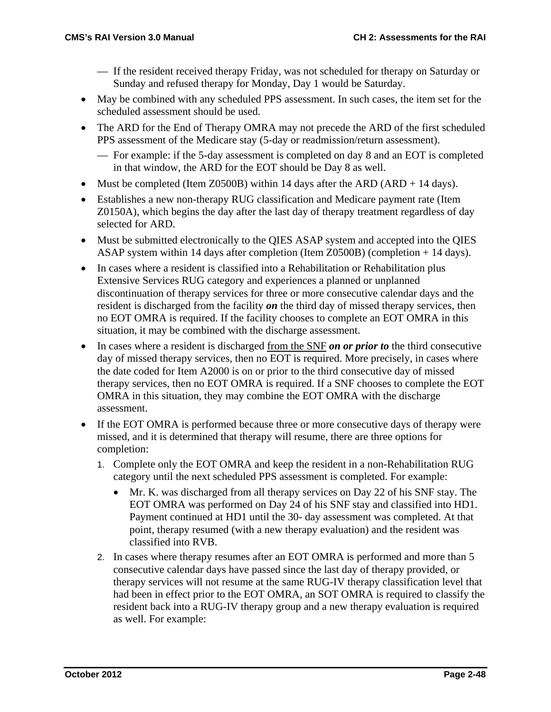- If the resident received therapy Friday, was not scheduled for therapy on Saturday or Sunday and refused therapy for Monday, Day 1 would be Saturday.
- May be combined with any scheduled PPS assessment. In such cases, the item set for the scheduled assessment should be used.
- The ARD for the End of Therapy OMRA may not precede the ARD of the first scheduled PPS assessment of the Medicare stay (5-day or readmission/return assessment).
	- For example: if the 5-day assessment is completed on day 8 and an EOT is completed in that window, the ARD for the EOT should be Day 8 as well.
- Must be completed (Item Z0500B) within 14 days after the ARD (ARD  $+$  14 days).
- Establishes a new non-therapy RUG classification and Medicare payment rate (Item Z0150A), which begins the day after the last day of therapy treatment regardless of day selected for ARD.
- Must be submitted electronically to the QIES ASAP system and accepted into the QIES ASAP system within 14 days after completion (Item Z0500B) (completion + 14 days).
- In cases where a resident is classified into a Rehabilitation or Rehabilitation plus Extensive Services RUG category and experiences a planned or unplanned discontinuation of therapy services for three or more consecutive calendar days and the resident is discharged from the facility *on* the third day of missed therapy services, then no EOT OMRA is required. If the facility chooses to complete an EOT OMRA in this situation, it may be combined with the discharge assessment.
- In cases where a resident is discharged from the SNF *on or prior to* the third consecutive day of missed therapy services, then no EOT is required. More precisely, in cases where the date coded for Item A2000 is on or prior to the third consecutive day of missed therapy services, then no EOT OMRA is required. If a SNF chooses to complete the EOT OMRA in this situation, they may combine the EOT OMRA with the discharge assessment.
- If the EOT OMRA is performed because three or more consecutive days of therapy were missed, and it is determined that therapy will resume, there are three options for completion:
	- 1. Complete only the EOT OMRA and keep the resident in a non-Rehabilitation RUG category until the next scheduled PPS assessment is completed. For example:
		- Mr. K. was discharged from all therapy services on Day 22 of his SNF stay. The EOT OMRA was performed on Day 24 of his SNF stay and classified into HD1. Payment continued at HD1 until the 30- day assessment was completed. At that point, therapy resumed (with a new therapy evaluation) and the resident was classified into RVB.
	- 2. In cases where therapy resumes after an EOT OMRA is performed and more than 5 consecutive calendar days have passed since the last day of therapy provided, or therapy services will not resume at the same RUG-IV therapy classification level that had been in effect prior to the EOT OMRA, an SOT OMRA is required to classify the resident back into a RUG-IV therapy group and a new therapy evaluation is required as well. For example: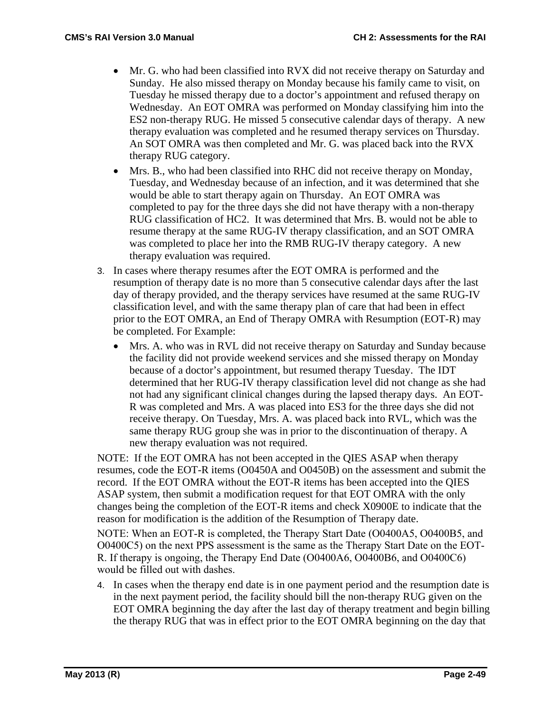- Mr. G. who had been classified into RVX did not receive therapy on Saturday and Sunday. He also missed therapy on Monday because his family came to visit, on Tuesday he missed therapy due to a doctor's appointment and refused therapy on Wednesday. An EOT OMRA was performed on Monday classifying him into the ES2 non-therapy RUG. He missed 5 consecutive calendar days of therapy. A new therapy evaluation was completed and he resumed therapy services on Thursday. An SOT OMRA was then completed and Mr. G. was placed back into the RVX therapy RUG category.
- Mrs. B., who had been classified into RHC did not receive therapy on Monday, Tuesday, and Wednesday because of an infection, and it was determined that she would be able to start therapy again on Thursday. An EOT OMRA was completed to pay for the three days she did not have therapy with a non-therapy RUG classification of HC2. It was determined that Mrs. B. would not be able to resume therapy at the same RUG-IV therapy classification, and an SOT OMRA was completed to place her into the RMB RUG-IV therapy category. A new therapy evaluation was required.
- 3. In cases where therapy resumes after the EOT OMRA is performed and the resumption of therapy date is no more than 5 consecutive calendar days after the last day of therapy provided, and the therapy services have resumed at the same RUG-IV classification level, and with the same therapy plan of care that had been in effect prior to the EOT OMRA, an End of Therapy OMRA with Resumption (EOT-R) may be completed. For Example:
	- Mrs. A. who was in RVL did not receive therapy on Saturday and Sunday because the facility did not provide weekend services and she missed therapy on Monday because of a doctor's appointment, but resumed therapy Tuesday. The IDT determined that her RUG-IV therapy classification level did not change as she had not had any significant clinical changes during the lapsed therapy days. An EOT-R was completed and Mrs. A was placed into ES3 for the three days she did not receive therapy. On Tuesday, Mrs. A. was placed back into RVL, which was the same therapy RUG group she was in prior to the discontinuation of therapy. A new therapy evaluation was not required.

NOTE: If the EOT OMRA has not been accepted in the QIES ASAP when therapy resumes, code the EOT-R items (O0450A and O0450B) on the assessment and submit the record. If the EOT OMRA without the EOT-R items has been accepted into the QIES ASAP system, then submit a modification request for that EOT OMRA with the only changes being the completion of the EOT-R items and check X0900E to indicate that the reason for modification is the addition of the Resumption of Therapy date.

NOTE: When an EOT-R is completed, the Therapy Start Date (O0400A5, O0400B5, and O0400C5) on the next PPS assessment is the same as the Therapy Start Date on the EOT-R. If therapy is ongoing, the Therapy End Date (O0400A6, O0400B6, and O0400C6) would be filled out with dashes.

4. In cases when the therapy end date is in one payment period and the resumption date is in the next payment period, the facility should bill the non-therapy RUG given on the EOT OMRA beginning the day after the last day of therapy treatment and begin billing the therapy RUG that was in effect prior to the EOT OMRA beginning on the day that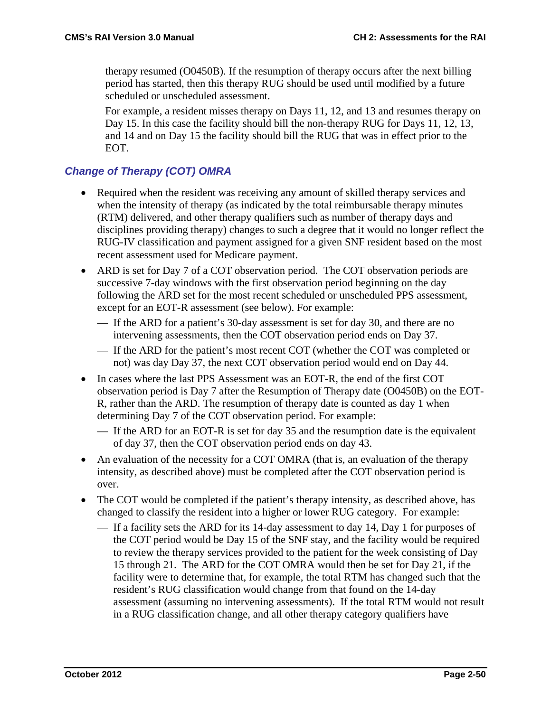therapy resumed (O0450B). If the resumption of therapy occurs after the next billing period has started, then this therapy RUG should be used until modified by a future scheduled or unscheduled assessment.

For example, a resident misses therapy on Days 11, 12, and 13 and resumes therapy on Day 15. In this case the facility should bill the non-therapy RUG for Days 11, 12, 13, and 14 and on Day 15 the facility should bill the RUG that was in effect prior to the EOT.

### *Change of Therapy (COT) OMRA*

- Required when the resident was receiving any amount of skilled therapy services and when the intensity of therapy (as indicated by the total reimbursable therapy minutes (RTM) delivered, and other therapy qualifiers such as number of therapy days and disciplines providing therapy) changes to such a degree that it would no longer reflect the RUG-IV classification and payment assigned for a given SNF resident based on the most recent assessment used for Medicare payment.
- ARD is set for Day 7 of a COT observation period. The COT observation periods are successive 7-day windows with the first observation period beginning on the day following the ARD set for the most recent scheduled or unscheduled PPS assessment, except for an EOT-R assessment (see below). For example:
	- If the ARD for a patient's 30-day assessment is set for day 30, and there are no intervening assessments, then the COT observation period ends on Day 37.
	- If the ARD for the patient's most recent COT (whether the COT was completed or not) was day Day 37, the next COT observation period would end on Day 44.
- In cases where the last PPS Assessment was an EOT-R, the end of the first COT observation period is Day 7 after the Resumption of Therapy date (O0450B) on the EOT-R, rather than the ARD. The resumption of therapy date is counted as day 1 when determining Day 7 of the COT observation period. For example:
	- If the ARD for an EOT-R is set for day 35 and the resumption date is the equivalent of day 37, then the COT observation period ends on day 43.
- An evaluation of the necessity for a COT OMRA (that is, an evaluation of the therapy intensity, as described above) must be completed after the COT observation period is over.
- The COT would be completed if the patient's therapy intensity, as described above, has changed to classify the resident into a higher or lower RUG category. For example:
	- If a facility sets the ARD for its 14-day assessment to day 14, Day 1 for purposes of the COT period would be Day 15 of the SNF stay, and the facility would be required to review the therapy services provided to the patient for the week consisting of Day 15 through 21. The ARD for the COT OMRA would then be set for Day 21, if the facility were to determine that, for example, the total RTM has changed such that the resident's RUG classification would change from that found on the 14-day assessment (assuming no intervening assessments). If the total RTM would not result in a RUG classification change, and all other therapy category qualifiers have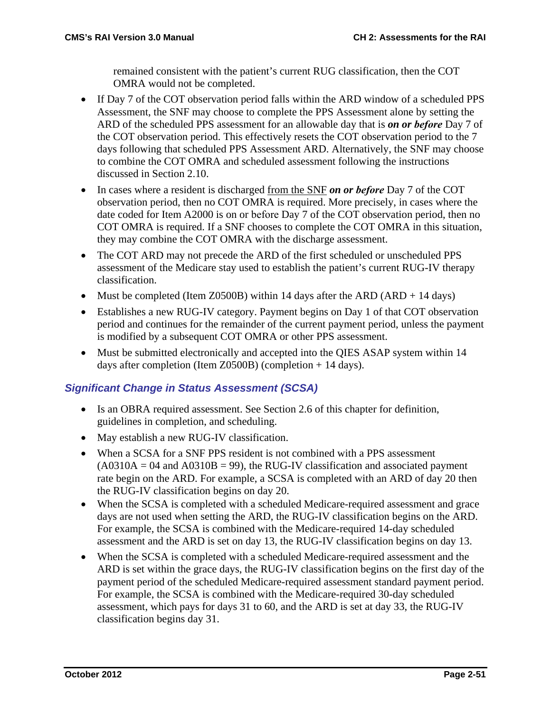remained consistent with the patient's current RUG classification, then the COT OMRA would not be completed.

- If Day 7 of the COT observation period falls within the ARD window of a scheduled PPS Assessment, the SNF may choose to complete the PPS Assessment alone by setting the ARD of the scheduled PPS assessment for an allowable day that is *on or before* Day 7 of the COT observation period. This effectively resets the COT observation period to the 7 days following that scheduled PPS Assessment ARD. Alternatively, the SNF may choose to combine the COT OMRA and scheduled assessment following the instructions discussed in Section 2.10.
- In cases where a resident is discharged from the SNF *on or before* Day 7 of the COT observation period, then no COT OMRA is required. More precisely, in cases where the date coded for Item A2000 is on or before Day 7 of the COT observation period, then no COT OMRA is required. If a SNF chooses to complete the COT OMRA in this situation, they may combine the COT OMRA with the discharge assessment.
- The COT ARD may not precede the ARD of the first scheduled or unscheduled PPS assessment of the Medicare stay used to establish the patient's current RUG-IV therapy classification.
- Must be completed (Item Z0500B) within 14 days after the ARD (ARD + 14 days)
- Establishes a new RUG-IV category. Payment begins on Day 1 of that COT observation period and continues for the remainder of the current payment period, unless the payment is modified by a subsequent COT OMRA or other PPS assessment.
- Must be submitted electronically and accepted into the QIES ASAP system within 14 days after completion (Item Z0500B) (completion + 14 days).

#### *Significant Change in Status Assessment (SCSA)*

- Is an OBRA required assessment. See Section 2.6 of this chapter for definition, guidelines in completion, and scheduling.
- May establish a new RUG-IV classification.
- When a SCSA for a SNF PPS resident is not combined with a PPS assessment  $(A0310A = 04$  and  $A0310B = 99$ ), the RUG-IV classification and associated payment rate begin on the ARD. For example, a SCSA is completed with an ARD of day 20 then the RUG-IV classification begins on day 20.
- When the SCSA is completed with a scheduled Medicare-required assessment and grace days are not used when setting the ARD, the RUG-IV classification begins on the ARD. For example, the SCSA is combined with the Medicare-required 14-day scheduled assessment and the ARD is set on day 13, the RUG-IV classification begins on day 13.
- When the SCSA is completed with a scheduled Medicare-required assessment and the ARD is set within the grace days, the RUG-IV classification begins on the first day of the payment period of the scheduled Medicare-required assessment standard payment period. For example, the SCSA is combined with the Medicare-required 30-day scheduled assessment, which pays for days 31 to 60, and the ARD is set at day 33, the RUG-IV classification begins day 31.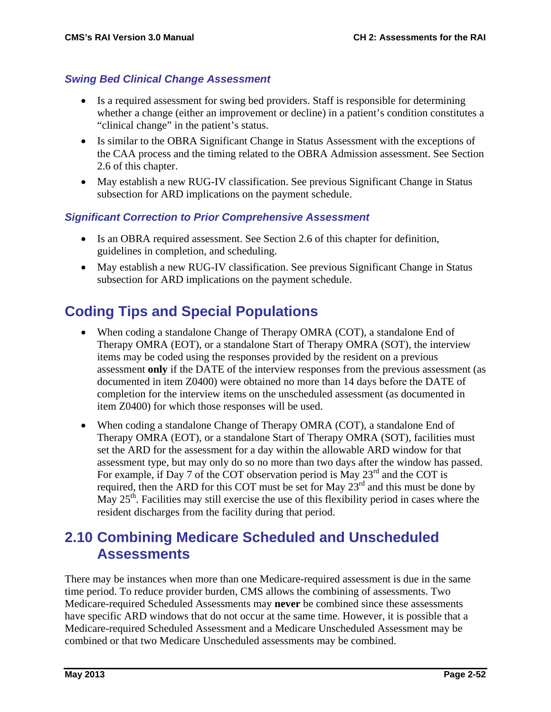#### *Swing Bed Clinical Change Assessment*

- Is a required assessment for swing bed providers. Staff is responsible for determining whether a change (either an improvement or decline) in a patient's condition constitutes a "clinical change" in the patient's status.
- Is similar to the OBRA Significant Change in Status Assessment with the exceptions of the CAA process and the timing related to the OBRA Admission assessment. See Section 2.6 of this chapter.
- May establish a new RUG-IV classification. See previous Significant Change in Status subsection for ARD implications on the payment schedule.

### *Significant Correction to Prior Comprehensive Assessment*

- Is an OBRA required assessment. See Section 2.6 of this chapter for definition, guidelines in completion, and scheduling.
- May establish a new RUG-IV classification. See previous Significant Change in Status subsection for ARD implications on the payment schedule.

# **Coding Tips and Special Populations**

- When coding a standalone Change of Therapy OMRA (COT), a standalone End of Therapy OMRA (EOT), or a standalone Start of Therapy OMRA (SOT), the interview items may be coded using the responses provided by the resident on a previous assessment **only** if the DATE of the interview responses from the previous assessment (as documented in item Z0400) were obtained no more than 14 days before the DATE of completion for the interview items on the unscheduled assessment (as documented in item Z0400) for which those responses will be used.
- When coding a standalone Change of Therapy OMRA (COT), a standalone End of Therapy OMRA (EOT), or a standalone Start of Therapy OMRA (SOT), facilities must set the ARD for the assessment for a day within the allowable ARD window for that assessment type, but may only do so no more than two days after the window has passed. For example, if Day 7 of the COT observation period is May  $23<sup>rd</sup>$  and the COT is required, then the ARD for this COT must be set for May 23<sup>rd</sup> and this must be done by May  $25<sup>th</sup>$ . Facilities may still exercise the use of this flexibility period in cases where the resident discharges from the facility during that period.

## **2.10 Combining Medicare Scheduled and Unscheduled Assessments**

There may be instances when more than one Medicare-required assessment is due in the same time period. To reduce provider burden, CMS allows the combining of assessments. Two Medicare-required Scheduled Assessments may **never** be combined since these assessments have specific ARD windows that do not occur at the same time. However, it is possible that a Medicare-required Scheduled Assessment and a Medicare Unscheduled Assessment may be combined or that two Medicare Unscheduled assessments may be combined.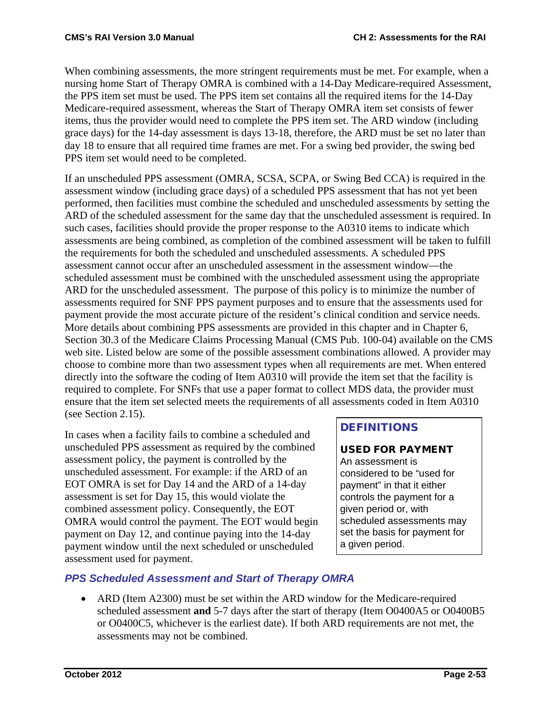When combining assessments, the more stringent requirements must be met. For example, when a nursing home Start of Therapy OMRA is combined with a 14-Day Medicare-required Assessment, the PPS item set must be used. The PPS item set contains all the required items for the 14-Day Medicare-required assessment, whereas the Start of Therapy OMRA item set consists of fewer items, thus the provider would need to complete the PPS item set. The ARD window (including grace days) for the 14-day assessment is days 13-18, therefore, the ARD must be set no later than day 18 to ensure that all required time frames are met. For a swing bed provider, the swing bed PPS item set would need to be completed.

If an unscheduled PPS assessment (OMRA, SCSA, SCPA, or Swing Bed CCA) is required in the assessment window (including grace days) of a scheduled PPS assessment that has not yet been performed, then facilities must combine the scheduled and unscheduled assessments by setting the ARD of the scheduled assessment for the same day that the unscheduled assessment is required. In such cases, facilities should provide the proper response to the A0310 items to indicate which assessments are being combined, as completion of the combined assessment will be taken to fulfill the requirements for both the scheduled and unscheduled assessments. A scheduled PPS assessment cannot occur after an unscheduled assessment in the assessment window—the scheduled assessment must be combined with the unscheduled assessment using the appropriate ARD for the unscheduled assessment. The purpose of this policy is to minimize the number of assessments required for SNF PPS payment purposes and to ensure that the assessments used for payment provide the most accurate picture of the resident's clinical condition and service needs. More details about combining PPS assessments are provided in this chapter and in Chapter 6, Section 30.3 of the Medicare Claims Processing Manual (CMS Pub. 100-04) available on the CMS web site. Listed below are some of the possible assessment combinations allowed. A provider may choose to combine more than two assessment types when all requirements are met. When entered directly into the software the coding of Item A0310 will provide the item set that the facility is required to complete. For SNFs that use a paper format to collect MDS data, the provider must ensure that the item set selected meets the requirements of all assessments coded in Item A0310 (see Section 2.15).

In cases when a facility fails to combine a scheduled and unscheduled PPS assessment as required by the combined assessment policy, the payment is controlled by the unscheduled assessment. For example: if the ARD of an EOT OMRA is set for Day 14 and the ARD of a 14-day assessment is set for Day 15, this would violate the combined assessment policy. Consequently, the EOT OMRA would control the payment. The EOT would begin payment on Day 12, and continue paying into the 14-day payment window until the next scheduled or unscheduled assessment used for payment.

## DEFINITIONS

#### USED FOR PAYMENT

An assessment is considered to be "used for payment" in that it either controls the payment for a given period or, with scheduled assessments may set the basis for payment for a given period.

### *PPS Scheduled Assessment and Start of Therapy OMRA*

• ARD (Item A2300) must be set within the ARD window for the Medicare-required scheduled assessment **and** 5-7 days after the start of therapy (Item O0400A5 or O0400B5 or O0400C5, whichever is the earliest date). If both ARD requirements are not met, the assessments may not be combined.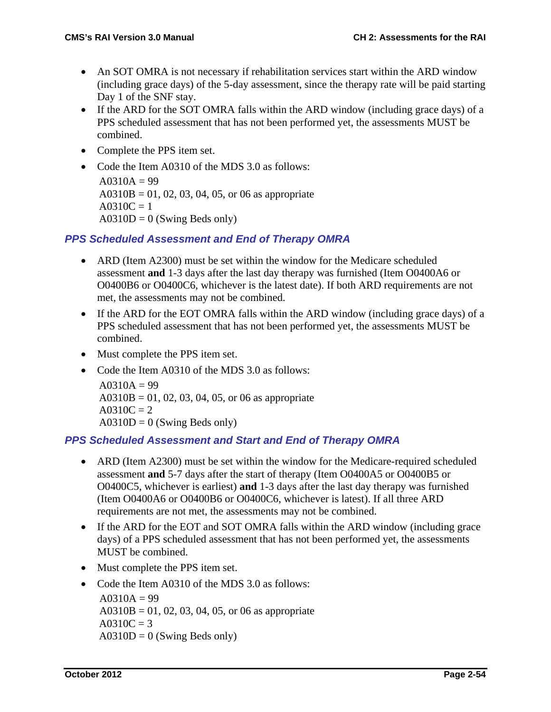- An SOT OMRA is not necessary if rehabilitation services start within the ARD window (including grace days) of the 5-day assessment, since the therapy rate will be paid starting Day 1 of the SNF stay.
- If the ARD for the SOT OMRA falls within the ARD window (including grace days) of a PPS scheduled assessment that has not been performed yet, the assessments MUST be combined.
- Complete the PPS item set.
- Code the Item A0310 of the MDS 3.0 as follows:  $A0310A = 99$  $A0310B = 01, 02, 03, 04, 05, or 06$  as appropriate  $A0310C = 1$  $A0310D = 0$  (Swing Beds only)

### *PPS Scheduled Assessment and End of Therapy OMRA*

- ARD (Item A2300) must be set within the window for the Medicare scheduled assessment **and** 1-3 days after the last day therapy was furnished (Item O0400A6 or O0400B6 or O0400C6, whichever is the latest date). If both ARD requirements are not met, the assessments may not be combined.
- If the ARD for the EOT OMRA falls within the ARD window (including grace days) of a PPS scheduled assessment that has not been performed yet, the assessments MUST be combined.
- Must complete the PPS item set.
- Code the Item A0310 of the MDS 3.0 as follows:  $A0310A = 99$  $A0310B = 01, 02, 03, 04, 05, or 06$  as appropriate  $A0310C = 2$  $A0310D = 0$  (Swing Beds only)

### *PPS Scheduled Assessment and Start and End of Therapy OMRA*

- ARD (Item A2300) must be set within the window for the Medicare-required scheduled assessment **and** 5-7 days after the start of therapy (Item O0400A5 or O0400B5 or O0400C5, whichever is earliest) **and** 1-3 days after the last day therapy was furnished (Item O0400A6 or O0400B6 or O0400C6, whichever is latest). If all three ARD requirements are not met, the assessments may not be combined.
- If the ARD for the EOT and SOT OMRA falls within the ARD window (including grace days) of a PPS scheduled assessment that has not been performed yet, the assessments MUST be combined.
- Must complete the PPS item set.
- Code the Item A0310 of the MDS 3.0 as follows:  $A0310A = 99$  $A0310B = 01, 02, 03, 04, 05, or 06$  as appropriate  $A0310C = 3$  $A0310D = 0$  (Swing Beds only)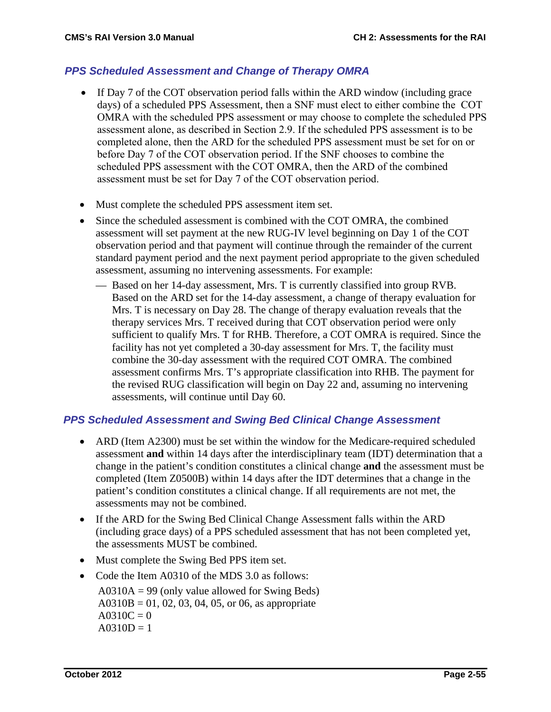#### *PPS Scheduled Assessment and Change of Therapy OMRA*

- If Day 7 of the COT observation period falls within the ARD window (including grace days) of a scheduled PPS Assessment, then a SNF must elect to either combine the COT OMRA with the scheduled PPS assessment or may choose to complete the scheduled PPS assessment alone, as described in Section 2.9. If the scheduled PPS assessment is to be completed alone, then the ARD for the scheduled PPS assessment must be set for on or before Day 7 of the COT observation period. If the SNF chooses to combine the scheduled PPS assessment with the COT OMRA, then the ARD of the combined assessment must be set for Day 7 of the COT observation period.
- Must complete the scheduled PPS assessment item set.
- Since the scheduled assessment is combined with the COT OMRA, the combined assessment will set payment at the new RUG-IV level beginning on Day 1 of the COT observation period and that payment will continue through the remainder of the current standard payment period and the next payment period appropriate to the given scheduled assessment, assuming no intervening assessments. For example:
	- Based on her 14-day assessment, Mrs. T is currently classified into group RVB. Based on the ARD set for the 14-day assessment, a change of therapy evaluation for Mrs. T is necessary on Day 28. The change of therapy evaluation reveals that the therapy services Mrs. T received during that COT observation period were only sufficient to qualify Mrs. T for RHB. Therefore, a COT OMRA is required. Since the facility has not yet completed a 30-day assessment for Mrs. T, the facility must combine the 30-day assessment with the required COT OMRA. The combined assessment confirms Mrs. T's appropriate classification into RHB. The payment for the revised RUG classification will begin on Day 22 and, assuming no intervening assessments, will continue until Day 60.

#### *PPS Scheduled Assessment and Swing Bed Clinical Change Assessment*

- ARD (Item A2300) must be set within the window for the Medicare-required scheduled assessment **and** within 14 days after the interdisciplinary team (IDT) determination that a change in the patient's condition constitutes a clinical change **and** the assessment must be completed (Item Z0500B) within 14 days after the IDT determines that a change in the patient's condition constitutes a clinical change. If all requirements are not met, the assessments may not be combined.
- If the ARD for the Swing Bed Clinical Change Assessment falls within the ARD (including grace days) of a PPS scheduled assessment that has not been completed yet, the assessments MUST be combined.
- Must complete the Swing Bed PPS item set.
- Code the Item A0310 of the MDS 3.0 as follows:

 $A0310A = 99$  (only value allowed for Swing Beds)  $A0310B = 01, 02, 03, 04, 05, or 06$ , as appropriate  $A0310C = 0$  $A0310D = 1$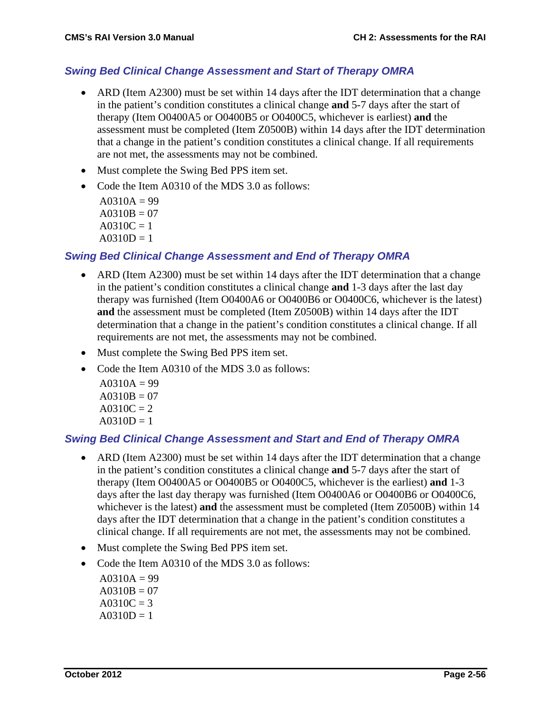#### *Swing Bed Clinical Change Assessment and Start of Therapy OMRA*

- ARD (Item A2300) must be set within 14 days after the IDT determination that a change in the patient's condition constitutes a clinical change **and** 5-7 days after the start of therapy (Item O0400A5 or O0400B5 or O0400C5, whichever is earliest) **and** the assessment must be completed (Item Z0500B) within 14 days after the IDT determination that a change in the patient's condition constitutes a clinical change. If all requirements are not met, the assessments may not be combined.
- Must complete the Swing Bed PPS item set.
- Code the Item A0310 of the MDS 3.0 as follows:

 $A0310A = 99$  $A0310B = 07$  $A0310C = 1$  $A0310D = 1$ 

#### *Swing Bed Clinical Change Assessment and End of Therapy OMRA*

- ARD (Item A2300) must be set within 14 days after the IDT determination that a change in the patient's condition constitutes a clinical change **and** 1-3 days after the last day therapy was furnished (Item O0400A6 or O0400B6 or O0400C6, whichever is the latest) **and** the assessment must be completed (Item Z0500B) within 14 days after the IDT determination that a change in the patient's condition constitutes a clinical change. If all requirements are not met, the assessments may not be combined.
- Must complete the Swing Bed PPS item set.
- Code the Item A0310 of the MDS 3.0 as follows:
	- $A0310A = 99$  $A0310B = 07$  $A0310C = 2$  $A0310D = 1$

#### *Swing Bed Clinical Change Assessment and Start and End of Therapy OMRA*

- ARD (Item A2300) must be set within 14 days after the IDT determination that a change in the patient's condition constitutes a clinical change **and** 5-7 days after the start of therapy (Item O0400A5 or O0400B5 or O0400C5, whichever is the earliest) **and** 1-3 days after the last day therapy was furnished (Item O0400A6 or O0400B6 or O0400C6, whichever is the latest) **and** the assessment must be completed (Item Z0500B) within 14 days after the IDT determination that a change in the patient's condition constitutes a clinical change. If all requirements are not met, the assessments may not be combined.
- Must complete the Swing Bed PPS item set.
- Code the Item A0310 of the MDS 3.0 as follows:
	- $A0310A = 99$  $A0310B = 07$  $A0310C = 3$  $A0310D = 1$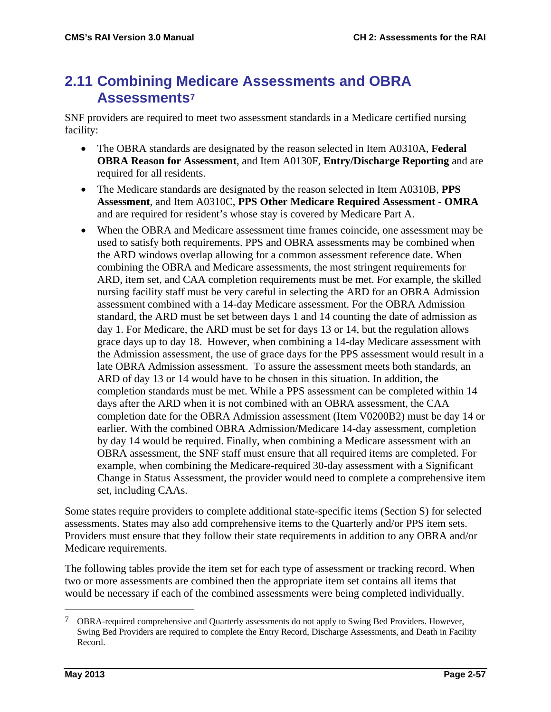## **2.11 Combining Medicare Assessments and OBRA Assessments[7](#page-56-0)**

SNF providers are required to meet two assessment standards in a Medicare certified nursing facility:

- The OBRA standards are designated by the reason selected in Item A0310A, **Federal OBRA Reason for Assessment**, and Item A0130F, **Entry/Discharge Reporting** and are required for all residents.
- The Medicare standards are designated by the reason selected in Item A0310B, **PPS Assessment**, and Item A0310C, **PPS Other Medicare Required Assessment - OMRA**  and are required for resident's whose stay is covered by Medicare Part A.
- When the OBRA and Medicare assessment time frames coincide, one assessment may be used to satisfy both requirements. PPS and OBRA assessments may be combined when the ARD windows overlap allowing for a common assessment reference date. When combining the OBRA and Medicare assessments, the most stringent requirements for ARD, item set, and CAA completion requirements must be met. For example, the skilled nursing facility staff must be very careful in selecting the ARD for an OBRA Admission assessment combined with a 14-day Medicare assessment. For the OBRA Admission standard, the ARD must be set between days 1 and 14 counting the date of admission as day 1. For Medicare, the ARD must be set for days 13 or 14, but the regulation allows grace days up to day 18. However, when combining a 14-day Medicare assessment with the Admission assessment, the use of grace days for the PPS assessment would result in a late OBRA Admission assessment. To assure the assessment meets both standards, an ARD of day 13 or 14 would have to be chosen in this situation. In addition, the completion standards must be met. While a PPS assessment can be completed within 14 days after the ARD when it is not combined with an OBRA assessment, the CAA completion date for the OBRA Admission assessment (Item V0200B2) must be day 14 or earlier. With the combined OBRA Admission/Medicare 14-day assessment, completion by day 14 would be required. Finally, when combining a Medicare assessment with an OBRA assessment, the SNF staff must ensure that all required items are completed. For example, when combining the Medicare-required 30-day assessment with a Significant Change in Status Assessment, the provider would need to complete a comprehensive item set, including CAAs.

Some states require providers to complete additional state-specific items (Section S) for selected assessments. States may also add comprehensive items to the Quarterly and/or PPS item sets. Providers must ensure that they follow their state requirements in addition to any OBRA and/or Medicare requirements.

The following tables provide the item set for each type of assessment or tracking record. When two or more assessments are combined then the appropriate item set contains all items that would be necessary if each of the combined assessments were being completed individually.

<span id="page-56-0"></span> <sup>7</sup> OBRA-required comprehensive and Quarterly assessments do not apply to Swing Bed Providers. However, Swing Bed Providers are required to complete the Entry Record, Discharge Assessments, and Death in Facility Record.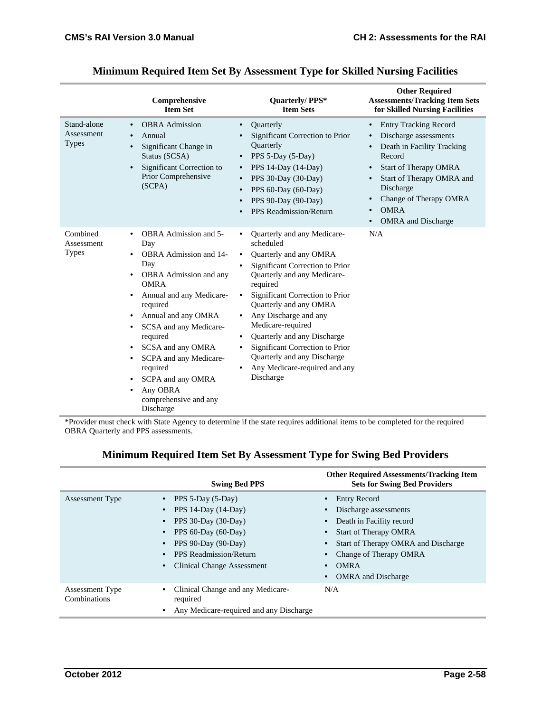|                                           | Comprehensive<br><b>Item Set</b>                                                                                                                                                                                                                                                                                                                                                                                                                                      | Quarterly/PPS*<br><b>Item Sets</b>                                                                                                                                                                                                                                                                                                                                                                                                                                  | <b>Other Required</b><br><b>Assessments/Tracking Item Sets</b><br>for Skilled Nursing Facilities                                                                                                                                                                                                                                                      |
|-------------------------------------------|-----------------------------------------------------------------------------------------------------------------------------------------------------------------------------------------------------------------------------------------------------------------------------------------------------------------------------------------------------------------------------------------------------------------------------------------------------------------------|---------------------------------------------------------------------------------------------------------------------------------------------------------------------------------------------------------------------------------------------------------------------------------------------------------------------------------------------------------------------------------------------------------------------------------------------------------------------|-------------------------------------------------------------------------------------------------------------------------------------------------------------------------------------------------------------------------------------------------------------------------------------------------------------------------------------------------------|
| Stand-alone<br>Assessment<br><b>Types</b> | <b>OBRA</b> Admission<br>$\bullet$<br>Annual<br>$\bullet$<br>Significant Change in<br>$\bullet$<br>Status (SCSA)<br>Significant Correction to<br>$\bullet$<br>Prior Comprehensive<br>(SCPA)                                                                                                                                                                                                                                                                           | Quarterly<br>$\bullet$<br>Significant Correction to Prior<br><b>Ouarterly</b><br>PPS 5-Day (5-Day)<br>PPS 14-Day (14-Day)<br>$\bullet$<br>PPS 30-Day (30-Day)<br>PPS 60-Day (60-Day)<br>$\bullet$<br>PPS 90-Day (90-Day)<br>$\bullet$<br>PPS Readmission/Return                                                                                                                                                                                                     | <b>Entry Tracking Record</b><br>$\bullet$<br>Discharge assessments<br>$\bullet$<br>Death in Facility Tracking<br>$\bullet$<br>Record<br><b>Start of Therapy OMRA</b><br>$\bullet$<br>Start of Therapy OMRA and<br>$\bullet$<br>Discharge<br>Change of Therapy OMRA<br>$\bullet$<br><b>OMRA</b><br>$\bullet$<br><b>OMRA</b> and Discharge<br>$\bullet$ |
| Combined<br>Assessment<br><b>Types</b>    | <b>OBRA</b> Admission and 5-<br>$\bullet$<br>Day<br><b>OBRA</b> Admission and 14-<br>$\bullet$<br>Day<br>OBRA Admission and any<br>$\bullet$<br><b>OMRA</b><br>Annual and any Medicare-<br>٠<br>required<br>Annual and any OMRA<br>٠<br>SCSA and any Medicare-<br>$\bullet$<br>required<br>SCSA and any OMRA<br>$\bullet$<br>SCPA and any Medicare-<br>$\bullet$<br>required<br>SCPA and any OMRA<br>٠<br>Any OBRA<br>$\bullet$<br>comprehensive and any<br>Discharge | Quarterly and any Medicare-<br>scheduled<br>Quarterly and any OMRA<br>$\bullet$<br>Significant Correction to Prior<br>$\bullet$<br>Quarterly and any Medicare-<br>required<br>Significant Correction to Prior<br>Quarterly and any OMRA<br>Any Discharge and any<br>٠<br>Medicare-required<br>Quarterly and any Discharge<br>$\bullet$<br>Significant Correction to Prior<br>Quarterly and any Discharge<br>Any Medicare-required and any<br>$\bullet$<br>Discharge | N/A                                                                                                                                                                                                                                                                                                                                                   |

#### **Minimum Required Item Set By Assessment Type for Skilled Nursing Facilities**

\*Provider must check with State Agency to determine if the state requires additional items to be completed for the required OBRA Quarterly and PPS assessments.

#### **Swing Bed PPS Other Required Assessments/Tracking Item Sets for Swing Bed Providers** Assessment Type • PPS 5-Day (5-Day) • PPS 14-Day (14-Day) • PPS 30-Day (30-Day) • PPS 60-Day (60-Day) • PPS 90-Day (90-Day) • PPS Readmission/Return • Clinical Change Assessment • Entry Record • Discharge assessments • Death in Facility record • Start of Therapy OMRA Start of Therapy OMRA and Discharge • Change of Therapy OMRA • OMRA • OMRA and Discharge Assessment Type Combinations • Clinical Change and any Medicarerequired N/A

• Any Medicare-required and any Discharge

#### **Minimum Required Item Set By Assessment Type for Swing Bed Providers**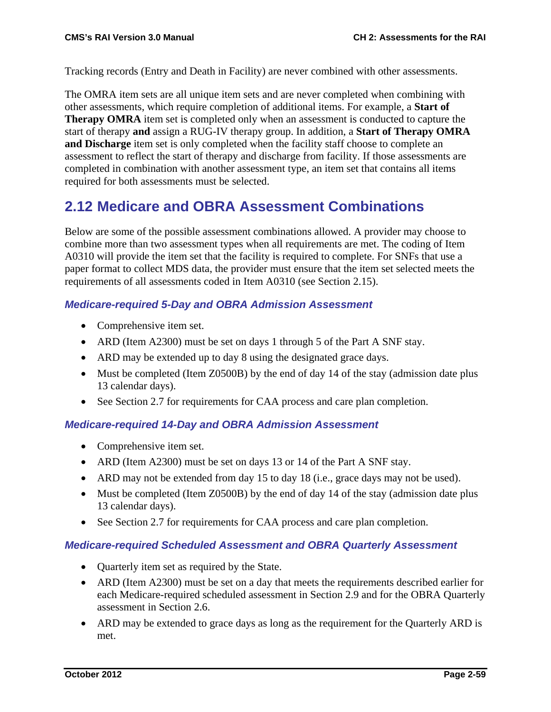Tracking records (Entry and Death in Facility) are never combined with other assessments.

The OMRA item sets are all unique item sets and are never completed when combining with other assessments, which require completion of additional items. For example, a **Start of Therapy OMRA** item set is completed only when an assessment is conducted to capture the start of therapy **and** assign a RUG-IV therapy group. In addition, a **Start of Therapy OMRA and Discharge** item set is only completed when the facility staff choose to complete an assessment to reflect the start of therapy and discharge from facility. If those assessments are completed in combination with another assessment type, an item set that contains all items required for both assessments must be selected.

# **2.12 Medicare and OBRA Assessment Combinations**

Below are some of the possible assessment combinations allowed. A provider may choose to combine more than two assessment types when all requirements are met. The coding of Item A0310 will provide the item set that the facility is required to complete. For SNFs that use a paper format to collect MDS data, the provider must ensure that the item set selected meets the requirements of all assessments coded in Item A0310 (see Section 2.15).

#### *Medicare-required 5-Day and OBRA Admission Assessment*

- Comprehensive item set.
- ARD (Item A2300) must be set on days 1 through 5 of the Part A SNF stay.
- ARD may be extended up to day 8 using the designated grace days.
- Must be completed (Item Z0500B) by the end of day 14 of the stay (admission date plus 13 calendar days).
- See Section 2.7 for requirements for CAA process and care plan completion.

#### *Medicare-required 14-Day and OBRA Admission Assessment*

- Comprehensive item set.
- ARD (Item A2300) must be set on days 13 or 14 of the Part A SNF stay.
- ARD may not be extended from day 15 to day 18 (i.e., grace days may not be used).
- Must be completed (Item Z0500B) by the end of day 14 of the stay (admission date plus 13 calendar days).
- See Section 2.7 for requirements for CAA process and care plan completion.

#### *Medicare-required Scheduled Assessment and OBRA Quarterly Assessment*

- Quarterly item set as required by the State.
- ARD (Item A2300) must be set on a day that meets the requirements described earlier for each Medicare-required scheduled assessment in Section 2.9 and for the OBRA Quarterly assessment in Section 2.6.
- ARD may be extended to grace days as long as the requirement for the Quarterly ARD is met.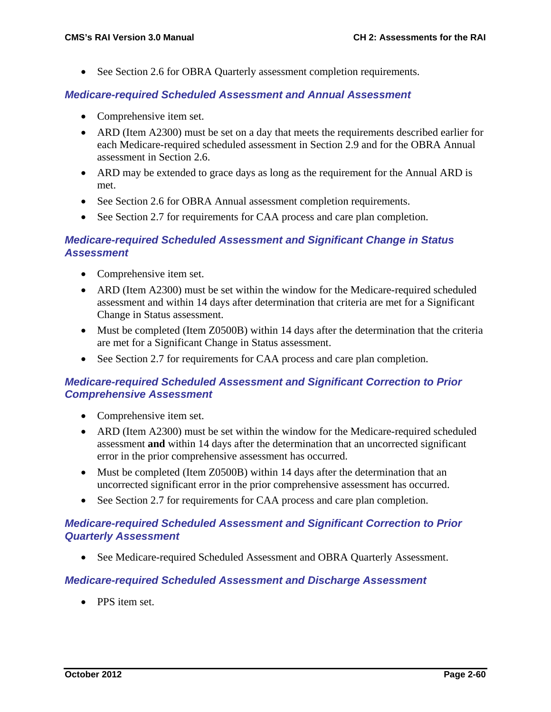• See Section 2.6 for OBRA Quarterly assessment completion requirements.

#### *Medicare-required Scheduled Assessment and Annual Assessment*

- Comprehensive item set.
- ARD (Item A2300) must be set on a day that meets the requirements described earlier for each Medicare-required scheduled assessment in Section 2.9 and for the OBRA Annual assessment in Section 2.6.
- ARD may be extended to grace days as long as the requirement for the Annual ARD is met.
- See Section 2.6 for OBRA Annual assessment completion requirements.
- See Section 2.7 for requirements for CAA process and care plan completion.

#### *Medicare-required Scheduled Assessment and Significant Change in Status Assessment*

- Comprehensive item set.
- ARD (Item A2300) must be set within the window for the Medicare-required scheduled assessment and within 14 days after determination that criteria are met for a Significant Change in Status assessment.
- Must be completed (Item Z0500B) within 14 days after the determination that the criteria are met for a Significant Change in Status assessment.
- See Section 2.7 for requirements for CAA process and care plan completion.

#### *Medicare-required Scheduled Assessment and Significant Correction to Prior Comprehensive Assessment*

- Comprehensive item set.
- ARD (Item A2300) must be set within the window for the Medicare-required scheduled assessment **and** within 14 days after the determination that an uncorrected significant error in the prior comprehensive assessment has occurred.
- Must be completed (Item Z0500B) within 14 days after the determination that an uncorrected significant error in the prior comprehensive assessment has occurred.
- See Section 2.7 for requirements for CAA process and care plan completion.

#### *Medicare-required Scheduled Assessment and Significant Correction to Prior Quarterly Assessment*

• See Medicare-required Scheduled Assessment and OBRA Quarterly Assessment.

#### *Medicare-required Scheduled Assessment and Discharge Assessment*

• PPS item set.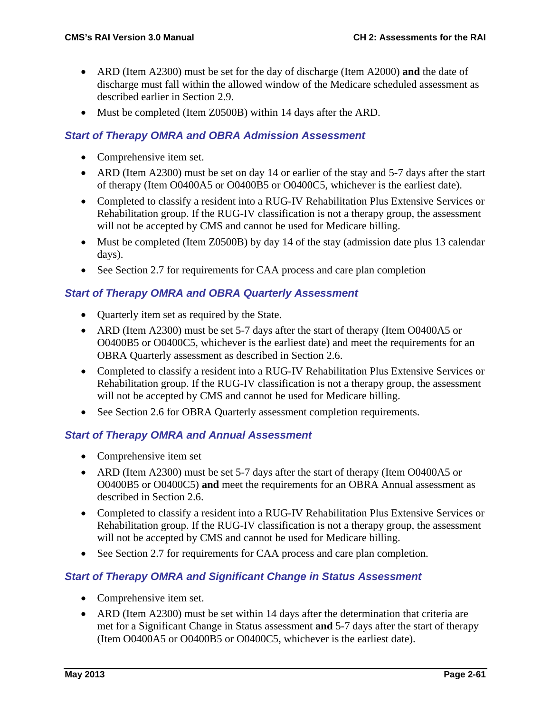- ARD (Item A2300) must be set for the day of discharge (Item A2000) **and** the date of discharge must fall within the allowed window of the Medicare scheduled assessment as described earlier in Section 2.9.
- Must be completed (Item Z0500B) within 14 days after the ARD.

### *Start of Therapy OMRA and OBRA Admission Assessment*

- Comprehensive item set.
- ARD (Item A2300) must be set on day 14 or earlier of the stay and 5-7 days after the start of therapy (Item O0400A5 or O0400B5 or O0400C5, whichever is the earliest date).
- Completed to classify a resident into a RUG-IV Rehabilitation Plus Extensive Services or Rehabilitation group. If the RUG-IV classification is not a therapy group, the assessment will not be accepted by CMS and cannot be used for Medicare billing.
- Must be completed (Item Z0500B) by day 14 of the stay (admission date plus 13 calendar days).
- See Section 2.7 for requirements for CAA process and care plan completion

### *Start of Therapy OMRA and OBRA Quarterly Assessment*

- Quarterly item set as required by the State.
- ARD (Item A2300) must be set 5-7 days after the start of therapy (Item O0400A5 or O0400B5 or O0400C5, whichever is the earliest date) and meet the requirements for an OBRA Quarterly assessment as described in Section 2.6.
- Completed to classify a resident into a RUG-IV Rehabilitation Plus Extensive Services or Rehabilitation group. If the RUG-IV classification is not a therapy group, the assessment will not be accepted by CMS and cannot be used for Medicare billing.
- See Section 2.6 for OBRA Quarterly assessment completion requirements.

#### *Start of Therapy OMRA and Annual Assessment*

- Comprehensive item set
- ARD (Item A2300) must be set 5-7 days after the start of therapy (Item O0400A5 or O0400B5 or O0400C5) **and** meet the requirements for an OBRA Annual assessment as described in Section 2.6.
- Completed to classify a resident into a RUG-IV Rehabilitation Plus Extensive Services or Rehabilitation group. If the RUG-IV classification is not a therapy group, the assessment will not be accepted by CMS and cannot be used for Medicare billing.
- See Section 2.7 for requirements for CAA process and care plan completion.

#### *Start of Therapy OMRA and Significant Change in Status Assessment*

- Comprehensive item set.
- ARD (Item A2300) must be set within 14 days after the determination that criteria are met for a Significant Change in Status assessment **and** 5-7 days after the start of therapy (Item O0400A5 or O0400B5 or O0400C5, whichever is the earliest date).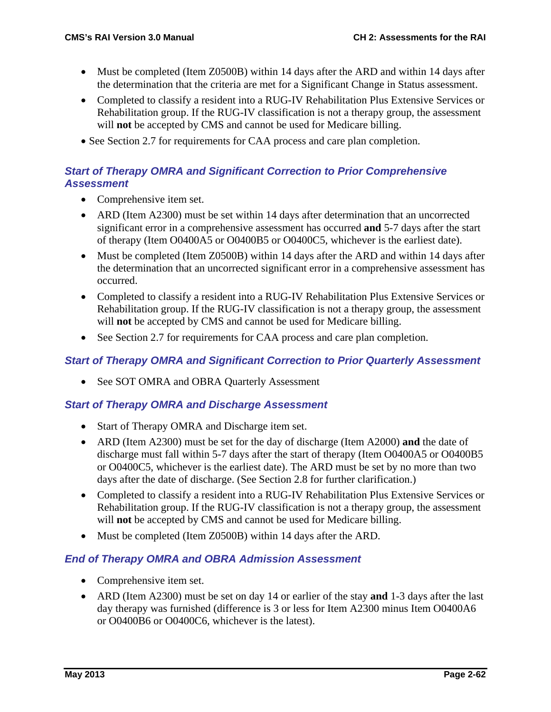- Must be completed (Item Z0500B) within 14 days after the ARD and within 14 days after the determination that the criteria are met for a Significant Change in Status assessment.
- Completed to classify a resident into a RUG-IV Rehabilitation Plus Extensive Services or Rehabilitation group. If the RUG-IV classification is not a therapy group, the assessment will **not** be accepted by CMS and cannot be used for Medicare billing.
- See Section 2.7 for requirements for CAA process and care plan completion.

#### *Start of Therapy OMRA and Significant Correction to Prior Comprehensive Assessment*

- Comprehensive item set.
- ARD (Item A2300) must be set within 14 days after determination that an uncorrected significant error in a comprehensive assessment has occurred **and** 5-7 days after the start of therapy (Item O0400A5 or O0400B5 or O0400C5, whichever is the earliest date).
- Must be completed (Item Z0500B) within 14 days after the ARD and within 14 days after the determination that an uncorrected significant error in a comprehensive assessment has occurred.
- Completed to classify a resident into a RUG-IV Rehabilitation Plus Extensive Services or Rehabilitation group. If the RUG-IV classification is not a therapy group, the assessment will **not** be accepted by CMS and cannot be used for Medicare billing.
- See Section 2.7 for requirements for CAA process and care plan completion.

#### *Start of Therapy OMRA and Significant Correction to Prior Quarterly Assessment*

• See SOT OMRA and OBRA Quarterly Assessment

#### *Start of Therapy OMRA and Discharge Assessment*

- Start of Therapy OMRA and Discharge item set.
- ARD (Item A2300) must be set for the day of discharge (Item A2000) **and** the date of discharge must fall within 5-7 days after the start of therapy (Item O0400A5 or O0400B5 or O0400C5, whichever is the earliest date). The ARD must be set by no more than two days after the date of discharge. (See Section 2.8 for further clarification.)
- Completed to classify a resident into a RUG-IV Rehabilitation Plus Extensive Services or Rehabilitation group. If the RUG-IV classification is not a therapy group, the assessment will **not** be accepted by CMS and cannot be used for Medicare billing.
- Must be completed (Item Z0500B) within 14 days after the ARD.

#### *End of Therapy OMRA and OBRA Admission Assessment*

- Comprehensive item set.
- ARD (Item A2300) must be set on day 14 or earlier of the stay **and** 1-3 days after the last day therapy was furnished (difference is 3 or less for Item A2300 minus Item O0400A6 or O0400B6 or O0400C6, whichever is the latest).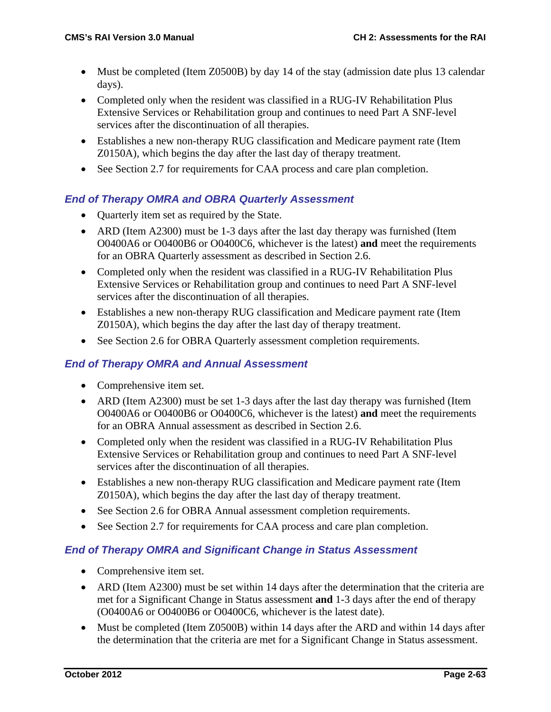- Must be completed (Item Z0500B) by day 14 of the stay (admission date plus 13 calendar days).
- Completed only when the resident was classified in a RUG-IV Rehabilitation Plus Extensive Services or Rehabilitation group and continues to need Part A SNF-level services after the discontinuation of all therapies.
- Establishes a new non-therapy RUG classification and Medicare payment rate (Item Z0150A), which begins the day after the last day of therapy treatment.
- See Section 2.7 for requirements for CAA process and care plan completion.

### *End of Therapy OMRA and OBRA Quarterly Assessment*

- Ouarterly item set as required by the State.
- ARD (Item A2300) must be 1-3 days after the last day therapy was furnished (Item O0400A6 or O0400B6 or O0400C6, whichever is the latest) **and** meet the requirements for an OBRA Quarterly assessment as described in Section 2.6.
- Completed only when the resident was classified in a RUG-IV Rehabilitation Plus Extensive Services or Rehabilitation group and continues to need Part A SNF-level services after the discontinuation of all therapies.
- Establishes a new non-therapy RUG classification and Medicare payment rate (Item Z0150A), which begins the day after the last day of therapy treatment.
- See Section 2.6 for OBRA Quarterly assessment completion requirements.

### *End of Therapy OMRA and Annual Assessment*

- Comprehensive item set.
- ARD (Item A2300) must be set 1-3 days after the last day therapy was furnished (Item O0400A6 or O0400B6 or O0400C6, whichever is the latest) **and** meet the requirements for an OBRA Annual assessment as described in Section 2.6.
- Completed only when the resident was classified in a RUG-IV Rehabilitation Plus Extensive Services or Rehabilitation group and continues to need Part A SNF-level services after the discontinuation of all therapies.
- Establishes a new non-therapy RUG classification and Medicare payment rate (Item Z0150A), which begins the day after the last day of therapy treatment.
- See Section 2.6 for OBRA Annual assessment completion requirements.
- See Section 2.7 for requirements for CAA process and care plan completion.

#### *End of Therapy OMRA and Significant Change in Status Assessment*

- Comprehensive item set.
- ARD (Item A2300) must be set within 14 days after the determination that the criteria are met for a Significant Change in Status assessment **and** 1-3 days after the end of therapy (O0400A6 or O0400B6 or O0400C6, whichever is the latest date).
- Must be completed (Item Z0500B) within 14 days after the ARD and within 14 days after the determination that the criteria are met for a Significant Change in Status assessment.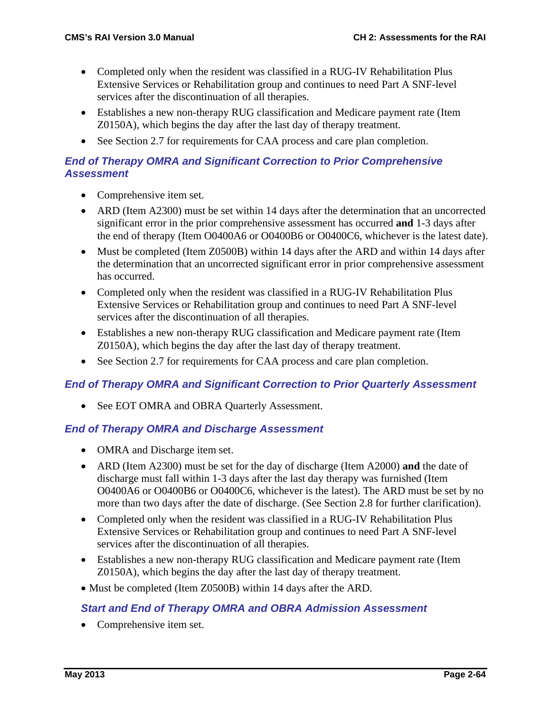- Completed only when the resident was classified in a RUG-IV Rehabilitation Plus Extensive Services or Rehabilitation group and continues to need Part A SNF-level services after the discontinuation of all therapies.
- Establishes a new non-therapy RUG classification and Medicare payment rate (Item Z0150A), which begins the day after the last day of therapy treatment.
- See Section 2.7 for requirements for CAA process and care plan completion.

### *End of Therapy OMRA and Significant Correction to Prior Comprehensive Assessment*

- Comprehensive item set.
- ARD (Item A2300) must be set within 14 days after the determination that an uncorrected significant error in the prior comprehensive assessment has occurred **and** 1-3 days after the end of therapy (Item O0400A6 or O0400B6 or O0400C6, whichever is the latest date).
- Must be completed (Item Z0500B) within 14 days after the ARD and within 14 days after the determination that an uncorrected significant error in prior comprehensive assessment has occurred.
- Completed only when the resident was classified in a RUG-IV Rehabilitation Plus Extensive Services or Rehabilitation group and continues to need Part A SNF-level services after the discontinuation of all therapies.
- Establishes a new non-therapy RUG classification and Medicare payment rate (Item Z0150A), which begins the day after the last day of therapy treatment.
- See Section 2.7 for requirements for CAA process and care plan completion.

### *End of Therapy OMRA and Significant Correction to Prior Quarterly Assessment*

• See EOT OMRA and OBRA Quarterly Assessment.

#### *End of Therapy OMRA and Discharge Assessment*

- OMRA and Discharge item set.
- ARD (Item A2300) must be set for the day of discharge (Item A2000) **and** the date of discharge must fall within 1-3 days after the last day therapy was furnished (Item O0400A6 or O0400B6 or O0400C6, whichever is the latest). The ARD must be set by no more than two days after the date of discharge. (See Section 2.8 for further clarification).
- Completed only when the resident was classified in a RUG-IV Rehabilitation Plus Extensive Services or Rehabilitation group and continues to need Part A SNF-level services after the discontinuation of all therapies.
- Establishes a new non-therapy RUG classification and Medicare payment rate (Item Z0150A), which begins the day after the last day of therapy treatment.
- Must be completed (Item Z0500B) within 14 days after the ARD.

#### *Start and End of Therapy OMRA and OBRA Admission Assessment*

• Comprehensive item set.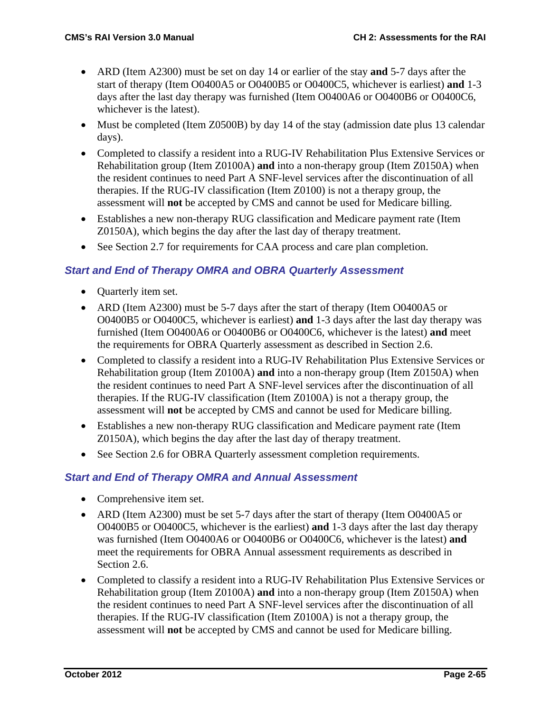- ARD (Item A2300) must be set on day 14 or earlier of the stay **and** 5-7 days after the start of therapy (Item O0400A5 or O0400B5 or O0400C5, whichever is earliest) **and** 1-3 days after the last day therapy was furnished (Item O0400A6 or O0400B6 or O0400C6, whichever is the latest).
- Must be completed (Item Z0500B) by day 14 of the stay (admission date plus 13 calendar days).
- Completed to classify a resident into a RUG-IV Rehabilitation Plus Extensive Services or Rehabilitation group (Item Z0100A) **and** into a non-therapy group (Item Z0150A) when the resident continues to need Part A SNF-level services after the discontinuation of all therapies. If the RUG-IV classification (Item Z0100) is not a therapy group, the assessment will **not** be accepted by CMS and cannot be used for Medicare billing.
- Establishes a new non-therapy RUG classification and Medicare payment rate (Item Z0150A), which begins the day after the last day of therapy treatment.
- See Section 2.7 for requirements for CAA process and care plan completion.

### *Start and End of Therapy OMRA and OBRA Quarterly Assessment*

- Quarterly item set.
- ARD (Item A2300) must be 5-7 days after the start of therapy (Item O0400A5 or O0400B5 or O0400C5, whichever is earliest) **and** 1-3 days after the last day therapy was furnished (Item O0400A6 or O0400B6 or O0400C6, whichever is the latest) **and** meet the requirements for OBRA Quarterly assessment as described in Section 2.6.
- Completed to classify a resident into a RUG-IV Rehabilitation Plus Extensive Services or Rehabilitation group (Item Z0100A) **and** into a non-therapy group (Item Z0150A) when the resident continues to need Part A SNF-level services after the discontinuation of all therapies. If the RUG-IV classification (Item Z0100A) is not a therapy group, the assessment will **not** be accepted by CMS and cannot be used for Medicare billing.
- Establishes a new non-therapy RUG classification and Medicare payment rate (Item Z0150A), which begins the day after the last day of therapy treatment.
- See Section 2.6 for OBRA Quarterly assessment completion requirements.

#### *Start and End of Therapy OMRA and Annual Assessment*

- Comprehensive item set.
- ARD (Item A2300) must be set 5-7 days after the start of therapy (Item O0400A5 or O0400B5 or O0400C5, whichever is the earliest) **and** 1-3 days after the last day therapy was furnished (Item O0400A6 or O0400B6 or O0400C6, whichever is the latest) **and** meet the requirements for OBRA Annual assessment requirements as described in Section 2.6.
- Completed to classify a resident into a RUG-IV Rehabilitation Plus Extensive Services or Rehabilitation group (Item Z0100A) **and** into a non-therapy group (Item Z0150A) when the resident continues to need Part A SNF-level services after the discontinuation of all therapies. If the RUG-IV classification (Item Z0100A) is not a therapy group, the assessment will **not** be accepted by CMS and cannot be used for Medicare billing.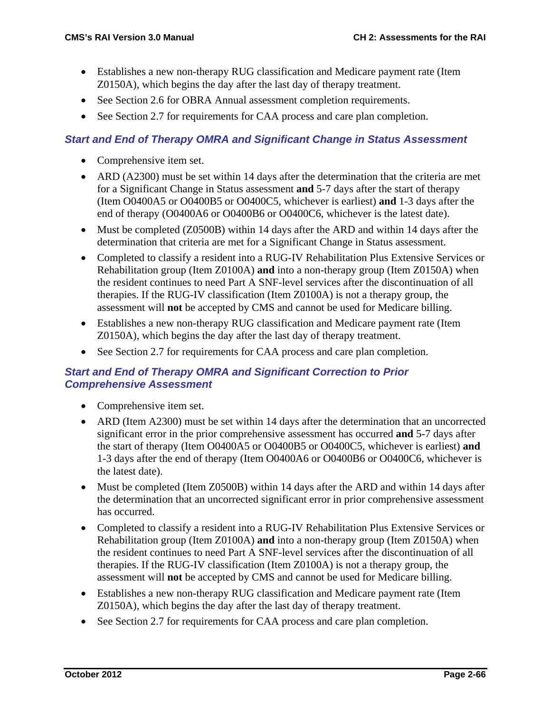- Establishes a new non-therapy RUG classification and Medicare payment rate (Item Z0150A), which begins the day after the last day of therapy treatment.
- See Section 2.6 for OBRA Annual assessment completion requirements.
- See Section 2.7 for requirements for CAA process and care plan completion.

#### *Start and End of Therapy OMRA and Significant Change in Status Assessment*

- Comprehensive item set.
- ARD (A2300) must be set within 14 days after the determination that the criteria are met for a Significant Change in Status assessment **and** 5-7 days after the start of therapy (Item O0400A5 or O0400B5 or O0400C5, whichever is earliest) **and** 1-3 days after the end of therapy (O0400A6 or O0400B6 or O0400C6, whichever is the latest date).
- Must be completed (Z0500B) within 14 days after the ARD and within 14 days after the determination that criteria are met for a Significant Change in Status assessment.
- Completed to classify a resident into a RUG-IV Rehabilitation Plus Extensive Services or Rehabilitation group (Item Z0100A) **and** into a non-therapy group (Item Z0150A) when the resident continues to need Part A SNF-level services after the discontinuation of all therapies. If the RUG-IV classification (Item Z0100A) is not a therapy group, the assessment will **not** be accepted by CMS and cannot be used for Medicare billing.
- Establishes a new non-therapy RUG classification and Medicare payment rate (Item Z0150A), which begins the day after the last day of therapy treatment.
- See Section 2.7 for requirements for CAA process and care plan completion.

#### *Start and End of Therapy OMRA and Significant Correction to Prior Comprehensive Assessment*

- Comprehensive item set.
- ARD (Item A2300) must be set within 14 days after the determination that an uncorrected significant error in the prior comprehensive assessment has occurred **and** 5-7 days after the start of therapy (Item O0400A5 or O0400B5 or O0400C5, whichever is earliest) **and** 1-3 days after the end of therapy (Item O0400A6 or O0400B6 or O0400C6, whichever is the latest date).
- Must be completed (Item Z0500B) within 14 days after the ARD and within 14 days after the determination that an uncorrected significant error in prior comprehensive assessment has occurred.
- Completed to classify a resident into a RUG-IV Rehabilitation Plus Extensive Services or Rehabilitation group (Item Z0100A) **and** into a non-therapy group (Item Z0150A) when the resident continues to need Part A SNF-level services after the discontinuation of all therapies. If the RUG-IV classification (Item Z0100A) is not a therapy group, the assessment will **not** be accepted by CMS and cannot be used for Medicare billing.
- Establishes a new non-therapy RUG classification and Medicare payment rate (Item Z0150A), which begins the day after the last day of therapy treatment.
- See Section 2.7 for requirements for CAA process and care plan completion.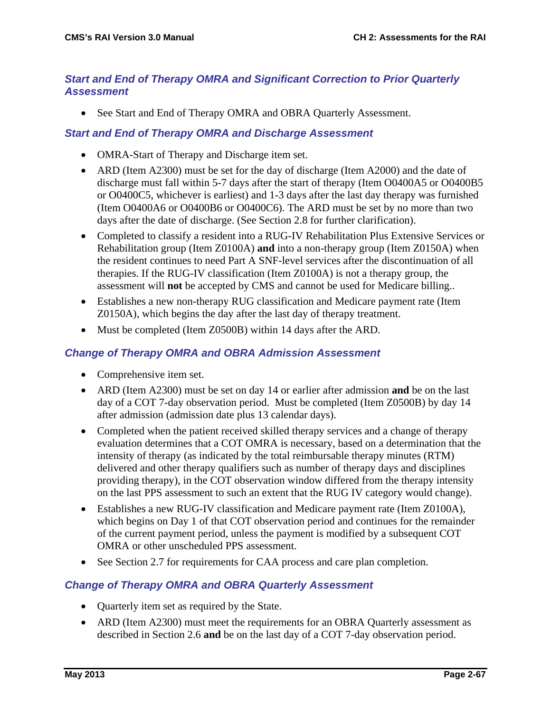#### *Start and End of Therapy OMRA and Significant Correction to Prior Quarterly Assessment*

• See Start and End of Therapy OMRA and OBRA Quarterly Assessment.

#### *Start and End of Therapy OMRA and Discharge Assessment*

- OMRA-Start of Therapy and Discharge item set.
- ARD (Item A2300) must be set for the day of discharge (Item A2000) and the date of discharge must fall within 5-7 days after the start of therapy (Item O0400A5 or O0400B5 or O0400C5, whichever is earliest) and 1-3 days after the last day therapy was furnished (Item O0400A6 or O0400B6 or O0400C6). The ARD must be set by no more than two days after the date of discharge. (See Section 2.8 for further clarification).
- Completed to classify a resident into a RUG-IV Rehabilitation Plus Extensive Services or Rehabilitation group (Item Z0100A) **and** into a non-therapy group (Item Z0150A) when the resident continues to need Part A SNF-level services after the discontinuation of all therapies. If the RUG-IV classification (Item Z0100A) is not a therapy group, the assessment will **not** be accepted by CMS and cannot be used for Medicare billing..
- Establishes a new non-therapy RUG classification and Medicare payment rate (Item Z0150A), which begins the day after the last day of therapy treatment.
- Must be completed (Item Z0500B) within 14 days after the ARD.

#### *Change of Therapy OMRA and OBRA Admission Assessment*

- Comprehensive item set.
- ARD (Item A2300) must be set on day 14 or earlier after admission **and** be on the last day of a COT 7-day observation period. Must be completed (Item Z0500B) by day 14 after admission (admission date plus 13 calendar days).
- Completed when the patient received skilled therapy services and a change of therapy evaluation determines that a COT OMRA is necessary, based on a determination that the intensity of therapy (as indicated by the total reimbursable therapy minutes (RTM) delivered and other therapy qualifiers such as number of therapy days and disciplines providing therapy), in the COT observation window differed from the therapy intensity on the last PPS assessment to such an extent that the RUG IV category would change).
- Establishes a new RUG-IV classification and Medicare payment rate (Item Z0100A), which begins on Day 1 of that COT observation period and continues for the remainder of the current payment period, unless the payment is modified by a subsequent COT OMRA or other unscheduled PPS assessment.
- See Section 2.7 for requirements for CAA process and care plan completion.

#### *Change of Therapy OMRA and OBRA Quarterly Assessment*

- Quarterly item set as required by the State.
- ARD (Item A2300) must meet the requirements for an OBRA Quarterly assessment as described in Section 2.6 **and** be on the last day of a COT 7-day observation period.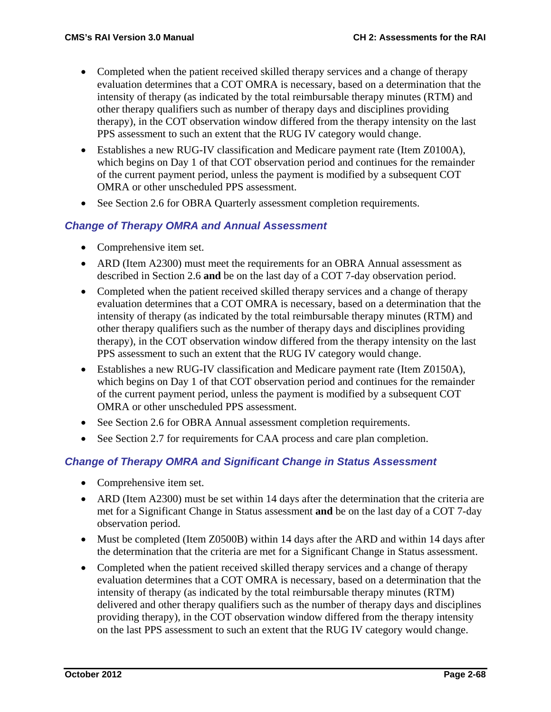- Completed when the patient received skilled therapy services and a change of therapy evaluation determines that a COT OMRA is necessary, based on a determination that the intensity of therapy (as indicated by the total reimbursable therapy minutes (RTM) and other therapy qualifiers such as number of therapy days and disciplines providing therapy), in the COT observation window differed from the therapy intensity on the last PPS assessment to such an extent that the RUG IV category would change.
- Establishes a new RUG-IV classification and Medicare payment rate (Item Z0100A), which begins on Day 1 of that COT observation period and continues for the remainder of the current payment period, unless the payment is modified by a subsequent COT OMRA or other unscheduled PPS assessment.
- See Section 2.6 for OBRA Quarterly assessment completion requirements.

### *Change of Therapy OMRA and Annual Assessment*

- Comprehensive item set.
- ARD (Item A2300) must meet the requirements for an OBRA Annual assessment as described in Section 2.6 **and** be on the last day of a COT 7-day observation period.
- Completed when the patient received skilled therapy services and a change of therapy evaluation determines that a COT OMRA is necessary, based on a determination that the intensity of therapy (as indicated by the total reimbursable therapy minutes (RTM) and other therapy qualifiers such as the number of therapy days and disciplines providing therapy), in the COT observation window differed from the therapy intensity on the last PPS assessment to such an extent that the RUG IV category would change.
- Establishes a new RUG-IV classification and Medicare payment rate (Item Z0150A), which begins on Day 1 of that COT observation period and continues for the remainder of the current payment period, unless the payment is modified by a subsequent COT OMRA or other unscheduled PPS assessment.
- See Section 2.6 for OBRA Annual assessment completion requirements.
- See Section 2.7 for requirements for CAA process and care plan completion.

#### *Change of Therapy OMRA and Significant Change in Status Assessment*

- Comprehensive item set.
- ARD (Item A2300) must be set within 14 days after the determination that the criteria are met for a Significant Change in Status assessment **and** be on the last day of a COT 7-day observation period.
- Must be completed (Item Z0500B) within 14 days after the ARD and within 14 days after the determination that the criteria are met for a Significant Change in Status assessment.
- Completed when the patient received skilled therapy services and a change of therapy evaluation determines that a COT OMRA is necessary, based on a determination that the intensity of therapy (as indicated by the total reimbursable therapy minutes (RTM) delivered and other therapy qualifiers such as the number of therapy days and disciplines providing therapy), in the COT observation window differed from the therapy intensity on the last PPS assessment to such an extent that the RUG IV category would change.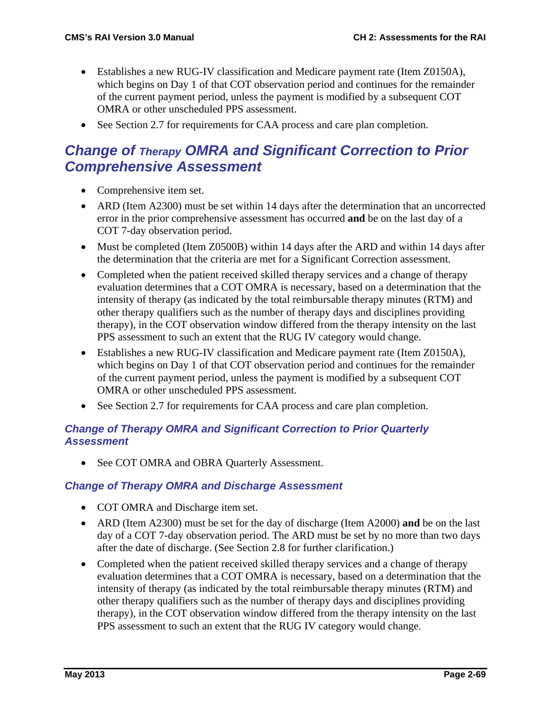- Establishes a new RUG-IV classification and Medicare payment rate (Item Z0150A), which begins on Day 1 of that COT observation period and continues for the remainder of the current payment period, unless the payment is modified by a subsequent COT OMRA or other unscheduled PPS assessment.
- See Section 2.7 for requirements for CAA process and care plan completion.

## *Change of Therapy OMRA and Significant Correction to Prior Comprehensive Assessment*

- Comprehensive item set.
- ARD (Item A2300) must be set within 14 days after the determination that an uncorrected error in the prior comprehensive assessment has occurred **and** be on the last day of a COT 7-day observation period.
- Must be completed (Item Z0500B) within 14 days after the ARD and within 14 days after the determination that the criteria are met for a Significant Correction assessment.
- Completed when the patient received skilled therapy services and a change of therapy evaluation determines that a COT OMRA is necessary, based on a determination that the intensity of therapy (as indicated by the total reimbursable therapy minutes (RTM) and other therapy qualifiers such as the number of therapy days and disciplines providing therapy), in the COT observation window differed from the therapy intensity on the last PPS assessment to such an extent that the RUG IV category would change.
- Establishes a new RUG-IV classification and Medicare payment rate (Item Z0150A), which begins on Day 1 of that COT observation period and continues for the remainder of the current payment period, unless the payment is modified by a subsequent COT OMRA or other unscheduled PPS assessment.
- See Section 2.7 for requirements for CAA process and care plan completion.

#### *Change of Therapy OMRA and Significant Correction to Prior Quarterly Assessment*

• See COT OMRA and OBRA Quarterly Assessment.

#### *Change of Therapy OMRA and Discharge Assessment*

- COT OMRA and Discharge item set.
- ARD (Item A2300) must be set for the day of discharge (Item A2000) **and** be on the last day of a COT 7-day observation period. The ARD must be set by no more than two days after the date of discharge. (See Section 2.8 for further clarification.)
- Completed when the patient received skilled therapy services and a change of therapy evaluation determines that a COT OMRA is necessary, based on a determination that the intensity of therapy (as indicated by the total reimbursable therapy minutes (RTM) and other therapy qualifiers such as the number of therapy days and disciplines providing therapy), in the COT observation window differed from the therapy intensity on the last PPS assessment to such an extent that the RUG IV category would change.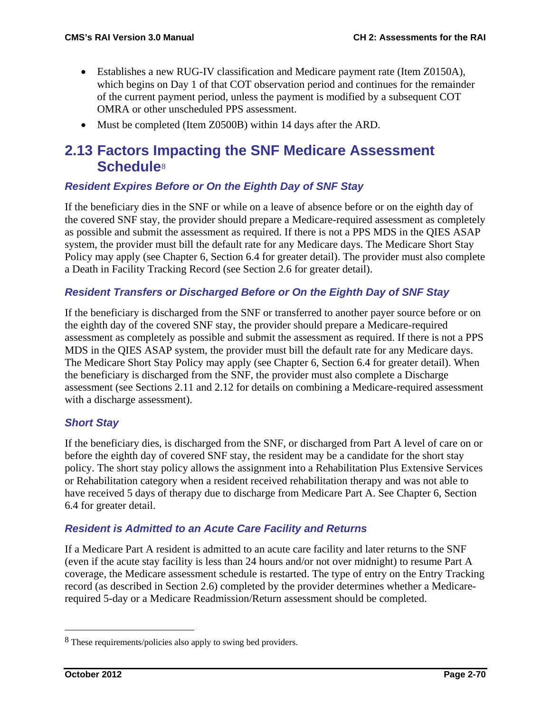- Establishes a new RUG-IV classification and Medicare payment rate (Item Z0150A), which begins on Day 1 of that COT observation period and continues for the remainder of the current payment period, unless the payment is modified by a subsequent COT OMRA or other unscheduled PPS assessment.
- Must be completed (Item Z0500B) within 14 days after the ARD.

## **2.13 Factors Impacting the SNF Medicare Assessment Schedule**[8](#page-69-0)

#### *Resident Expires Before or On the Eighth Day of SNF Stay*

If the beneficiary dies in the SNF or while on a leave of absence before or on the eighth day of the covered SNF stay, the provider should prepare a Medicare-required assessment as completely as possible and submit the assessment as required. If there is not a PPS MDS in the QIES ASAP system, the provider must bill the default rate for any Medicare days. The Medicare Short Stay Policy may apply (see Chapter 6, Section 6.4 for greater detail). The provider must also complete a Death in Facility Tracking Record (see Section 2.6 for greater detail).

#### *Resident Transfers or Discharged Before or On the Eighth Day of SNF Stay*

If the beneficiary is discharged from the SNF or transferred to another payer source before or on the eighth day of the covered SNF stay, the provider should prepare a Medicare-required assessment as completely as possible and submit the assessment as required. If there is not a PPS MDS in the QIES ASAP system, the provider must bill the default rate for any Medicare days. The Medicare Short Stay Policy may apply (see Chapter 6, Section 6.4 for greater detail). When the beneficiary is discharged from the SNF, the provider must also complete a Discharge assessment (see Sections 2.11 and 2.12 for details on combining a Medicare-required assessment with a discharge assessment).

#### *Short Stay*

If the beneficiary dies, is discharged from the SNF, or discharged from Part A level of care on or before the eighth day of covered SNF stay, the resident may be a candidate for the short stay policy. The short stay policy allows the assignment into a Rehabilitation Plus Extensive Services or Rehabilitation category when a resident received rehabilitation therapy and was not able to have received 5 days of therapy due to discharge from Medicare Part A. See Chapter 6, Section 6.4 for greater detail.

#### *Resident is Admitted to an Acute Care Facility and Returns*

If a Medicare Part A resident is admitted to an acute care facility and later returns to the SNF (even if the acute stay facility is less than 24 hours and/or not over midnight) to resume Part A coverage, the Medicare assessment schedule is restarted. The type of entry on the Entry Tracking record (as described in Section 2.6) completed by the provider determines whether a Medicarerequired 5-day or a Medicare Readmission/Return assessment should be completed.

<span id="page-69-0"></span> <sup>8</sup> These requirements/policies also apply to swing bed providers.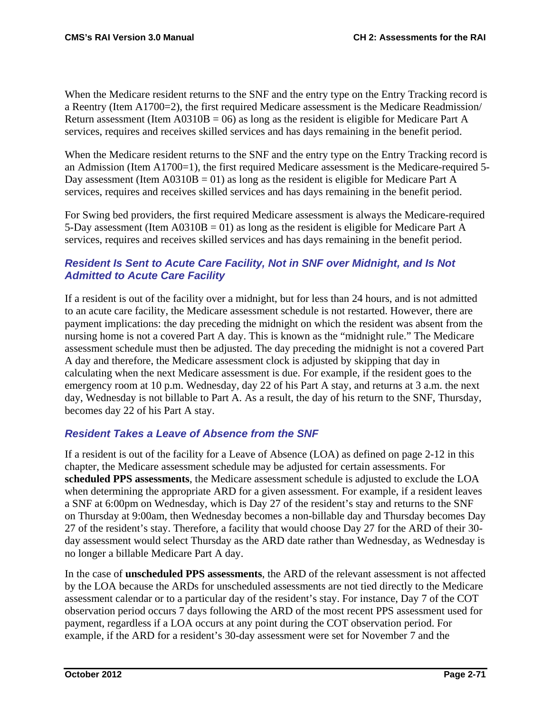When the Medicare resident returns to the SNF and the entry type on the Entry Tracking record is a Reentry (Item A1700=2), the first required Medicare assessment is the Medicare Readmission/ Return assessment (Item  $A0310B = 06$ ) as long as the resident is eligible for Medicare Part A services, requires and receives skilled services and has days remaining in the benefit period.

When the Medicare resident returns to the SNF and the entry type on the Entry Tracking record is an Admission (Item A1700=1), the first required Medicare assessment is the Medicare-required 5- Day assessment (Item  $A0310B = 01$ ) as long as the resident is eligible for Medicare Part A services, requires and receives skilled services and has days remaining in the benefit period.

For Swing bed providers, the first required Medicare assessment is always the Medicare-required 5-Day assessment (Item  $A0310B = 01$ ) as long as the resident is eligible for Medicare Part A services, requires and receives skilled services and has days remaining in the benefit period.

### *Resident Is Sent to Acute Care Facility, Not in SNF over Midnight, and Is Not Admitted to Acute Care Facility*

If a resident is out of the facility over a midnight, but for less than 24 hours, and is not admitted to an acute care facility, the Medicare assessment schedule is not restarted. However, there are payment implications: the day preceding the midnight on which the resident was absent from the nursing home is not a covered Part A day. This is known as the "midnight rule." The Medicare assessment schedule must then be adjusted. The day preceding the midnight is not a covered Part A day and therefore, the Medicare assessment clock is adjusted by skipping that day in calculating when the next Medicare assessment is due. For example, if the resident goes to the emergency room at 10 p.m. Wednesday, day 22 of his Part A stay, and returns at 3 a.m. the next day, Wednesday is not billable to Part A. As a result, the day of his return to the SNF, Thursday, becomes day 22 of his Part A stay.

### *Resident Takes a Leave of Absence from the SNF*

If a resident is out of the facility for a Leave of Absence (LOA) as defined on page 2-12 in this chapter, the Medicare assessment schedule may be adjusted for certain assessments. For **scheduled PPS assessments**, the Medicare assessment schedule is adjusted to exclude the LOA when determining the appropriate ARD for a given assessment. For example, if a resident leaves a SNF at 6:00pm on Wednesday, which is Day 27 of the resident's stay and returns to the SNF on Thursday at 9:00am, then Wednesday becomes a non-billable day and Thursday becomes Day 27 of the resident's stay. Therefore, a facility that would choose Day 27 for the ARD of their 30 day assessment would select Thursday as the ARD date rather than Wednesday, as Wednesday is no longer a billable Medicare Part A day.

In the case of **unscheduled PPS assessments**, the ARD of the relevant assessment is not affected by the LOA because the ARDs for unscheduled assessments are not tied directly to the Medicare assessment calendar or to a particular day of the resident's stay. For instance, Day 7 of the COT observation period occurs 7 days following the ARD of the most recent PPS assessment used for payment, regardless if a LOA occurs at any point during the COT observation period. For example, if the ARD for a resident's 30-day assessment were set for November 7 and the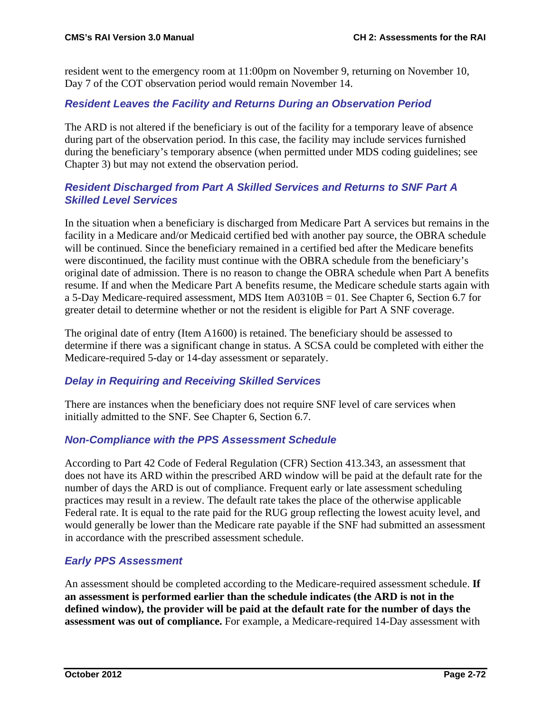resident went to the emergency room at 11:00pm on November 9, returning on November 10, Day 7 of the COT observation period would remain November 14.

#### *Resident Leaves the Facility and Returns During an Observation Period*

The ARD is not altered if the beneficiary is out of the facility for a temporary leave of absence during part of the observation period. In this case, the facility may include services furnished during the beneficiary's temporary absence (when permitted under MDS coding guidelines; see Chapter 3) but may not extend the observation period.

#### *Resident Discharged from Part A Skilled Services and Returns to SNF Part A Skilled Level Services*

In the situation when a beneficiary is discharged from Medicare Part A services but remains in the facility in a Medicare and/or Medicaid certified bed with another pay source, the OBRA schedule will be continued. Since the beneficiary remained in a certified bed after the Medicare benefits were discontinued, the facility must continue with the OBRA schedule from the beneficiary's original date of admission. There is no reason to change the OBRA schedule when Part A benefits resume. If and when the Medicare Part A benefits resume, the Medicare schedule starts again with a 5-Day Medicare-required assessment, MDS Item A0310B = 01. See Chapter 6, Section 6.7 for greater detail to determine whether or not the resident is eligible for Part A SNF coverage.

The original date of entry (Item A1600) is retained. The beneficiary should be assessed to determine if there was a significant change in status. A SCSA could be completed with either the Medicare-required 5-day or 14-day assessment or separately.

#### *Delay in Requiring and Receiving Skilled Services*

There are instances when the beneficiary does not require SNF level of care services when initially admitted to the SNF. See Chapter 6, Section 6.7.

#### *Non-Compliance with the PPS Assessment Schedule*

According to Part 42 Code of Federal Regulation (CFR) Section 413.343, an assessment that does not have its ARD within the prescribed ARD window will be paid at the default rate for the number of days the ARD is out of compliance. Frequent early or late assessment scheduling practices may result in a review. The default rate takes the place of the otherwise applicable Federal rate. It is equal to the rate paid for the RUG group reflecting the lowest acuity level, and would generally be lower than the Medicare rate payable if the SNF had submitted an assessment in accordance with the prescribed assessment schedule.

### *Early PPS Assessment*

An assessment should be completed according to the Medicare-required assessment schedule. **If an assessment is performed earlier than the schedule indicates (the ARD is not in the defined window), the provider will be paid at the default rate for the number of days the assessment was out of compliance.** For example, a Medicare-required 14-Day assessment with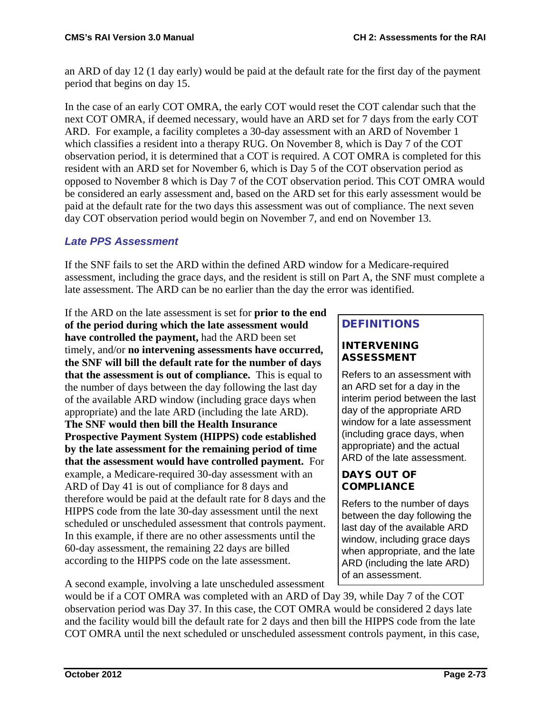an ARD of day 12 (1 day early) would be paid at the default rate for the first day of the payment period that begins on day 15.

In the case of an early COT OMRA, the early COT would reset the COT calendar such that the next COT OMRA, if deemed necessary, would have an ARD set for 7 days from the early COT ARD. For example, a facility completes a 30-day assessment with an ARD of November 1 which classifies a resident into a therapy RUG. On November 8, which is Day 7 of the COT observation period, it is determined that a COT is required. A COT OMRA is completed for this resident with an ARD set for November 6, which is Day 5 of the COT observation period as opposed to November 8 which is Day 7 of the COT observation period. This COT OMRA would be considered an early assessment and, based on the ARD set for this early assessment would be paid at the default rate for the two days this assessment was out of compliance. The next seven day COT observation period would begin on November 7, and end on November 13.

### *Late PPS Assessment*

If the SNF fails to set the ARD within the defined ARD window for a Medicare-required assessment, including the grace days, and the resident is still on Part A, the SNF must complete a late assessment. The ARD can be no earlier than the day the error was identified.

If the ARD on the late assessment is set for **prior to the end of the period during which the late assessment would have controlled the payment,** had the ARD been set timely, and/or **no intervening assessments have occurred, the SNF will bill the default rate for the number of days that the assessment is out of compliance.** This is equal to the number of days between the day following the last day of the available ARD window (including grace days when appropriate) and the late ARD (including the late ARD). **The SNF would then bill the Health Insurance Prospective Payment System (HIPPS) code established by the late assessment for the remaining period of time that the assessment would have controlled payment.** For example, a Medicare-required 30-day assessment with an ARD of Day 41 is out of compliance for 8 days and therefore would be paid at the default rate for 8 days and the HIPPS code from the late 30-day assessment until the next scheduled or unscheduled assessment that controls payment. In this example, if there are no other assessments until the 60-day assessment, the remaining 22 days are billed according to the HIPPS code on the late assessment.

## DEFINITIONS

#### INTERVENING ASSESSMENT

Refers to an assessment with an ARD set for a day in the interim period between the last day of the appropriate ARD window for a late assessment (including grace days, when appropriate) and the actual ARD of the late assessment.

#### DAYS OUT OF **COMPLIANCE**

Refers to the number of days between the day following the last day of the available ARD window, including grace days when appropriate, and the late ARD (including the late ARD) of an assessment.

A second example, involving a late unscheduled assessment

would be if a COT OMRA was completed with an ARD of Day 39, while Day 7 of the COT observation period was Day 37. In this case, the COT OMRA would be considered 2 days late and the facility would bill the default rate for 2 days and then bill the HIPPS code from the late COT OMRA until the next scheduled or unscheduled assessment controls payment, in this case,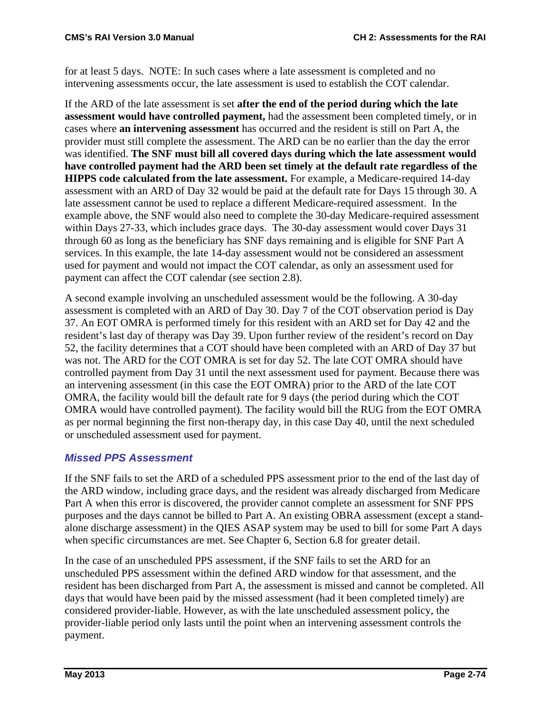for at least 5 days. NOTE: In such cases where a late assessment is completed and no intervening assessments occur, the late assessment is used to establish the COT calendar.

If the ARD of the late assessment is set **after the end of the period during which the late assessment would have controlled payment,** had the assessment been completed timely, or in cases where **an intervening assessment** has occurred and the resident is still on Part A, the provider must still complete the assessment. The ARD can be no earlier than the day the error was identified. **The SNF must bill all covered days during which the late assessment would have controlled payment had the ARD been set timely at the default rate regardless of the HIPPS code calculated from the late assessment.** For example, a Medicare-required 14-day assessment with an ARD of Day 32 would be paid at the default rate for Days 15 through 30. A late assessment cannot be used to replace a different Medicare-required assessment. In the example above, the SNF would also need to complete the 30-day Medicare-required assessment within Days 27-33, which includes grace days. The 30-day assessment would cover Days 31 through 60 as long as the beneficiary has SNF days remaining and is eligible for SNF Part A services. In this example, the late 14-day assessment would not be considered an assessment used for payment and would not impact the COT calendar, as only an assessment used for payment can affect the COT calendar (see section 2.8).

A second example involving an unscheduled assessment would be the following. A 30-day assessment is completed with an ARD of Day 30. Day 7 of the COT observation period is Day 37. An EOT OMRA is performed timely for this resident with an ARD set for Day 42 and the resident's last day of therapy was Day 39. Upon further review of the resident's record on Day 52, the facility determines that a COT should have been completed with an ARD of Day 37 but was not. The ARD for the COT OMRA is set for day 52. The late COT OMRA should have controlled payment from Day 31 until the next assessment used for payment. Because there was an intervening assessment (in this case the EOT OMRA) prior to the ARD of the late COT OMRA, the facility would bill the default rate for 9 days (the period during which the COT OMRA would have controlled payment). The facility would bill the RUG from the EOT OMRA as per normal beginning the first non-therapy day, in this case Day 40, until the next scheduled or unscheduled assessment used for payment.

### *Missed PPS Assessment*

If the SNF fails to set the ARD of a scheduled PPS assessment prior to the end of the last day of the ARD window, including grace days, and the resident was already discharged from Medicare Part A when this error is discovered, the provider cannot complete an assessment for SNF PPS purposes and the days cannot be billed to Part A. An existing OBRA assessment (except a standalone discharge assessment) in the QIES ASAP system may be used to bill for some Part A days when specific circumstances are met. See Chapter 6, Section 6.8 for greater detail.

In the case of an unscheduled PPS assessment, if the SNF fails to set the ARD for an unscheduled PPS assessment within the defined ARD window for that assessment, and the resident has been discharged from Part A, the assessment is missed and cannot be completed. All days that would have been paid by the missed assessment (had it been completed timely) are considered provider-liable. However, as with the late unscheduled assessment policy, the provider-liable period only lasts until the point when an intervening assessment controls the payment.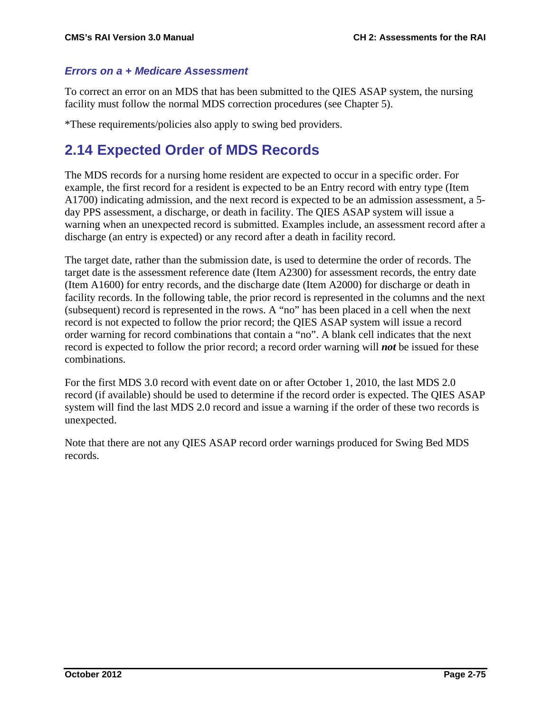#### *Errors on a + Medicare Assessment*

To correct an error on an MDS that has been submitted to the QIES ASAP system, the nursing facility must follow the normal MDS correction procedures (see Chapter 5).

\*These requirements/policies also apply to swing bed providers.

## **2.14 Expected Order of MDS Records**

The MDS records for a nursing home resident are expected to occur in a specific order. For example, the first record for a resident is expected to be an Entry record with entry type (Item A1700) indicating admission, and the next record is expected to be an admission assessment, a 5 day PPS assessment, a discharge, or death in facility. The QIES ASAP system will issue a warning when an unexpected record is submitted. Examples include, an assessment record after a discharge (an entry is expected) or any record after a death in facility record.

The target date, rather than the submission date, is used to determine the order of records. The target date is the assessment reference date (Item A2300) for assessment records, the entry date (Item A1600) for entry records, and the discharge date (Item A2000) for discharge or death in facility records. In the following table, the prior record is represented in the columns and the next (subsequent) record is represented in the rows. A "no" has been placed in a cell when the next record is not expected to follow the prior record; the QIES ASAP system will issue a record order warning for record combinations that contain a "no". A blank cell indicates that the next record is expected to follow the prior record; a record order warning will *not* be issued for these combinations.

For the first MDS 3.0 record with event date on or after October 1, 2010, the last MDS 2.0 record (if available) should be used to determine if the record order is expected. The QIES ASAP system will find the last MDS 2.0 record and issue a warning if the order of these two records is unexpected.

Note that there are not any QIES ASAP record order warnings produced for Swing Bed MDS records.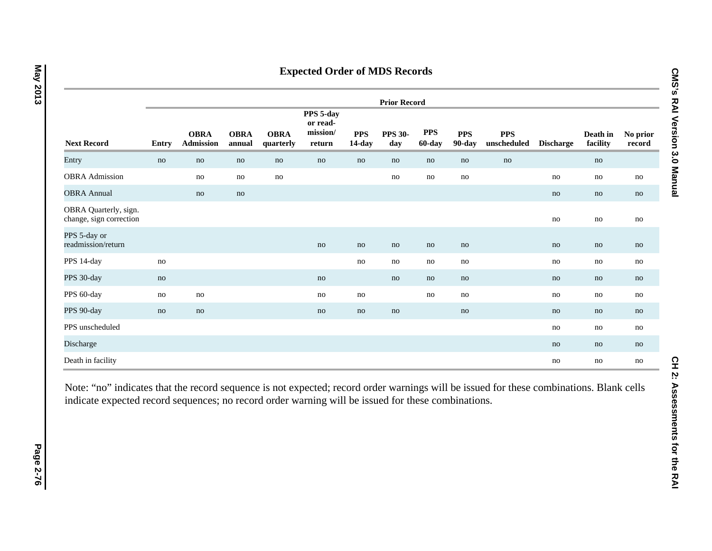|                                                  | <b>Prior Record</b> |                                 |                       |                          |                                             |                      |                       |                      |                      |                           |                  |                      |                    |
|--------------------------------------------------|---------------------|---------------------------------|-----------------------|--------------------------|---------------------------------------------|----------------------|-----------------------|----------------------|----------------------|---------------------------|------------------|----------------------|--------------------|
| <b>Next Record</b>                               | Entry               | <b>OBRA</b><br><b>Admission</b> | <b>OBRA</b><br>annual | <b>OBRA</b><br>quarterly | PPS 5-day<br>or read-<br>mission/<br>return | <b>PPS</b><br>14-day | <b>PPS 30-</b><br>day | <b>PPS</b><br>60-day | <b>PPS</b><br>90-day | <b>PPS</b><br>unscheduled | <b>Discharge</b> | Death in<br>facility | No prior<br>record |
| Entry                                            | no                  | no                              | no                    | no                       | no                                          | no                   | no                    | no                   | no                   | no                        |                  | no                   |                    |
| <b>OBRA</b> Admission                            |                     | no                              | no                    | no                       |                                             |                      | no                    | no                   | no                   |                           | no               | no                   | no                 |
| <b>OBRA Annual</b>                               |                     | no                              | no                    |                          |                                             |                      |                       |                      |                      |                           | no               | no                   | no                 |
| OBRA Quarterly, sign.<br>change, sign correction |                     |                                 |                       |                          |                                             |                      |                       |                      |                      |                           | no               | no                   | no                 |
| PPS 5-day or<br>readmission/return               |                     |                                 |                       |                          | no                                          | no                   | no                    | no                   | no                   |                           | no               | no                   | no                 |
| PPS 14-day                                       | no                  |                                 |                       |                          |                                             | no                   | no                    | no                   | no                   |                           | no               | no                   | no                 |
| PPS 30-day                                       | no                  |                                 |                       |                          | no                                          |                      | no                    | no                   | no                   |                           | no               | no                   | no                 |
| PPS 60-day                                       | no                  | no                              |                       |                          | no                                          | no                   |                       | no                   | no                   |                           | no               | no                   | no                 |
| PPS 90-day                                       | no                  | no                              |                       |                          | no                                          | no                   | no                    |                      | no                   |                           | no               | no                   | no                 |
| PPS unscheduled                                  |                     |                                 |                       |                          |                                             |                      |                       |                      |                      |                           | no               | no                   | no                 |
| Discharge                                        |                     |                                 |                       |                          |                                             |                      |                       |                      |                      |                           | no               | no                   | no                 |
| Death in facility                                |                     |                                 |                       |                          |                                             |                      |                       |                      |                      |                           | no               | no                   | no                 |

Note: "no" indicates that the record sequence is not expected; record order warnings will be issued for these combinations. Blank cells indicate expected record sequences; no record order warning will be issued for these combinations.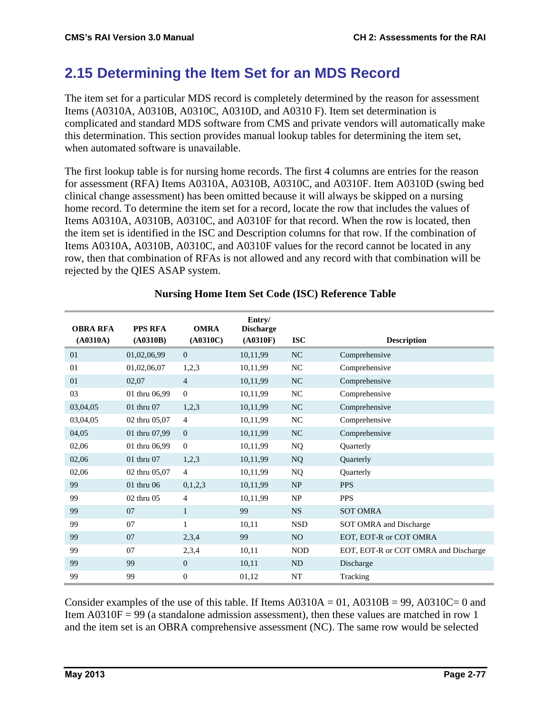# **2.15 Determining the Item Set for an MDS Record**

The item set for a particular MDS record is completely determined by the reason for assessment Items (A0310A, A0310B, A0310C, A0310D, and A0310 F). Item set determination is complicated and standard MDS software from CMS and private vendors will automatically make this determination. This section provides manual lookup tables for determining the item set, when automated software is unavailable.

The first lookup table is for nursing home records. The first 4 columns are entries for the reason for assessment (RFA) Items A0310A, A0310B, A0310C, and A0310F. Item A0310D (swing bed clinical change assessment) has been omitted because it will always be skipped on a nursing home record. To determine the item set for a record, locate the row that includes the values of Items A0310A, A0310B, A0310C, and A0310F for that record. When the row is located, then the item set is identified in the ISC and Description columns for that row. If the combination of Items A0310A, A0310B, A0310C, and A0310F values for the record cannot be located in any row, then that combination of RFAs is not allowed and any record with that combination will be rejected by the QIES ASAP system.

| <b>OBRA RFA</b><br>(A0310A) | <b>PPS RFA</b><br>(A0310B) | <b>OMRA</b><br>(A0310C) | Entry/<br><b>Discharge</b><br>(A0310F)<br><b>ISC</b> |                 | <b>Description</b>                   |  |  |
|-----------------------------|----------------------------|-------------------------|------------------------------------------------------|-----------------|--------------------------------------|--|--|
| 01                          | 01,02,06,99                | $\overline{0}$          | 10,11,99                                             | NC              | Comprehensive                        |  |  |
| 01                          | 01,02,06,07                | 1,2,3                   | 10,11,99                                             | NC              | Comprehensive                        |  |  |
| 01                          | 02,07                      | $\overline{4}$          | 10,11,99                                             | <b>NC</b>       | Comprehensive                        |  |  |
| 03                          | 01 thru 06,99              | $\Omega$                | 10,11,99                                             | NC              | Comprehensive                        |  |  |
| 03,04,05                    | 01 thru 07                 | 1,2,3                   | 10,11,99                                             | NC              | Comprehensive                        |  |  |
| 03,04,05                    | 02 thru 05,07              | $\overline{4}$          | 10,11,99                                             | NC              | Comprehensive                        |  |  |
| 04,05                       | 01 thru 07,99              | $\overline{0}$          | 10,11,99                                             | NC              | Comprehensive                        |  |  |
| 02,06                       | 01 thru 06,99              | $\overline{0}$          | 10,11,99                                             | NQ              | Quarterly                            |  |  |
| 02,06                       | 01 thru 07                 | 1,2,3                   | 10,11,99                                             | NQ              | Quarterly                            |  |  |
| 02,06                       | 02 thru 05,07              | $\overline{4}$          | 10,11,99                                             | NQ              | Quarterly                            |  |  |
| 99                          | 01 thru 06                 | 0,1,2,3                 | 10,11,99                                             | NP              | <b>PPS</b>                           |  |  |
| 99                          | 02 thru 05                 | 4                       | 10,11,99                                             | NP              | <b>PPS</b>                           |  |  |
| 99                          | 07                         | $\mathbf{1}$            | 99                                                   | <b>NS</b>       | <b>SOT OMRA</b>                      |  |  |
| 99                          | 07                         | 1                       | 10,11                                                | <b>NSD</b>      | SOT OMRA and Discharge               |  |  |
| 99                          | 07                         | 2,3,4                   | 99                                                   | NO <sub>1</sub> | EOT, EOT-R or COT OMRA               |  |  |
| 99                          | 07                         | 2,3,4                   | 10,11                                                | <b>NOD</b>      | EOT, EOT-R or COT OMRA and Discharge |  |  |
| 99                          | 99                         | $\overline{0}$          | 10,11                                                | ND              | Discharge                            |  |  |
| 99                          | 99                         | $\theta$                | 01,12                                                | NT              | Tracking                             |  |  |

#### **Nursing Home Item Set Code (ISC) Reference Table**

Consider examples of the use of this table. If Items  $A0310A = 01$ ,  $A0310B = 99$ ,  $A0310C = 0$  and Item  $A0310F = 99$  (a standalone admission assessment), then these values are matched in row 1 and the item set is an OBRA comprehensive assessment (NC). The same row would be selected